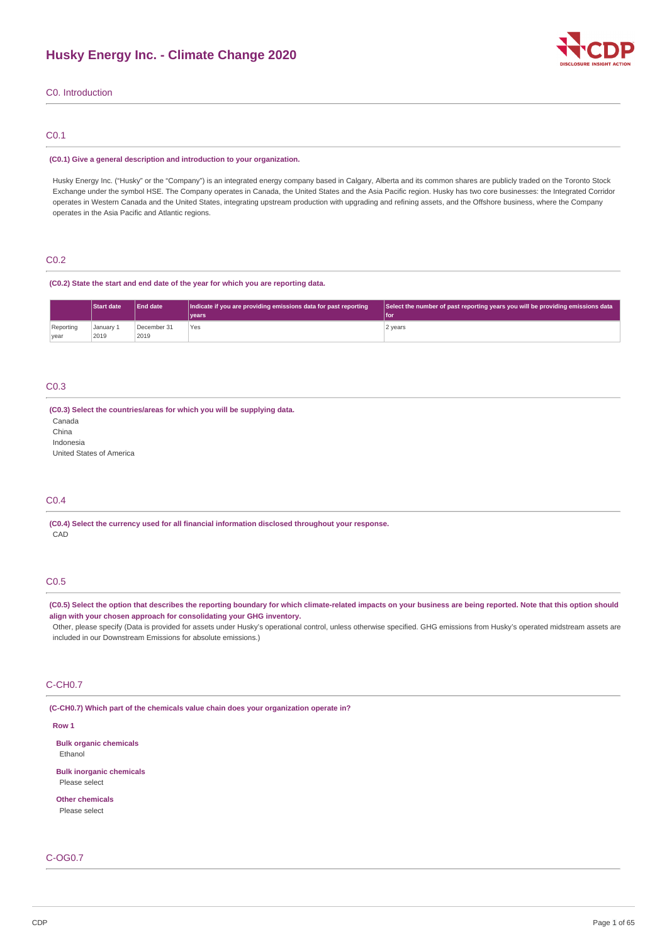

# C0. Introduction

# C0.1

#### **(C0.1) Give a general description and introduction to your organization.**

Husky Energy Inc. ("Husky" or the "Company") is an integrated energy company based in Calgary, Alberta and its common shares are publicly traded on the Toronto Stock Exchange under the symbol HSE. The Company operates in Canada, the United States and the Asia Pacific region. Husky has two core businesses: the Integrated Corridor operates in Western Canada and the United States, integrating upstream production with upgrading and refining assets, and the Offshore business, where the Company operates in the Asia Pacific and Atlantic regions.

# C0.2

#### **(C0.2) State the start and end date of the year for which you are reporting data.**

|                          | Start date        | <b>End date</b>     | Indicate if you are providing emissions data for past reporting<br>vears | Select the number of past reporting years you will be providing emissions data<br>l for |
|--------------------------|-------------------|---------------------|--------------------------------------------------------------------------|-----------------------------------------------------------------------------------------|
| Reporting<br><b>vear</b> | Januarv 1<br>2019 | December 31<br>2019 | Yes                                                                      | 2 years                                                                                 |

# C0.3

# **(C0.3) Select the countries/areas for which you will be supplying data.**

Canada

China

Indonesia

United States of America

# C0.4

**(C0.4) Select the currency used for all financial information disclosed throughout your response.** CAD

# C0.5

(C0.5) Select the option that describes the reporting boundary for which climate-related impacts on your business are being reported. Note that this option should **align with your chosen approach for consolidating your GHG inventory.**

Other, please specify (Data is provided for assets under Husky's operational control, unless otherwise specified. GHG emissions from Husky's operated midstream assets are included in our Downstream Emissions for absolute emissions.)

# C-CH0.7

**(C-CH0.7) Which part of the chemicals value chain does your organization operate in?**

#### **Row 1**

**Bulk organic chemicals** Ethanol

**Bulk inorganic chemicals** Please select

**Other chemicals** Please select

# C-OG0.7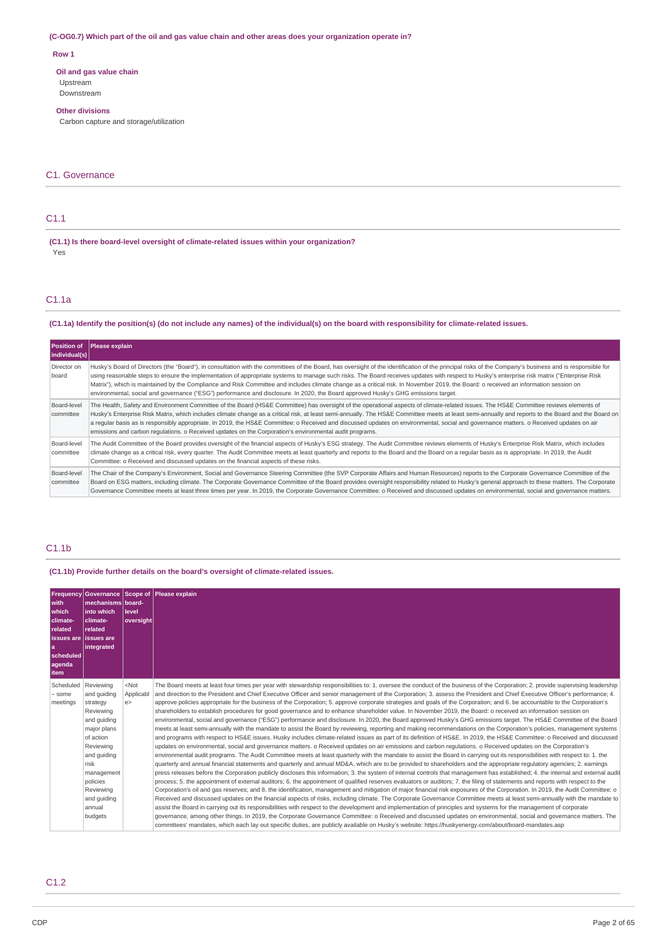### (C-OG0.7) Which part of the oil and gas value chain and other areas does your organization operate in?

# **Row 1**

**Oil and gas value chain** Upstream Downstream

### **Other divisions**

Carbon capture and storage/utilization

# C1. Governance

# C1.1

**(C1.1) Is there board-level oversight of climate-related issues within your organization?** Yes

# C1.1a

### (C1.1a) Identify the position(s) (do not include any names) of the individual(s) on the board with responsibility for climate-related issues.

| <b>Position of</b><br>individual(s) | Please explain                                                                                                                                                                                                                                                                                                                                                                                                                                                                                                                                                                                                                                                                                                                        |
|-------------------------------------|---------------------------------------------------------------------------------------------------------------------------------------------------------------------------------------------------------------------------------------------------------------------------------------------------------------------------------------------------------------------------------------------------------------------------------------------------------------------------------------------------------------------------------------------------------------------------------------------------------------------------------------------------------------------------------------------------------------------------------------|
| Director on<br>board                | Husky's Board of Directors (the "Board"), in consultation with the committees of the Board, has oversight of the identification of the principal risks of the Company's business and is responsible for<br>using reasonable steps to ensure the implementation of appropriate systems to manage such risks. The Board receives updates with respect to Husky's enterprise risk matrix ("Enterprise Risk<br>Matrix"), which is maintained by the Compliance and Risk Committee and includes climate change as a critical risk. In November 2019, the Board: o received an information session on<br>environmental, social and governance ("ESG") performance and disclosure. In 2020, the Board approved Husky's GHG emissions target. |
| Board-level<br>committee            | The Health, Safety and Environment Committee of the Board (HS&E Committee) has oversight of the operational aspects of climate-related issues. The HS&E Committee reviews elements of<br>Husky's Enterprise Risk Matrix, which includes climate change as a critical risk, at least semi-annually. The HS&E Committee meets at least semi-annually and reports to the Board and the Board on<br>a regular basis as is responsibly appropriate. In 2019, the HS&E Committee: o Received and discussed updates on environmental, social and governance matters. o Received updates on air<br>emissions and carbon regulations. o Received updates on the Corporation's environmental audit programs.                                    |
| Board-level<br>committee            | The Audit Committee of the Board provides oversight of the financial aspects of Husky's ESG strategy. The Audit Committee reviews elements of Husky's Enterprise Risk Matrix, which includes<br>climate change as a critical risk, every quarter. The Audit Committee meets at least quarterly and reports to the Board and the Board on a reqular basis as is appropriate. In 2019, the Audit<br>Committee: o Received and discussed updates on the financial aspects of these risks.                                                                                                                                                                                                                                                |
| Board-level<br>committee            | The Chair of the Company's Environment, Social and Governance Steering Committee (the SVP Corporate Affairs and Human Resources) reports to the Corporate Governance Committee of the<br>Board on ESG matters, including climate. The Corporate Governance Committee of the Board provides oversight responsibility related to Husky's general approach to these matters. The Corporate<br>Governance Committee meets at least three times per year. In 2019, the Corporate Governance Committee: o Received and discussed updates on environmental, social and qovernance matters.                                                                                                                                                   |

# C1.1b

**(C1.1b) Provide further details on the board's oversight of climate-related issues.**

| with<br>which<br>climate-<br>related<br>issues are lissues are<br>a<br>scheduled<br>agenda<br>item | mechanisms board-<br>l into which<br>climate-<br>related<br>integrated                                                                                                                                      | l level<br> oversight     | Frequency Governance Scope of Please explain                                                                                                                                                                                                                                                                                                                                                                                                                                                                                                                                                                                                                                                                                                                                                                                                                                                                                                                                                                                                                                                                                                                                                                                                                                                                                                                                                                                                                                                                                                                                                                                                                                                                                                                                                                                                                                                                                                                                                                                                                                                                                                                                                                                                                                                                                                                                                                                                                                                                                                                                                                                                                                                                                                                                                                                                                                                                                                                                                                |
|----------------------------------------------------------------------------------------------------|-------------------------------------------------------------------------------------------------------------------------------------------------------------------------------------------------------------|---------------------------|-------------------------------------------------------------------------------------------------------------------------------------------------------------------------------------------------------------------------------------------------------------------------------------------------------------------------------------------------------------------------------------------------------------------------------------------------------------------------------------------------------------------------------------------------------------------------------------------------------------------------------------------------------------------------------------------------------------------------------------------------------------------------------------------------------------------------------------------------------------------------------------------------------------------------------------------------------------------------------------------------------------------------------------------------------------------------------------------------------------------------------------------------------------------------------------------------------------------------------------------------------------------------------------------------------------------------------------------------------------------------------------------------------------------------------------------------------------------------------------------------------------------------------------------------------------------------------------------------------------------------------------------------------------------------------------------------------------------------------------------------------------------------------------------------------------------------------------------------------------------------------------------------------------------------------------------------------------------------------------------------------------------------------------------------------------------------------------------------------------------------------------------------------------------------------------------------------------------------------------------------------------------------------------------------------------------------------------------------------------------------------------------------------------------------------------------------------------------------------------------------------------------------------------------------------------------------------------------------------------------------------------------------------------------------------------------------------------------------------------------------------------------------------------------------------------------------------------------------------------------------------------------------------------------------------------------------------------------------------------------------------------|
| Scheduled<br>- some<br>meetings                                                                    | Reviewing<br>and quiding<br>strategy<br>Reviewing<br>and guiding<br>major plans<br>of action<br>Reviewing<br>and quiding<br>risk<br>management<br>policies<br>Reviewing<br>and guiding<br>annual<br>budgets | $<$ Not<br>Applicabl<br>e | The Board meets at least four times per year with stewardship responsibilities to: 1. oversee the conduct of the business of the Corporation; 2. provide supervising leadership<br>and direction to the President and Chief Executive Officer and senior management of the Corporation; 3. assess the President and Chief Executive Officer's performance; 4.<br>approve policies appropriate for the business of the Corporation; 5. approve corporate strategies and goals of the Corporation; and 6. be accountable to the Corporation's<br>shareholders to establish procedures for good governance and to enhance shareholder value. In November 2019, the Board: o received an information session on<br>environmental, social and governance ("ESG") performance and disclosure. In 2020, the Board approved Husky's GHG emissions target. The HS&E Committee of the Board<br>meets at least semi-annually with the mandate to assist the Board by reviewing, reporting and making recommendations on the Corporation's policies, management systems<br>and programs with respect to HS&E issues. Husky includes climate-related issues as part of its definition of HS&E. In 2019, the HS&E Committee: o Received and discussed<br>updates on environmental, social and governance matters. o Received updates on air emissions and carbon regulations. o Received updates on the Corporation's<br>environmental audit programs. The Audit Committee meets at least quarterly with the mandate to assist the Board in carrying out its responsibilities with respect to: 1. the<br>quarterly and annual financial statements and quarterly and annual MD&A, which are to be provided to shareholders and the appropriate requlatory agencies; 2. earnings<br>press releases before the Corporation publicly discloses this information; 3. the system of internal controls that management has established; 4. the internal and external audit<br>process; 5. the appointment of external auditors; 6. the appointment of qualified reserves evaluators or auditors; 7. the filing of statements and reports with respect to the<br>Corporation's oil and gas reserves; and 8. the identification, management and mitigation of major financial risk exposures of the Corporation. In 2019, the Audit Committee: o<br>Received and discussed updates on the financial aspects of risks, including climate. The Corporate Governance Committee meets at least semi-annually with the mandate to<br>assist the Board in carrying out its responsibilities with respect to the development and implementation of principles and systems for the management of corporate<br>governance, among other things, In 2019, the Corporate Governance Committee: o Received and discussed updates on environmental, social and governance matters. The<br>committees' mandates, which each lay out specific duties, are publicly available on Husky's website: https://huskyenergy.com/about/board-mandates.asp |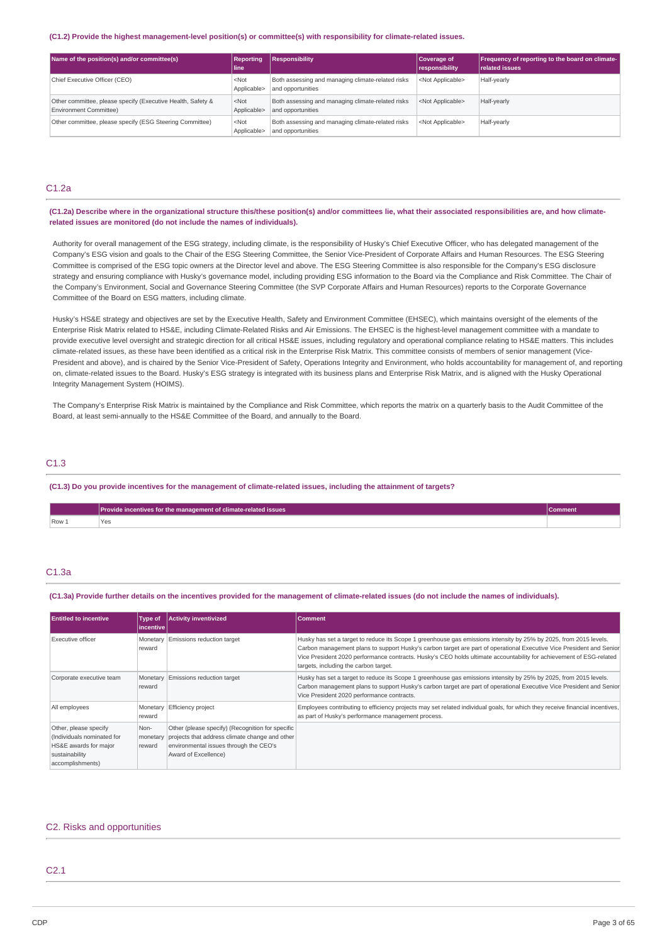#### **(C1.2) Provide the highest management-level position(s) or committee(s) with responsibility for climate-related issues.**

| Name of the position(s) and/or committee(s)                                           | <b>Reporting</b><br>line. | <b>Responsibility</b>                                                  | Coverage of<br>responsibility | <b>Frequency of reporting to the board on climate-</b><br><b>related issues</b> |
|---------------------------------------------------------------------------------------|---------------------------|------------------------------------------------------------------------|-------------------------------|---------------------------------------------------------------------------------|
| Chief Executive Officer (CEO)                                                         | $<$ Not<br>Applicable>    | Both assessing and managing climate-related risks<br>and opportunities | <not applicable=""></not>     | Half-yearly                                                                     |
| Other committee, please specify (Executive Health, Safety &<br>Environment Committee) | $<$ Not<br>Applicable>    | Both assessing and managing climate-related risks<br>and opportunities | <not applicable=""></not>     | Half-yearly                                                                     |
| Other committee, please specify (ESG Steering Committee)                              | $<$ Not<br>Applicable>    | Both assessing and managing climate-related risks<br>and opportunities | <not applicable=""></not>     | Half-yearly                                                                     |

# C1.2a

(C1.2a) Describe where in the organizational structure this/these position(s) and/or committees lie, what their associated responsibilities are, and how climate**related issues are monitored (do not include the names of individuals).**

Authority for overall management of the ESG strategy, including climate, is the responsibility of Husky's Chief Executive Officer, who has delegated management of the Company's ESG vision and goals to the Chair of the ESG Steering Committee, the Senior Vice-President of Corporate Affairs and Human Resources. The ESG Steering Committee is comprised of the ESG topic owners at the Director level and above. The ESG Steering Committee is also responsible for the Company's ESG disclosure strategy and ensuring compliance with Husky's governance model, including providing ESG information to the Board via the Compliance and Risk Committee. The Chair of the Company's Environment, Social and Governance Steering Committee (the SVP Corporate Affairs and Human Resources) reports to the Corporate Governance Committee of the Board on ESG matters, including climate.

Husky's HS&E strategy and objectives are set by the Executive Health, Safety and Environment Committee (EHSEC), which maintains oversight of the elements of the Enterprise Risk Matrix related to HS&E, including Climate-Related Risks and Air Emissions. The EHSEC is the highest-level management committee with a mandate to provide executive level oversight and strategic direction for all critical HS&E issues, including regulatory and operational compliance relating to HS&E matters. This includes climate-related issues, as these have been identified as a critical risk in the Enterprise Risk Matrix. This committee consists of members of senior management (Vice-President and above), and is chaired by the Senior Vice-President of Safety, Operations Integrity and Environment, who holds accountability for management of, and reporting on, climate-related issues to the Board. Husky's ESG strategy is integrated with its business plans and Enterprise Risk Matrix, and is aligned with the Husky Operational Integrity Management System (HOIMS).

The Company's Enterprise Risk Matrix is maintained by the Compliance and Risk Committee, which reports the matrix on a quarterly basis to the Audit Committee of the Board, at least semi-annually to the HS&E Committee of the Board, and annually to the Board.

# C1.3

### (C1.3) Do you provide incentives for the management of climate-related issues, including the attainment of targets?

|       | Provide incentives for the management of climate-related issues<br><b>Comment</b> |  |
|-------|-----------------------------------------------------------------------------------|--|
| Row 1 | Yes:<br>.                                                                         |  |

# C1.3a

#### (C1.3a) Provide further details on the incentives provided for the management of climate-related issues (do not include the names of individuals).

| <b>Entitled to incentive</b>                                                                                       | Type of<br>incentive l     | <b>Activity inventivized</b>                                                                                                                                         | <b>Comment</b>                                                                                                                                                                                                                                                                                                                                                                                            |
|--------------------------------------------------------------------------------------------------------------------|----------------------------|----------------------------------------------------------------------------------------------------------------------------------------------------------------------|-----------------------------------------------------------------------------------------------------------------------------------------------------------------------------------------------------------------------------------------------------------------------------------------------------------------------------------------------------------------------------------------------------------|
| Executive officer                                                                                                  | Monetary<br>reward         | Emissions reduction target                                                                                                                                           | Husky has set a target to reduce its Scope 1 greenhouse gas emissions intensity by 25% by 2025, from 2015 levels.<br>Carbon management plans to support Husky's carbon target are part of operational Executive Vice President and Senior<br>Vice President 2020 performance contracts. Husky's CEO holds ultimate accountability for achievement of ESG-related<br>targets, including the carbon target. |
| Corporate executive team                                                                                           | Monetary<br>reward         | Emissions reduction target                                                                                                                                           | Husky has set a target to reduce its Scope 1 greenhouse gas emissions intensity by 25% by 2025, from 2015 levels.<br>Carbon management plans to support Husky's carbon target are part of operational Executive Vice President and Senior<br>Vice President 2020 performance contracts.                                                                                                                   |
| All employees                                                                                                      | Monetary<br>reward         | Efficiency project                                                                                                                                                   | Employees contributing to efficiency projects may set related individual goals, for which they receive financial incentives,<br>as part of Husky's performance management process.                                                                                                                                                                                                                        |
| Other, please specify<br>(Individuals nominated for<br>HS&E awards for major<br>sustainability<br>accomplishments) | Non-<br>monetary<br>reward | Other (please specify) (Recognition for specific<br>projects that address climate change and other<br>environmental issues through the CEO's<br>Award of Excellence) |                                                                                                                                                                                                                                                                                                                                                                                                           |

# C2. Risks and opportunities

# C<sub>2.1</sub>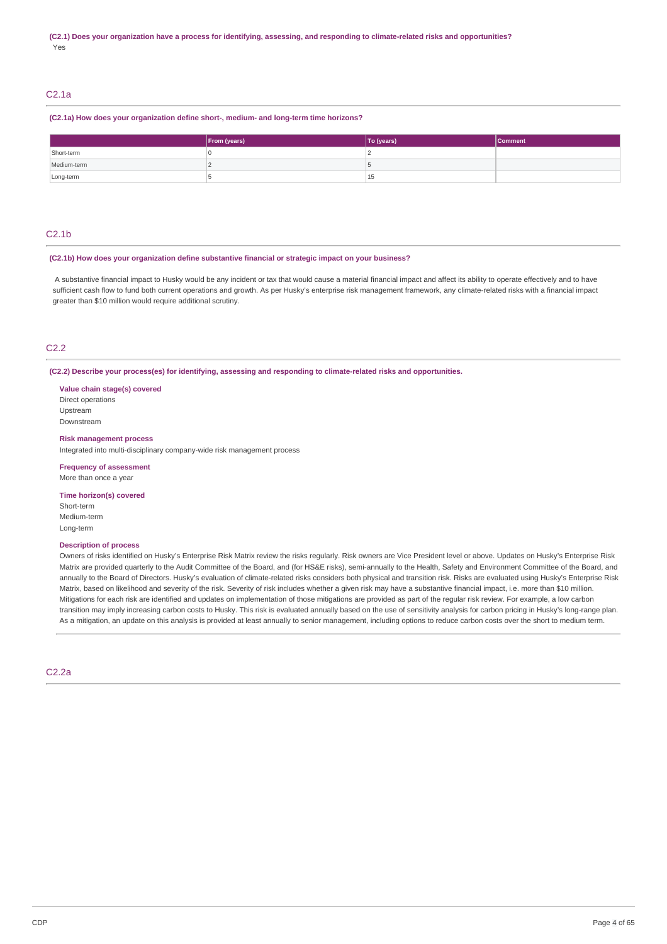# C2.1a

**(C2.1a) How does your organization define short-, medium- and long-term time horizons?**

|             | From (years) | To (years) | <b>Comment</b> |
|-------------|--------------|------------|----------------|
| Short-term  |              |            |                |
| Medium-term |              |            |                |
| Long-term   |              | 15         |                |

# C2.1b

#### **(C2.1b) How does your organization define substantive financial or strategic impact on your business?**

A substantive financial impact to Husky would be any incident or tax that would cause a material financial impact and affect its ability to operate effectively and to have sufficient cash flow to fund both current operations and growth. As per Husky's enterprise risk management framework, any climate-related risks with a financial impact greater than \$10 million would require additional scrutiny.

# C2.2

**(C2.2) Describe your process(es) for identifying, assessing and responding to climate-related risks and opportunities.**

**Value chain stage(s) covered** Direct operations Upstream Downstream

### **Risk management process**

Integrated into multi-disciplinary company-wide risk management process

#### **Frequency of assessment**

More than once a year

#### **Time horizon(s) covered**

Short-term Medium-term Long-term

### **Description of process**

Owners of risks identified on Husky's Enterprise Risk Matrix review the risks regularly. Risk owners are Vice President level or above. Updates on Husky's Enterprise Risk Matrix are provided quarterly to the Audit Committee of the Board, and (for HS&E risks), semi-annually to the Health, Safety and Environment Committee of the Board, and annually to the Board of Directors. Husky's evaluation of climate-related risks considers both physical and transition risk. Risks are evaluated using Husky's Enterprise Risk Matrix, based on likelihood and severity of the risk. Severity of risk includes whether a given risk may have a substantive financial impact, i.e. more than \$10 million. Mitigations for each risk are identified and updates on implementation of those mitigations are provided as part of the regular risk review. For example, a low carbon transition may imply increasing carbon costs to Husky. This risk is evaluated annually based on the use of sensitivity analysis for carbon pricing in Husky's long-range plan. As a mitigation, an update on this analysis is provided at least annually to senior management, including options to reduce carbon costs over the short to medium term.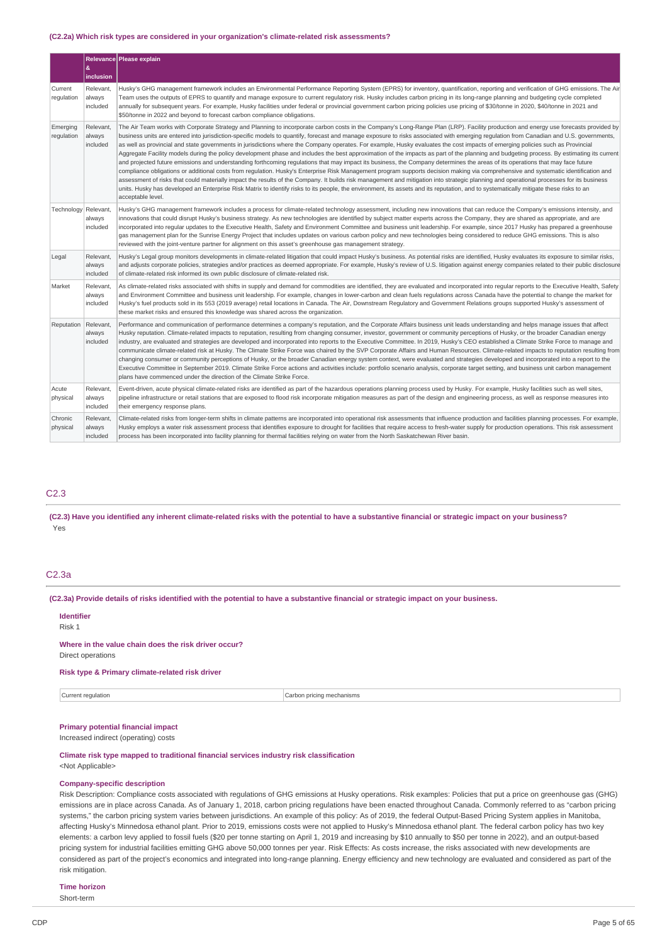#### **(C2.2a) Which risk types are considered in your organization's climate-related risk assessments?**

|                        | &<br>inclusion                  | Relevance   Please explain                                                                                                                                                                                                                                                                                                                                                                                                                                                                                                                                                                                                                                                                                                                                                                                                                                                                                                                                                                                                                                                                                                                                                                                                                                                                                                                                                                                                                                                                                                                         |  |
|------------------------|---------------------------------|----------------------------------------------------------------------------------------------------------------------------------------------------------------------------------------------------------------------------------------------------------------------------------------------------------------------------------------------------------------------------------------------------------------------------------------------------------------------------------------------------------------------------------------------------------------------------------------------------------------------------------------------------------------------------------------------------------------------------------------------------------------------------------------------------------------------------------------------------------------------------------------------------------------------------------------------------------------------------------------------------------------------------------------------------------------------------------------------------------------------------------------------------------------------------------------------------------------------------------------------------------------------------------------------------------------------------------------------------------------------------------------------------------------------------------------------------------------------------------------------------------------------------------------------------|--|
| Current<br>regulation  | Relevant,<br>always<br>included | Husky's GHG management framework includes an Environmental Performance Reporting System (EPRS) for inventory, quantification, reporting and verification of GHG emissions. The Air<br>Team uses the outputs of EPRS to quantify and manage exposure to current regulatory risk. Husky includes carbon pricing in its long-range planning and budgeting cycle completed<br>annually for subsequent years. For example, Husky facilities under federal or provincial government carbon pricing policies use pricing of \$30/tonne in 2020, \$40/tonne in 2021 and<br>\$50/tonne in 2022 and beyond to forecast carbon compliance obligations.                                                                                                                                                                                                                                                                                                                                                                                                                                                                                                                                                                                                                                                                                                                                                                                                                                                                                                        |  |
| Emerging<br>regulation | Relevant,<br>always<br>included | The Air Team works with Corporate Strategy and Planning to incorporate carbon costs in the Company's Long-Range Plan (LRP). Facility production and energy use forecasts provided by<br>business units are entered into jurisdiction-specific models to quantify, forecast and manage exposure to risks associated with emerging regulation from Canadian and U.S. governments,<br>as well as provincial and state governments in jurisdictions where the Company operates. For example, Husky evaluates the cost impacts of emerging policies such as Provincial<br>Aggregate Facility models during the policy development phase and includes the best approximation of the impacts as part of the planning and budgeting process. By estimating its current<br>and projected future emissions and understanding forthcoming regulations that may impact its business, the Company determines the areas of its operations that may face future<br>compliance obligations or additional costs from regulation. Husky's Enterprise Risk Management program supports decision making via comprehensive and systematic identification and<br>assessment of risks that could materially impact the results of the Company. It builds risk management and mitigation into strategic planning and operational processes for its business<br>units. Husky has developed an Enterprise Risk Matrix to identify risks to its people, the environment, its assets and its reputation, and to systematically mitigate these risks to an<br>acceptable level. |  |
| Technology             | Relevant,<br>always<br>included | Husky's GHG management framework includes a process for climate-related technology assessment, including new innovations that can reduce the Company's emissions intensity, and<br>innovations that could disrupt Husky's business strategy. As new technologies are identified by subject matter experts across the Company, they are shared as appropriate, and are<br>incorporated into regular updates to the Executive Health, Safety and Environment Committee and business unit leadership. For example, since 2017 Husky has prepared a greenhouse<br>gas management plan for the Sunrise Energy Project that includes updates on various carbon policy and new technologies being considered to reduce GHG emissions. This is also<br>reviewed with the joint-venture partner for alignment on this asset's greenhouse gas management strategy.                                                                                                                                                                                                                                                                                                                                                                                                                                                                                                                                                                                                                                                                                           |  |
| Legal                  | Relevant,<br>always<br>included | Husky's Legal group monitors developments in climate-related litigation that could impact Husky's business. As potential risks are identified, Husky evaluates its exposure to similar risks,<br>and adjusts corporate policies, strategies and/or practices as deemed appropriate. For example, Husky's review of U.S. litigation against energy companies related to their public disclosure<br>of climate-related risk informed its own public disclosure of climate-related risk.                                                                                                                                                                                                                                                                                                                                                                                                                                                                                                                                                                                                                                                                                                                                                                                                                                                                                                                                                                                                                                                              |  |
| Market                 | Relevant<br>always<br>included  | As climate-related risks associated with shifts in supply and demand for commodities are identified, they are evaluated and incorporated into regular reports to the Executive Health, Safety<br>and Environment Committee and business unit leadership. For example, changes in lower-carbon and clean fuels regulations across Canada have the potential to change the market for<br>Husky's fuel products sold in its 553 (2019 average) retail locations in Canada. The Air, Downstream Regulatory and Government Relations groups supported Husky's assessment of<br>these market risks and ensured this knowledge was shared across the organization.                                                                                                                                                                                                                                                                                                                                                                                                                                                                                                                                                                                                                                                                                                                                                                                                                                                                                        |  |
| Reputation             | Relevant,<br>always<br>included | Performance and communication of performance determines a company's reputation, and the Corporate Affairs business unit leads understanding and helps manage issues that affect<br>Husky reputation. Climate-related impacts to reputation, resulting from changing consumer, investor, government or community perceptions of Husky, or the broader Canadian energy<br>industry, are evaluated and strategies are developed and incorporated into reports to the Executive Committee. In 2019, Husky's CEO established a Climate Strike Force to manage and<br>communicate climate-related risk at Husky. The Climate Strike Force was chaired by the SVP Corporate Affairs and Human Resources. Climate-related impacts to reputation resulting from<br>changing consumer or community perceptions of Husky, or the broader Canadian energy system context, were evaluated and strategies developed and incorporated into a report to the<br>Executive Committee in September 2019. Climate Strike Force actions and activities include: portfolio scenario analysis, corporate target setting, and business unit carbon management<br>plans have commenced under the direction of the Climate Strike Force.                                                                                                                                                                                                                                                                                                                                     |  |
| Acute<br>physical      | Relevant,<br>always<br>included | Event-driven, acute physical climate-related risks are identified as part of the hazardous operations planning process used by Husky. For example, Husky facilities such as well sites,<br>pipeline infrastructure or retail stations that are exposed to flood risk incorporate mitigation measures as part of the design and engineering process, as well as response measures into<br>their emergency response plans.                                                                                                                                                                                                                                                                                                                                                                                                                                                                                                                                                                                                                                                                                                                                                                                                                                                                                                                                                                                                                                                                                                                           |  |
| Chronic<br>physical    | Relevant,<br>always<br>included | Climate-related risks from longer-term shifts in climate patterns are incorporated into operational risk assessments that influence production and facilities planning processes. For example,<br>Husky employs a water risk assessment process that identifies exposure to drought for facilities that require access to fresh-water supply for production operations. This risk assessment<br>process has been incorporated into facility planning for thermal facilities relying on water from the North Saskatchewan River basin.                                                                                                                                                                                                                                                                                                                                                                                                                                                                                                                                                                                                                                                                                                                                                                                                                                                                                                                                                                                                              |  |

#### C2.3

(C2.3) Have vou identified any inherent climate-related risks with the potential to have a substantive financial or strategic impact on your business? Yes

#### C2.3a

(C2.3a) Provide details of risks identified with the potential to have a substantive financial or strategic impact on your business.

# **Identifier**

Risk 1

#### **Where in the value chain does the risk driver occur?** Direct operations

#### **Risk type & Primary climate-related risk driver**

**Current regulation** Current regulation Current regulation control of the carbon pricing mechanisms

# **Primary potential financial impact**

#### Increased indirect (operating) costs

#### **Climate risk type mapped to traditional financial services industry risk classification** <Not Applicable>

#### **Company-specific description**

Risk Description: Compliance costs associated with regulations of GHG emissions at Husky operations. Risk examples: Policies that put a price on greenhouse gas (GHG) emissions are in place across Canada. As of January 1, 2018, carbon pricing regulations have been enacted throughout Canada. Commonly referred to as "carbon pricing systems," the carbon pricing system varies between jurisdictions. An example of this policy: As of 2019, the federal Output-Based Pricing System applies in Manitoba, affecting Husky's Minnedosa ethanol plant. Prior to 2019, emissions costs were not applied to Husky's Minnedosa ethanol plant. The federal carbon policy has two key elements: a carbon levy applied to fossil fuels (\$20 per tonne starting on April 1, 2019 and increasing by \$10 annually to \$50 per tonne in 2022), and an output-based pricing system for industrial facilities emitting GHG above 50,000 tonnes per year. Risk Effects: As costs increase, the risks associated with new developments are considered as part of the project's economics and integrated into long-range planning. Energy efficiency and new technology are evaluated and considered as part of the risk mitigation.

**Time horizon** Short-term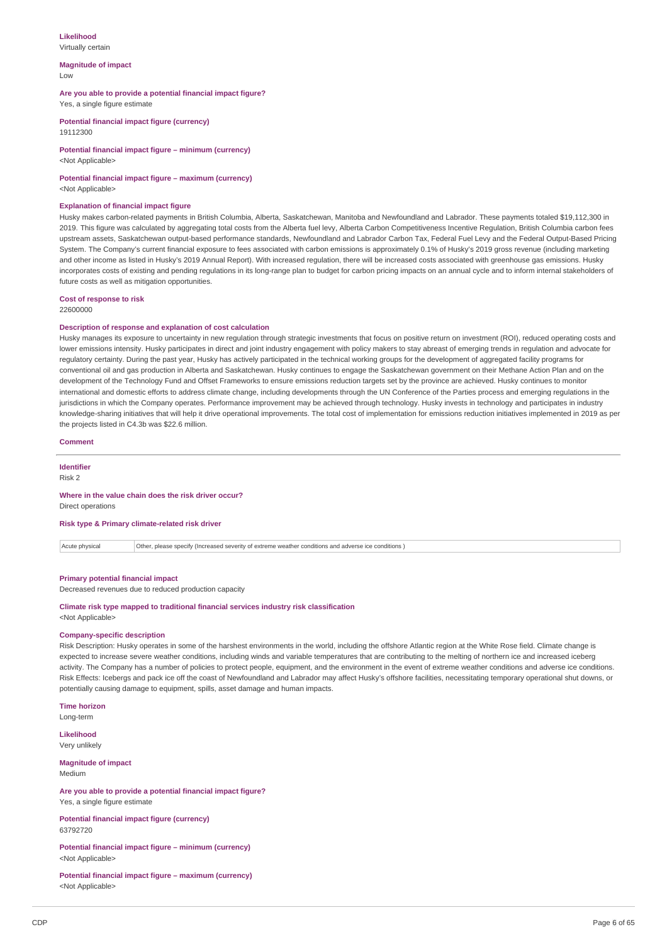# **Likelihood**

Virtually certain

#### **Magnitude of impact** Low

# **Are you able to provide a potential financial impact figure?**

Yes, a single figure estimate

**Potential financial impact figure (currency)** 19112300

**Potential financial impact figure – minimum (currency)** <Not Applicable>

# **Potential financial impact figure – maximum (currency)**

<Not Applicable>

#### **Explanation of financial impact figure**

Husky makes carbon-related payments in British Columbia, Alberta, Saskatchewan, Manitoba and Newfoundland and Labrador. These payments totaled \$19,112,300 in 2019. This figure was calculated by aggregating total costs from the Alberta fuel levy, Alberta Carbon Competitiveness Incentive Regulation, British Columbia carbon fees upstream assets, Saskatchewan output-based performance standards, Newfoundland and Labrador Carbon Tax, Federal Fuel Levy and the Federal Output-Based Pricing System. The Company's current financial exposure to fees associated with carbon emissions is approximately 0.1% of Husky's 2019 gross revenue (including marketing and other income as listed in Husky's 2019 Annual Report). With increased regulation, there will be increased costs associated with greenhouse gas emissions. Husky incorporates costs of existing and pending regulations in its long-range plan to budget for carbon pricing impacts on an annual cycle and to inform internal stakeholders of future costs as well as mitigation opportunities.

#### **Cost of response to risk** 22600000

# **Description of response and explanation of cost calculation**

Husky manages its exposure to uncertainty in new regulation through strategic investments that focus on positive return on investment (ROI), reduced operating costs and lower emissions intensity. Husky participates in direct and joint industry engagement with policy makers to stay abreast of emerging trends in regulation and advocate for regulatory certainty. During the past year, Husky has actively participated in the technical working groups for the development of aggregated facility programs for conventional oil and gas production in Alberta and Saskatchewan. Husky continues to engage the Saskatchewan government on their Methane Action Plan and on the development of the Technology Fund and Offset Frameworks to ensure emissions reduction targets set by the province are achieved. Husky continues to monitor international and domestic efforts to address climate change, including developments through the UN Conference of the Parties process and emerging regulations in the jurisdictions in which the Company operates. Performance improvement may be achieved through technology. Husky invests in technology and participates in industry knowledge-sharing initiatives that will help it drive operational improvements. The total cost of implementation for emissions reduction initiatives implemented in 2019 as per the projects listed in C4.3b was \$22.6 million.

#### **Comment**

**Identifier**

Risk 2

#### **Where in the value chain does the risk driver occur?** Direct operations

**Risk type & Primary climate-related risk driver**

Acute physical Other, please specify (Increased severity of extreme weather conditions and adverse ice conditions )

#### **Primary potential financial impact**

Decreased revenues due to reduced production capacity

#### **Climate risk type mapped to traditional financial services industry risk classification** <Not Applicable>

# **Company-specific description**

Risk Description: Husky operates in some of the harshest environments in the world, including the offshore Atlantic region at the White Rose field. Climate change is expected to increase severe weather conditions, including winds and variable temperatures that are contributing to the melting of northern ice and increased iceberg activity. The Company has a number of policies to protect people, equipment, and the environment in the event of extreme weather conditions and adverse ice conditions. Risk Effects: Icebergs and pack ice off the coast of Newfoundland and Labrador may affect Husky's offshore facilities, necessitating temporary operational shut downs, or potentially causing damage to equipment, spills, asset damage and human impacts.

### **Time horizon**

Long-term

**Likelihood** Very unlikely

**Magnitude of impact** Medium

### **Are you able to provide a potential financial impact figure?** Yes, a single figure estimate

**Potential financial impact figure (currency)** 63792720

# **Potential financial impact figure – minimum (currency)** <Not Applicable>

**Potential financial impact figure – maximum (currency)** <Not Applicable>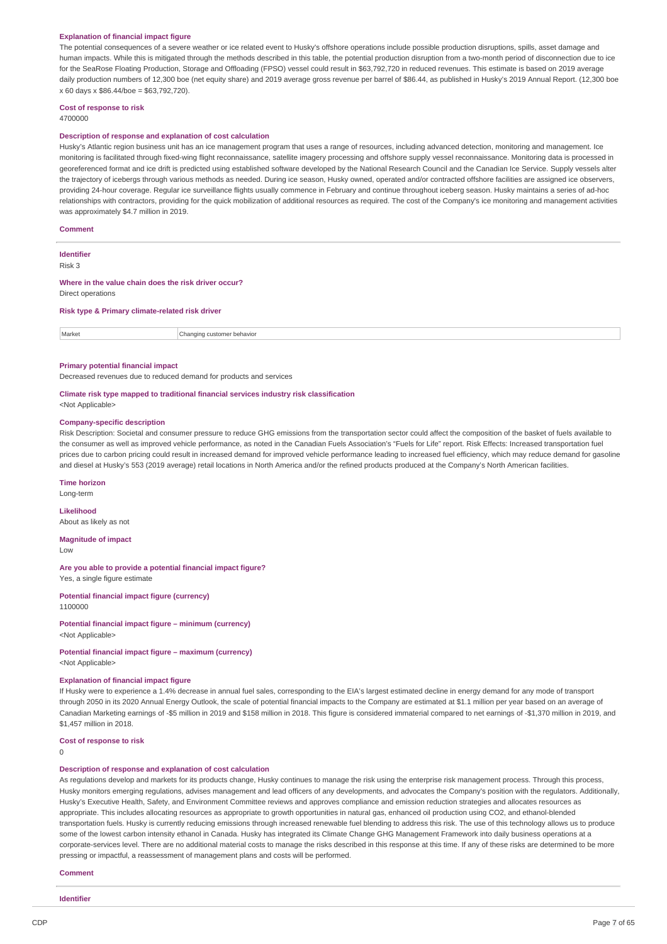#### **Explanation of financial impact figure**

The potential consequences of a severe weather or ice related event to Husky's offshore operations include possible production disruptions, spills, asset damage and human impacts. While this is mitigated through the methods described in this table, the potential production disruption from a two-month period of disconnection due to ice for the SeaRose Floating Production, Storage and Offloading (FPSO) vessel could result in \$63,792,720 in reduced revenues. This estimate is based on 2019 average daily production numbers of 12,300 boe (net equity share) and 2019 average gross revenue per barrel of \$86.44, as published in Husky's 2019 Annual Report. (12,300 boe x 60 days x \$86.44/boe = \$63,792,720).

#### **Cost of response to risk**

4700000

#### **Description of response and explanation of cost calculation**

Husky's Atlantic region business unit has an ice management program that uses a range of resources, including advanced detection, monitoring and management. Ice monitoring is facilitated through fixed-wing flight reconnaissance, satellite imagery processing and offshore supply vessel reconnaissance. Monitoring data is processed in georeferenced format and ice drift is predicted using established software developed by the National Research Council and the Canadian Ice Service. Supply vessels alter the trajectory of icebergs through various methods as needed. During ice season, Husky owned, operated and/or contracted offshore facilities are assigned ice observers, providing 24-hour coverage. Regular ice surveillance flights usually commence in February and continue throughout iceberg season. Husky maintains a series of ad-hoc relationships with contractors, providing for the quick mobilization of additional resources as required. The cost of the Company's ice monitoring and management activities was approximately \$4.7 million in 2019.

#### **Comment**

# **Identifier**

Risk 3

#### **Where in the value chain does the risk driver occur?** Direct operations

### **Risk type & Primary climate-related risk driver**

Market **Changing customer behavior** 

#### **Primary potential financial impact**

Decreased revenues due to reduced demand for products and services

### **Climate risk type mapped to traditional financial services industry risk classification**

<Not Applicable>

### **Company-specific description**

Risk Description: Societal and consumer pressure to reduce GHG emissions from the transportation sector could affect the composition of the basket of fuels available to the consumer as well as improved vehicle performance, as noted in the Canadian Fuels Association's "Fuels for Life" report. Risk Effects: Increased transportation fuel prices due to carbon pricing could result in increased demand for improved vehicle performance leading to increased fuel efficiency, which may reduce demand for gasoline and diesel at Husky's 553 (2019 average) retail locations in North America and/or the refined products produced at the Company's North American facilities.

#### **Time horizon**

Long-term

#### **Likelihood**

About as likely as not

#### **Magnitude of impact**

Low

#### **Are you able to provide a potential financial impact figure?** Yes, a single figure estimate

#### **Potential financial impact figure (currency)** 1100000

**Potential financial impact figure – minimum (currency)** <Not Applicable>

# **Potential financial impact figure – maximum (currency)**

<Not Applicable>

# **Explanation of financial impact figure**

If Husky were to experience a 1.4% decrease in annual fuel sales, corresponding to the EIA's largest estimated decline in energy demand for any mode of transport through 2050 in its 2020 Annual Energy Outlook, the scale of potential financial impacts to the Company are estimated at \$1.1 million per year based on an average of Canadian Marketing earnings of -\$5 million in 2019 and \$158 million in 2018. This figure is considered immaterial compared to net earnings of -\$1,370 million in 2019, and \$1,457 million in 2018.

#### **Cost of response to risk**

0

#### **Description of response and explanation of cost calculation**

As regulations develop and markets for its products change, Husky continues to manage the risk using the enterprise risk management process. Through this process Husky monitors emerging regulations, advises management and lead officers of any developments, and advocates the Company's position with the regulators. Additionally, Husky's Executive Health, Safety, and Environment Committee reviews and approves compliance and emission reduction strategies and allocates resources as appropriate. This includes allocating resources as appropriate to growth opportunities in natural gas, enhanced oil production using CO2, and ethanol-blended transportation fuels. Husky is currently reducing emissions through increased renewable fuel blending to address this risk. The use of this technology allows us to produce some of the lowest carbon intensity ethanol in Canada. Husky has integrated its Climate Change GHG Management Framework into daily business operations at a corporate-services level. There are no additional material costs to manage the risks described in this response at this time. If any of these risks are determined to be more pressing or impactful, a reassessment of management plans and costs will be performed.

#### **Comment**

**Identifier**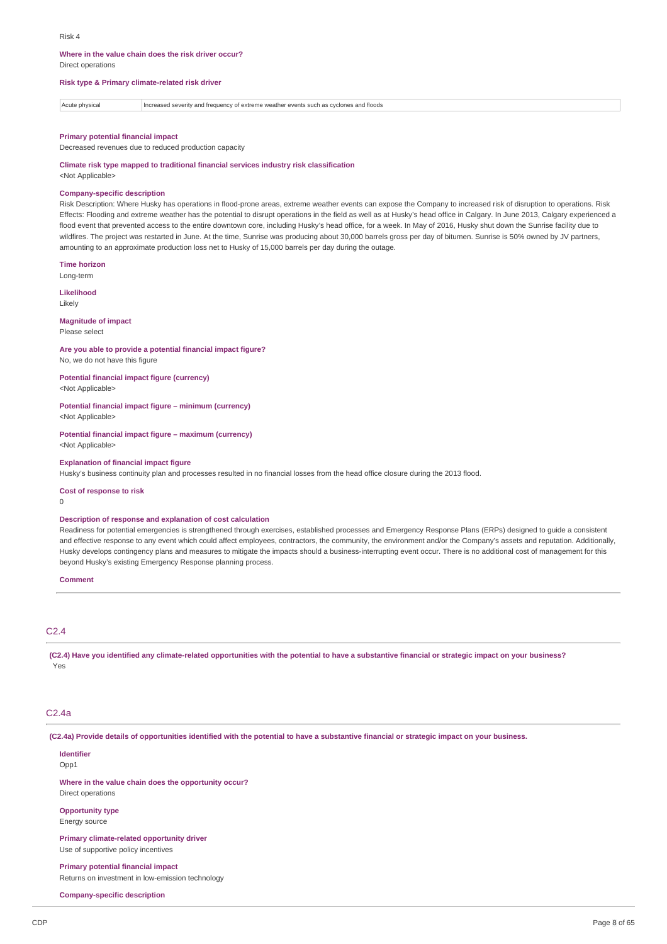# **Where in the value chain does the risk driver occur?**

Direct operations

#### **Risk type & Primary climate-related risk driver**

Acute physical Increased severity and frequency of extreme weather events such as cyclones and floods

#### **Primary potential financial impact**

Decreased revenues due to reduced production capacity

**Climate risk type mapped to traditional financial services industry risk classification** <Not Applicable>

#### **Company-specific description**

Risk Description: Where Husky has operations in flood-prone areas, extreme weather events can expose the Company to increased risk of disruption to operations. Risk Effects: Flooding and extreme weather has the potential to disrupt operations in the field as well as at Husky's head office in Calgary. In June 2013, Calgary experienced a flood event that prevented access to the entire downtown core, including Husky's head office, for a week. In May of 2016, Husky shut down the Sunrise facility due to wildfires. The project was restarted in June. At the time, Sunrise was producing about 30,000 barrels gross per day of bitumen. Sunrise is 50% owned by JV partners, amounting to an approximate production loss net to Husky of 15,000 barrels per day during the outage.

**Time horizon**

Long-term **Likelihood**

Likely

#### **Magnitude of impact** Please select

#### **Are you able to provide a potential financial impact figure?**

No, we do not have this figure

#### **Potential financial impact figure (currency)** <Not Applicable>

**Potential financial impact figure – minimum (currency)**

<Not Applicable>

#### **Potential financial impact figure – maximum (currency)** <Not Applicable>

**Explanation of financial impact figure**

Husky's business continuity plan and processes resulted in no financial losses from the head office closure during the 2013 flood.

#### **Cost of response to risk**

 $\Omega$ 

### **Description of response and explanation of cost calculation**

Readiness for potential emergencies is strengthened through exercises, established processes and Emergency Response Plans (ERPs) designed to guide a consistent and effective response to any event which could affect employees, contractors, the community, the environment and/or the Company's assets and reputation. Additionally, Husky develops contingency plans and measures to mitigate the impacts should a business-interrupting event occur. There is no additional cost of management for this beyond Husky's existing Emergency Response planning process.

#### **Comment**

# $C<sub>2</sub>$  4

(C2.4) Have you identified any climate-related opportunities with the potential to have a substantive financial or strategic impact on your business? Yes

#### C2.4a

(C2.4a) Provide details of opportunities identified with the potential to have a substantive financial or strategic impact on your business.

**Identifier**

Opp1

**Where in the value chain does the opportunity occur?** Direct operations

#### **Opportunity type** Energy source

**Primary climate-related opportunity driver** Use of supportive policy incentives

#### **Primary potential financial impact**

Returns on investment in low-emission technology

### **Company-specific description**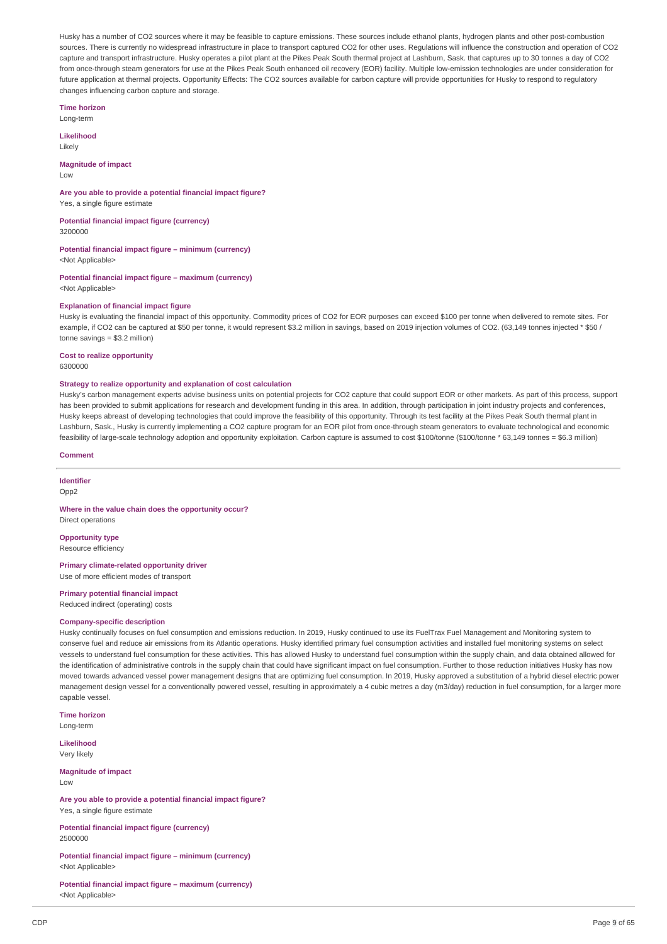Husky has a number of CO2 sources where it may be feasible to capture emissions. These sources include ethanol plants, hydrogen plants and other post-combustion sources. There is currently no widespread infrastructure in place to transport captured CO2 for other uses. Regulations will influence the construction and operation of CO2 capture and transport infrastructure. Husky operates a pilot plant at the Pikes Peak South thermal project at Lashburn, Sask. that captures up to 30 tonnes a day of CO2 from once-through steam generators for use at the Pikes Peak South enhanced oil recovery (EOR) facility. Multiple low-emission technologies are under consideration for future application at thermal projects. Opportunity Effects: The CO2 sources available for carbon capture will provide opportunities for Husky to respond to requlatory changes influencing carbon capture and storage.

**Time horizon**

Long-term

**Likelihood** Likely

**Magnitude of impact** Low

**Are you able to provide a potential financial impact figure?** Yes, a single figure estimate

**Potential financial impact figure (currency)** 3200000

**Potential financial impact figure – minimum (currency)**

<Not Applicable>

**Potential financial impact figure – maximum (currency)** <Not Applicable>

### **Explanation of financial impact figure**

Husky is evaluating the financial impact of this opportunity. Commodity prices of CO2 for EOR purposes can exceed \$100 per tonne when delivered to remote sites. For example, if CO2 can be captured at \$50 per tonne, it would represent \$3.2 million in savings, based on 2019 injection volumes of CO2. (63,149 tonnes injected \* \$50 / tonne savings = \$3.2 million)

**Cost to realize opportunity**

6300000

#### **Strategy to realize opportunity and explanation of cost calculation**

Husky's carbon management experts advise business units on potential projects for CO2 capture that could support EOR or other markets. As part of this process, support has been provided to submit applications for research and development funding in this area. In addition, through participation in joint industry projects and conferences, Husky keeps abreast of developing technologies that could improve the feasibility of this opportunity. Through its test facility at the Pikes Peak South thermal plant in Lashburn, Sask., Husky is currently implementing a CO2 capture program for an EOR pilot from once-through steam generators to evaluate technological and economic feasibility of large-scale technology adoption and opportunity exploitation. Carbon capture is assumed to cost \$100/tonne (\$100/tonne \* 63,149 tonnes = \$6.3 million)

#### **Comment**

**Identifier**

Opp<sub>2</sub>

#### **Where in the value chain does the opportunity occur?** Direct operations

**Opportunity type**

Resource efficiency

### **Primary climate-related opportunity driver**

Use of more efficient modes of transport

# **Primary potential financial impact**

Reduced indirect (operating) costs

#### **Company-specific description**

Husky continually focuses on fuel consumption and emissions reduction. In 2019, Husky continued to use its FuelTrax Fuel Management and Monitoring system to conserve fuel and reduce air emissions from its Atlantic operations. Husky identified primary fuel consumption activities and installed fuel monitoring systems on select vessels to understand fuel consumption for these activities. This has allowed Husky to understand fuel consumption within the supply chain, and data obtained allowed for the identification of administrative controls in the supply chain that could have significant impact on fuel consumption. Further to those reduction initiatives Husky has now moved towards advanced vessel power management designs that are optimizing fuel consumption. In 2019, Husky approved a substitution of a hybrid diesel electric power management design vessel for a conventionally powered vessel, resulting in approximately a 4 cubic metres a day (m3/day) reduction in fuel consumption, for a larger more capable vessel.

**Time horizon** Long-term

**Likelihood** Very likely

**Magnitude of impact** Low

**Are you able to provide a potential financial impact figure?** Yes, a single figure estimate

**Potential financial impact figure (currency)** 2500000

**Potential financial impact figure – minimum (currency)** <Not Applicable>

**Potential financial impact figure – maximum (currency)** <Not Applicable>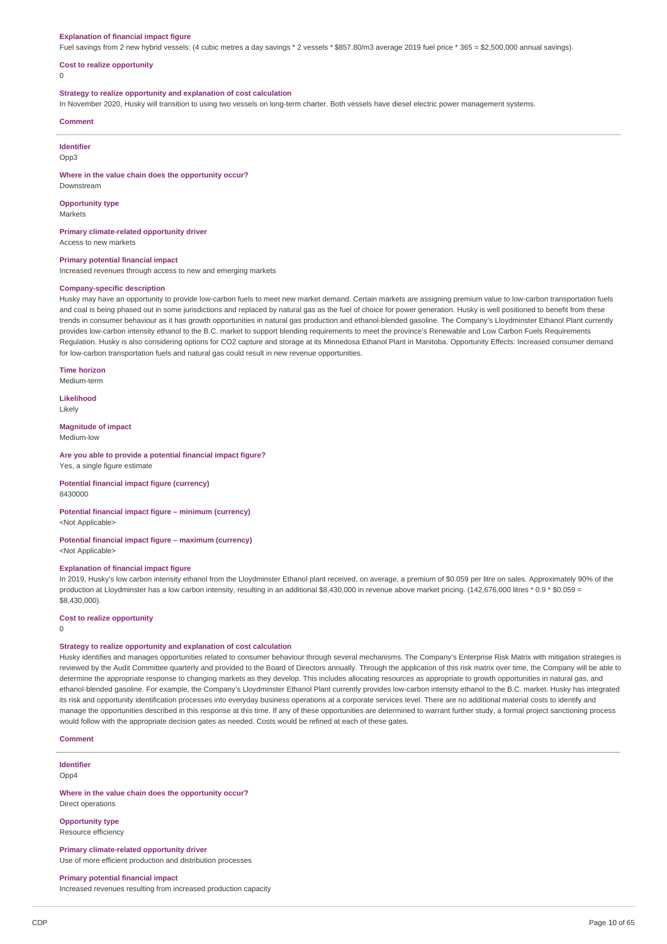#### **Explanation of financial impact figure**

Fuel savings from 2 new hybrid vessels: (4 cubic metres a day savings \* 2 vessels \* \$857.80/m3 average 2019 fuel price \* 365 = \$2,500,000 annual savings).

#### **Cost to realize opportunity**

0

#### **Strategy to realize opportunity and explanation of cost calculation**

In November 2020, Husky will transition to using two vessels on long-term charter. Both vessels have diesel electric power management systems.

#### **Comment**

**Identifier**

Opp3

**Where in the value chain does the opportunity occur?**

Downstream

**Opportunity type** Markets

**Primary climate-related opportunity driver** Access to new markets

#### **Primary potential financial impact**

Increased revenues through access to new and emerging markets

#### **Company-specific description**

Husky may have an opportunity to provide low-carbon fuels to meet new market demand. Certain markets are assigning premium value to low-carbon transportation fuels and coal is being phased out in some jurisdictions and replaced by natural gas as the fuel of choice for power generation. Husky is well positioned to benefit from these trends in consumer behaviour as it has growth opportunities in natural gas production and ethanol-blended gasoline. The Company's Lloydminster Ethanol Plant currently provides low-carbon intensity ethanol to the B.C. market to support blending requirements to meet the province's Renewable and Low Carbon Fuels Requirements Regulation. Husky is also considering options for CO2 capture and storage at its Minnedosa Ethanol Plant in Manitoba. Opportunity Effects: Increased consumer demand for low-carbon transportation fuels and natural gas could result in new revenue opportunities.

**Time horizon**

Medium-term

**Likelihood** Likely

#### **Magnitude of impact**

Medium-low

#### **Are you able to provide a potential financial impact figure?** Yes, a single figure estimate

**Potential financial impact figure (currency)** 8430000

**Potential financial impact figure – minimum (currency)** <Not Applicable>

**Potential financial impact figure – maximum (currency)**

<Not Applicable>

#### **Explanation of financial impact figure**

In 2019, Husky's low carbon intensity ethanol from the Lloydminster Ethanol plant received, on average, a premium of \$0.059 per litre on sales. Approximately 90% of the production at Lloydminster has a low carbon intensity, resulting in an additional \$8,430,000 in revenue above market pricing. (142,676,000 litres \* 0.9 \* \$0.059 = \$8,430,000).

### **Cost to realize opportunity**

0

### **Strategy to realize opportunity and explanation of cost calculation**

Husky identifies and manages opportunities related to consumer behaviour through several mechanisms. The Company's Enterprise Risk Matrix with mitigation strategies is reviewed by the Audit Committee quarterly and provided to the Board of Directors annually. Through the application of this risk matrix over time, the Company will be able to determine the appropriate response to changing markets as they develop. This includes allocating resources as appropriate to growth opportunities in natural gas, and ethanol-blended gasoline. For example, the Company's Lloydminster Ethanol Plant currently provides low-carbon intensity ethanol to the B.C. market. Husky has integrated its risk and opportunity identification processes into everyday business operations at a corporate services level. There are no additional material costs to identify and manage the opportunities described in this response at this time. If any of these opportunities are determined to warrant further study, a formal project sanctioning process would follow with the appropriate decision gates as needed. Costs would be refined at each of these gates.

**Comment**

# **Identifier**

Opp4

**Where in the value chain does the opportunity occur?** Direct operations

#### **Opportunity type** Resource efficiency

**Primary climate-related opportunity driver**

Use of more efficient production and distribution processes

# **Primary potential financial impact**

Increased revenues resulting from increased production capacity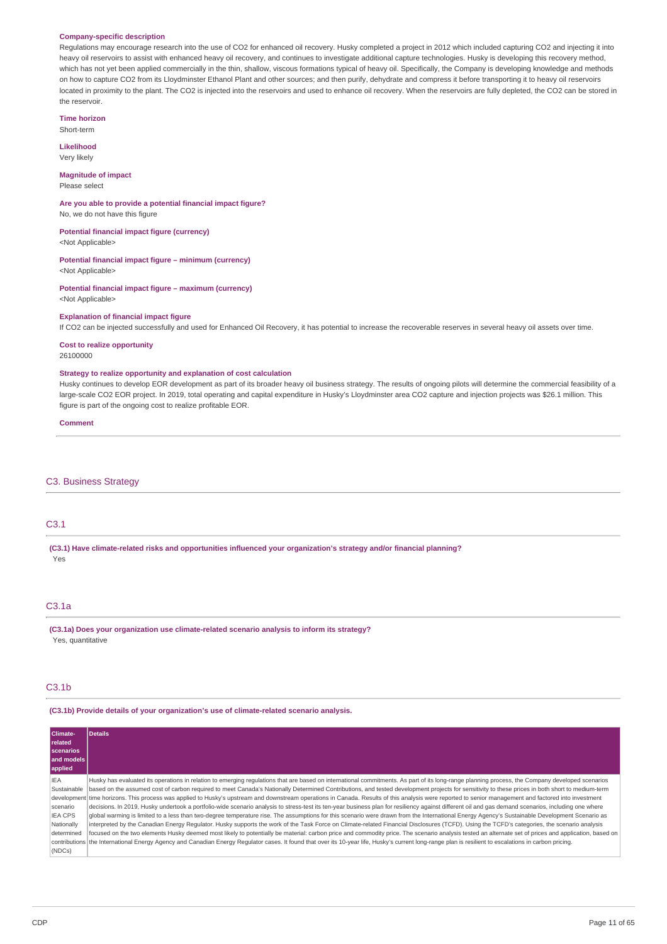#### **Company-specific description**

Regulations may encourage research into the use of CO2 for enhanced oil recovery. Husky completed a project in 2012 which included capturing CO2 and injecting it into heavy oil reservoirs to assist with enhanced heavy oil recovery, and continues to investigate additional capture technologies. Husky is developing this recovery method, which has not yet been applied commercially in the thin, shallow, viscous formations typical of heavy oil. Specifically, the Company is developing knowledge and methods on how to capture CO2 from its Lloydminster Ethanol Plant and other sources; and then purify, dehydrate and compress it before transporting it to heavy oil reservoirs located in proximity to the plant. The CO2 is injected into the reservoirs and used to enhance oil recovery. When the reservoirs are fully depleted, the CO2 can be stored in the reservoir.

**Time horizon** Short-term

**Likelihood** Very likely

#### **Magnitude of impact** Please select

**Are you able to provide a potential financial impact figure?** No, we do not have this figure

**Potential financial impact figure (currency)** <Not Applicable>

**Potential financial impact figure – minimum (currency)** <Not Applicable>

**Potential financial impact figure – maximum (currency)** <Not Applicable>

#### **Explanation of financial impact figure**

If CO2 can be injected successfully and used for Enhanced Oil Recovery, it has potential to increase the recoverable reserves in several heavy oil assets over time.

**Cost to realize opportunity**

26100000

#### **Strategy to realize opportunity and explanation of cost calculation**

Husky continues to develop EOR development as part of its broader heavy oil business strategy. The results of ongoing pilots will determine the commercial feasibility of a large-scale CO2 EOR project. In 2019, total operating and capital expenditure in Husky's Lloydminster area CO2 capture and injection projects was \$26.1 million. This figure is part of the ongoing cost to realize profitable EOR.

#### **Comment**

# C3. Business Strategy

# C3.1

**(C3.1) Have climate-related risks and opportunities influenced your organization's strategy and/or financial planning?** Yes

# C3.1a

**(C3.1a) Does your organization use climate-related scenario analysis to inform its strategy?** Yes, quantitative

#### C3.1b

**(C3.1b) Provide details of your organization's use of climate-related scenario analysis.**

| Climate-<br><b>related</b><br><b>scenarios</b><br>and models<br>applied                       | <b>Details</b>                                                                                                                                                                                                                                                                                                                                                                                                                                                                                                                                                                                                                                                                                                                                                                                                                                                                                                                                                                                                                                                                                                                                                                                                                                                                                                                                                                                                                                                                                                                                                                                                                       |
|-----------------------------------------------------------------------------------------------|--------------------------------------------------------------------------------------------------------------------------------------------------------------------------------------------------------------------------------------------------------------------------------------------------------------------------------------------------------------------------------------------------------------------------------------------------------------------------------------------------------------------------------------------------------------------------------------------------------------------------------------------------------------------------------------------------------------------------------------------------------------------------------------------------------------------------------------------------------------------------------------------------------------------------------------------------------------------------------------------------------------------------------------------------------------------------------------------------------------------------------------------------------------------------------------------------------------------------------------------------------------------------------------------------------------------------------------------------------------------------------------------------------------------------------------------------------------------------------------------------------------------------------------------------------------------------------------------------------------------------------------|
| <b>IFA</b><br>Sustainable<br>scenario<br><b>IEA CPS</b><br>Nationally<br>determined<br>(NDCs) | Husky has evaluated its operations in relation to emerging regulations that are based on international commitments. As part of its long-range planning process, the Company developed scenarios<br>based on the assumed cost of carbon required to meet Canada's Nationally Determined Contributions, and tested development projects for sensitivity to these prices in both short to medium-term<br>development time horizons. This process was applied to Husky's upstream and downstream operations in Canada. Results of this analysis were reported to senior management and factored into investment<br>decisions. In 2019, Husky undertook a portfolio-wide scenario analysis to stress-test its ten-year business plan for resiliency against different oil and gas demand scenarios, including one where<br>global warming is limited to a less than two-degree temperature rise. The assumptions for this scenario were drawn from the International Energy Agency's Sustainable Development Scenario as<br>interpreted by the Canadian Energy Regulator. Husky supports the work of the Task Force on Climate-related Financial Disclosures (TCFD). Using the TCFD's categories, the scenario analysis<br>focused on the two elements Husky deemed most likely to potentially be material: carbon price and commodity price. The scenario analysis tested an alternate set of prices and application, based on<br>contributions the International Energy Agency and Canadian Energy Regulator cases. It found that over its 10-year life, Husky's current long-range plan is resilient to escalations in carbon pricing. |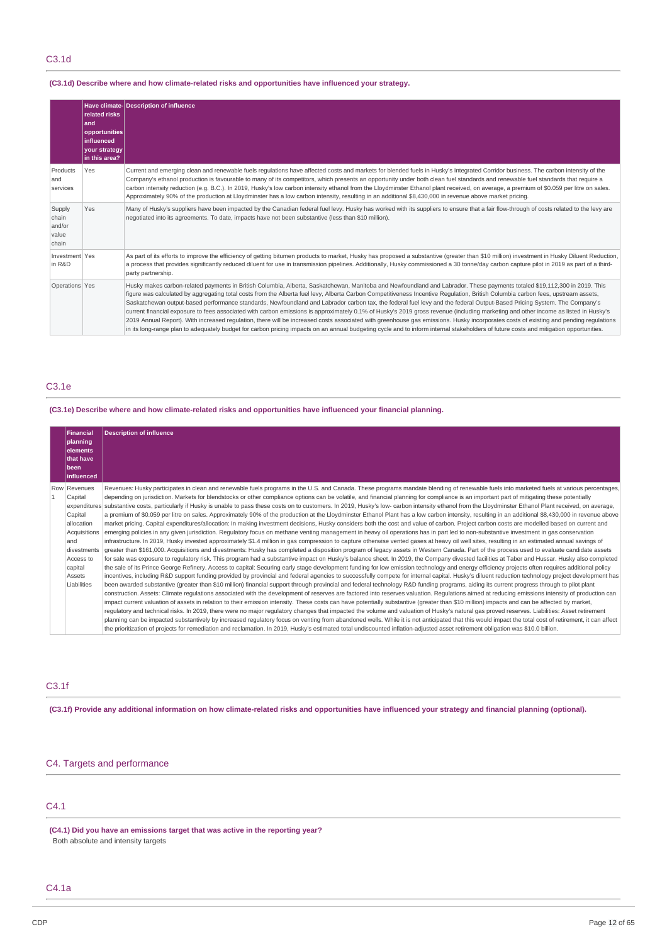# C3.1d

# **(C3.1d) Describe where and how climate-related risks and opportunities have influenced your strategy.**

|                                             | related risks<br>land<br>opportunities<br>influenced<br>your strategy<br>in this area? | Have climate-Description of influence                                                                                                                                                                                                                                                                                                                                                                                                                                                                                                                                                                                                                                                                                                                                                                                                                                                                                                                                                                                                                                                                           |
|---------------------------------------------|----------------------------------------------------------------------------------------|-----------------------------------------------------------------------------------------------------------------------------------------------------------------------------------------------------------------------------------------------------------------------------------------------------------------------------------------------------------------------------------------------------------------------------------------------------------------------------------------------------------------------------------------------------------------------------------------------------------------------------------------------------------------------------------------------------------------------------------------------------------------------------------------------------------------------------------------------------------------------------------------------------------------------------------------------------------------------------------------------------------------------------------------------------------------------------------------------------------------|
| Products<br>and<br>services                 | Yes                                                                                    | Current and emerging clean and renewable fuels regulations have affected costs and markets for blended fuels in Husky's Integrated Corridor business. The carbon intensity of the<br>Company's ethanol production is favourable to many of its competitors, which presents an opportunity under both clean fuel standards and renewable fuel standards that require a<br>carbon intensity reduction (e.g. B.C.). In 2019, Husky's low carbon intensity ethanol from the Lloydminster Ethanol plant received, on average, a premium of \$0.059 per litre on sales.<br>Approximately 90% of the production at Lloydminster has a low carbon intensity, resulting in an additional \$8,430,000 in revenue above market pricing.                                                                                                                                                                                                                                                                                                                                                                                    |
| Supply<br>chain<br>and/or<br>value<br>chain | Yes                                                                                    | Many of Husky's suppliers have been impacted by the Canadian federal fuel levy. Husky has worked with its suppliers to ensure that a fair flow-through of costs related to the levy are<br>negotiated into its agreements. To date, impacts have not been substantive (less than \$10 million).                                                                                                                                                                                                                                                                                                                                                                                                                                                                                                                                                                                                                                                                                                                                                                                                                 |
| Investment Yes<br>in R&D                    |                                                                                        | As part of its efforts to improve the efficiency of getting bitumen products to market, Husky has proposed a substantive (greater than \$10 million) investment in Husky Diluent Reduction,<br>a process that provides significantly reduced diluent for use in transmission pipelines. Additionally, Husky commissioned a 30 tonne/day carbon capture pilot in 2019 as part of a third-<br>party partnership.                                                                                                                                                                                                                                                                                                                                                                                                                                                                                                                                                                                                                                                                                                  |
| Operations Yes                              |                                                                                        | Husky makes carbon-related payments in British Columbia, Alberta, Saskatchewan, Manitoba and Newfoundland and Labrador. These payments totaled \$19,112,300 in 2019. This<br>figure was calculated by aggregating total costs from the Alberta fuel levy, Alberta Carbon Competitiveness Incentive Regulation, British Columbia carbon fees, upstream assets,<br>Saskatchewan output-based performance standards, Newfoundland and Labrador carbon tax, the federal fuel levy and the federal Output-Based Pricing System. The Company's<br>current financial exposure to fees associated with carbon emissions is approximately 0.1% of Husky's 2019 gross revenue (including marketing and other income as listed in Husky's<br>2019 Annual Report). With increased requlation, there will be increased costs associated with greenhouse gas emissions. Husky incorporates costs of existing and pending regulations<br>in its long-range plan to adequately budget for carbon pricing impacts on an annual budgeting cycle and to inform internal stakeholders of future costs and mitigation opportunities. |

# C3.1e

# **(C3.1e) Describe where and how climate-related risks and opportunities have influenced your financial planning.**

| Financial<br>planning<br>lelements<br>that have<br>l been<br><b>linfluenced</b>                                                         | <b>Description of influence</b>                                                                                                                                                                                                                                                                                                                                                                                                                                                                                                                                                                                                                                                                                                                                                                                                                                                                                                                                                                                                                                                                                                                                                                                                                                                                                                                                                                                                                                                                                                                                                                                                                                                                                                                                                                                                                                                                                                                                                                                                                                                                                                                                                                                                                                                                                                                                                                                                                                                                                                                                                                                                                                                                                                                                                                                                                                                                                                                                                                                                                                                                                                                                                                                                                                                                                                                                                                      |
|-----------------------------------------------------------------------------------------------------------------------------------------|------------------------------------------------------------------------------------------------------------------------------------------------------------------------------------------------------------------------------------------------------------------------------------------------------------------------------------------------------------------------------------------------------------------------------------------------------------------------------------------------------------------------------------------------------------------------------------------------------------------------------------------------------------------------------------------------------------------------------------------------------------------------------------------------------------------------------------------------------------------------------------------------------------------------------------------------------------------------------------------------------------------------------------------------------------------------------------------------------------------------------------------------------------------------------------------------------------------------------------------------------------------------------------------------------------------------------------------------------------------------------------------------------------------------------------------------------------------------------------------------------------------------------------------------------------------------------------------------------------------------------------------------------------------------------------------------------------------------------------------------------------------------------------------------------------------------------------------------------------------------------------------------------------------------------------------------------------------------------------------------------------------------------------------------------------------------------------------------------------------------------------------------------------------------------------------------------------------------------------------------------------------------------------------------------------------------------------------------------------------------------------------------------------------------------------------------------------------------------------------------------------------------------------------------------------------------------------------------------------------------------------------------------------------------------------------------------------------------------------------------------------------------------------------------------------------------------------------------------------------------------------------------------------------------------------------------------------------------------------------------------------------------------------------------------------------------------------------------------------------------------------------------------------------------------------------------------------------------------------------------------------------------------------------------------------------------------------------------------------------------------------------------------|
| Row Revenues<br>Capital<br>Capital<br>allocation<br>Acquisitions<br>and<br>divestments<br>Access to<br>capital<br>Assets<br>Liabilities | Revenues: Husky participates in clean and renewable fuels programs in the U.S. and Canada. These programs mandate blending of renewable fuels into marketed fuels at various percentages,<br>depending on jurisdiction. Markets for blendstocks or other compliance options can be volatile, and financial planning for compliance is an important part of mitigating these potentially<br>expenditures substantive costs, particularly if Husky is unable to pass these costs on to customers. In 2019, Husky's low-carbon intensity ethanol from the Lloydminster Ethanol Plant received, on average,<br>a premium of \$0.059 per litre on sales. Approximately 90% of the production at the Lloydminster Ethanol Plant has a low carbon intensity, resulting in an additional \$8,430,000 in revenue above<br>market pricing. Capital expenditures/allocation: In making investment decisions, Husky considers both the cost and value of carbon. Project carbon costs are modelled based on current and<br>emerging policies in any given jurisdiction. Regulatory focus on methane venting management in heavy oil operations has in part led to non-substantive investment in gas conservation<br>infrastructure. In 2019, Husky invested approximately \$1.4 million in gas compression to capture otherwise vented gases at heavy oil well sites, resulting in an estimated annual savings of<br>greater than \$161,000. Acquisitions and divestments: Husky has completed a disposition program of legacy assets in Western Canada. Part of the process used to evaluate candidate assets<br>for sale was exposure to regulatory risk. This program had a substantive impact on Husky's balance sheet. In 2019, the Company divested facilities at Taber and Hussar. Husky also completed<br>the sale of its Prince George Refinery. Access to capital: Securing early stage development funding for low emission technology and energy efficiency projects often requires additional policy<br>incentives, including R&D support funding provided by provincial and federal agencies to successfully compete for internal capital. Husky's diluent reduction technology project development has<br>been awarded substantive (greater than \$10 million) financial support through provincial and federal technology R&D funding programs, aiding its current progress through to pilot plant<br>construction. Assets: Climate regulations associated with the development of reserves are factored into reserves valuation. Regulations aimed at reducing emissions intensity of production can<br>impact current valuation of assets in relation to their emission intensity. These costs can have potentially substantive (greater than \$10 million) impacts and can be affected by market,<br>requlatory and technical risks. In 2019, there were no major requlatory changes that impacted the volume and valuation of Husky's natural gas proved reserves. Liabilities: Asset retirement<br>planning can be impacted substantively by increased regulatory focus on venting from abandoned wells. While it is not anticipated that this would impact the total cost of retirement, it can affect<br>the prioritization of projects for remediation and reclamation. In 2019, Husky's estimated total undiscounted inflation-adjusted asset retirement obligation was \$10.0 billion. |

# C3.1f

(C3.1f) Provide any additional information on how climate-related risks and opportunities have influenced your strategy and financial planning (optional).

# C4. Targets and performance

# C4.1

**(C4.1) Did you have an emissions target that was active in the reporting year?** Both absolute and intensity targets

# C4.1a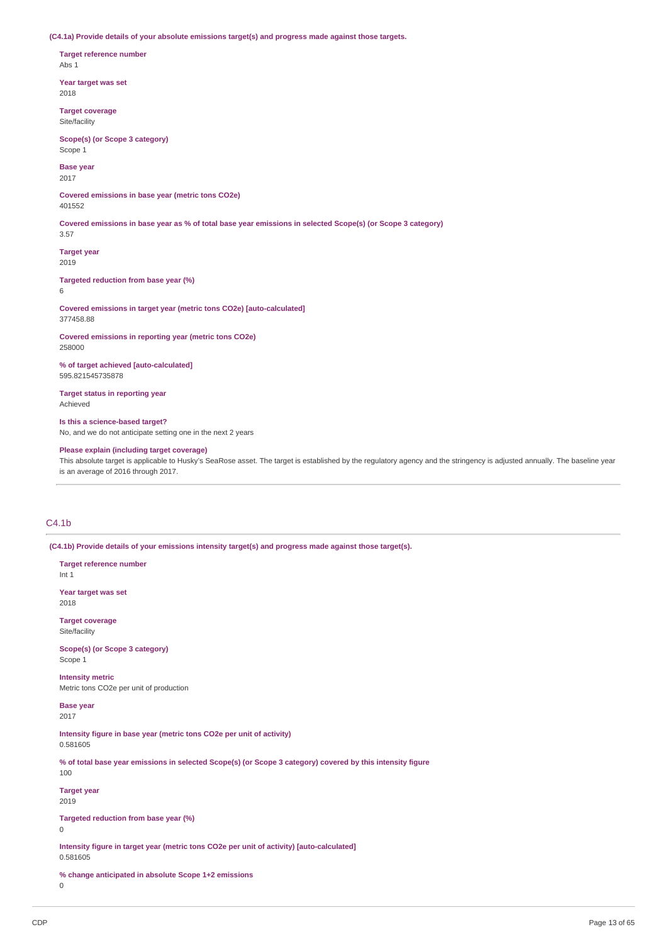**(C4.1a) Provide details of your absolute emissions target(s) and progress made against those targets.**

**Target reference number** Abs 1

**Year target was set** 2018

**Target coverage** Site/facility

**Scope(s) (or Scope 3 category)** Scope 1

**Base year** 2017

**Covered emissions in base year (metric tons CO2e)** 401552

Covered emissions in base year as % of total base year emissions in selected Scope(s) (or Scope 3 category)

**Target year** 2019

3.57

**Targeted reduction from base year (%)** 6

**Covered emissions in target year (metric tons CO2e) [auto-calculated]** 377458.88

**Covered emissions in reporting year (metric tons CO2e)** 258000

**% of target achieved [auto-calculated]** 595.821545735878

**Target status in reporting year** Achieved

**Is this a science-based target?** No, and we do not anticipate setting one in the next 2 years

**Please explain (including target coverage)**

This absolute target is applicable to Husky's SeaRose asset. The target is established by the regulatory agency and the stringency is adjusted annually. The baseline year is an average of 2016 through 2017.

# C4.1b

**(C4.1b) Provide details of your emissions intensity target(s) and progress made against those target(s).**

**Target reference number** Int 1 **Year target was set** 2018 **Target coverage** Site/facility **Scope(s) (or Scope 3 category)** Scope 1 **Intensity metric** Metric tons CO2e per unit of production **Base year** 2017 **Intensity figure in base year (metric tons CO2e per unit of activity)** 0.581605 % of total base year emissions in selected Scope(s) (or Scope 3 category) covered by this intensity figure 100 **Target year** 2019 **Targeted reduction from base year (%)**  $\Omega$ **Intensity figure in target year (metric tons CO2e per unit of activity) [auto-calculated]** 0.581605 **% change anticipated in absolute Scope 1+2 emissions**  $\Omega$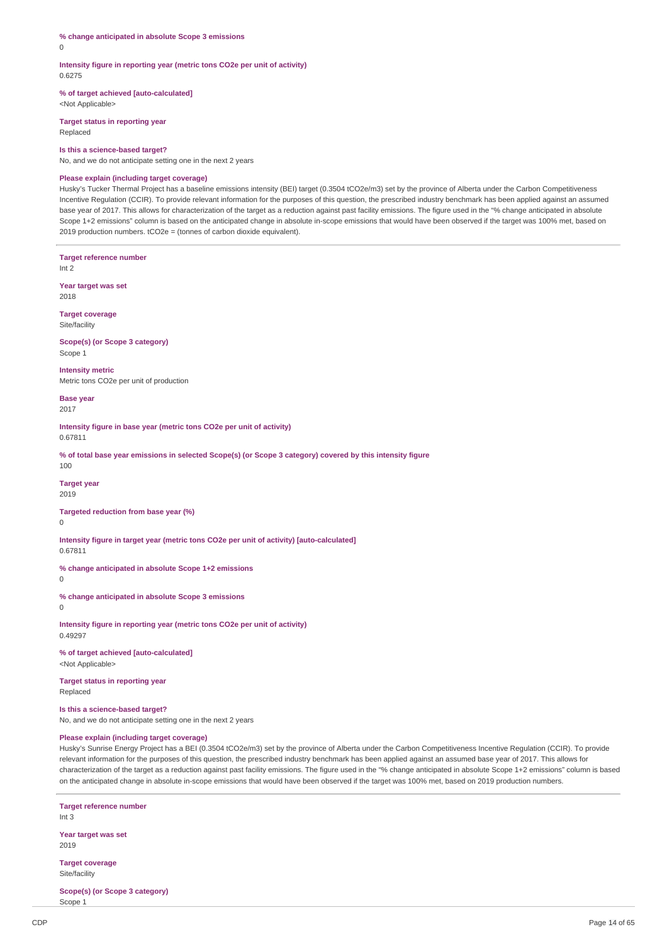**% change anticipated in absolute Scope 3 emissions**

 $\Omega$ 

**Intensity figure in reporting year (metric tons CO2e per unit of activity)** 0.6275

**% of target achieved [auto-calculated]**

<Not Applicable>

**Target status in reporting year** Replaced

#### **Is this a science-based target?**

No, and we do not anticipate setting one in the next 2 years

#### **Please explain (including target coverage)**

Husky's Tucker Thermal Project has a baseline emissions intensity (BEI) target (0.3504 tCO2e/m3) set by the province of Alberta under the Carbon Competitiveness Incentive Regulation (CCIR). To provide relevant information for the purposes of this question, the prescribed industry benchmark has been applied against an assumed base year of 2017. This allows for characterization of the target as a reduction against past facility emissions. The figure used in the "% change anticipated in absolute Scope 1+2 emissions" column is based on the anticipated change in absolute in-scope emissions that would have been observed if the target was 100% met, based on 2019 production numbers. tCO2e = (tonnes of carbon dioxide equivalent).

**Target reference number**

Int 2

**Year target was set** 2018

**Target coverage** Site/facility

**Scope(s) (or Scope 3 category)** Scope 1

**Intensity metric** Metric tons CO2e per unit of production

**Base year** 2017

**Intensity figure in base year (metric tons CO2e per unit of activity)** 0.67811

% of total base year emissions in selected Scope(s) (or Scope 3 category) covered by this intensity figure 100

**Target year**

2019

**Targeted reduction from base year (%)**

0

**Intensity figure in target year (metric tons CO2e per unit of activity) [auto-calculated]** 0.67811

**% change anticipated in absolute Scope 1+2 emissions**

0

**% change anticipated in absolute Scope 3 emissions**

0

**Intensity figure in reporting year (metric tons CO2e per unit of activity)** 0.49297

**% of target achieved [auto-calculated]** <Not Applicable>

**Target status in reporting year** Replaced

#### **Is this a science-based target?**

No, and we do not anticipate setting one in the next 2 years

# **Please explain (including target coverage)**

Husky's Sunrise Energy Project has a BEI (0.3504 tCO2e/m3) set by the province of Alberta under the Carbon Competitiveness Incentive Regulation (CCIR). To provide relevant information for the purposes of this question, the prescribed industry benchmark has been applied against an assumed base year of 2017. This allows for characterization of the target as a reduction against past facility emissions. The figure used in the "% change anticipated in absolute Scope 1+2 emissions" column is based on the anticipated change in absolute in-scope emissions that would have been observed if the target was 100% met, based on 2019 production numbers.

**Target reference number** Int 3 **Year target was set** 2019 **Target coverage**

Site/facility

**Scope(s) (or Scope 3 category)** Scope 1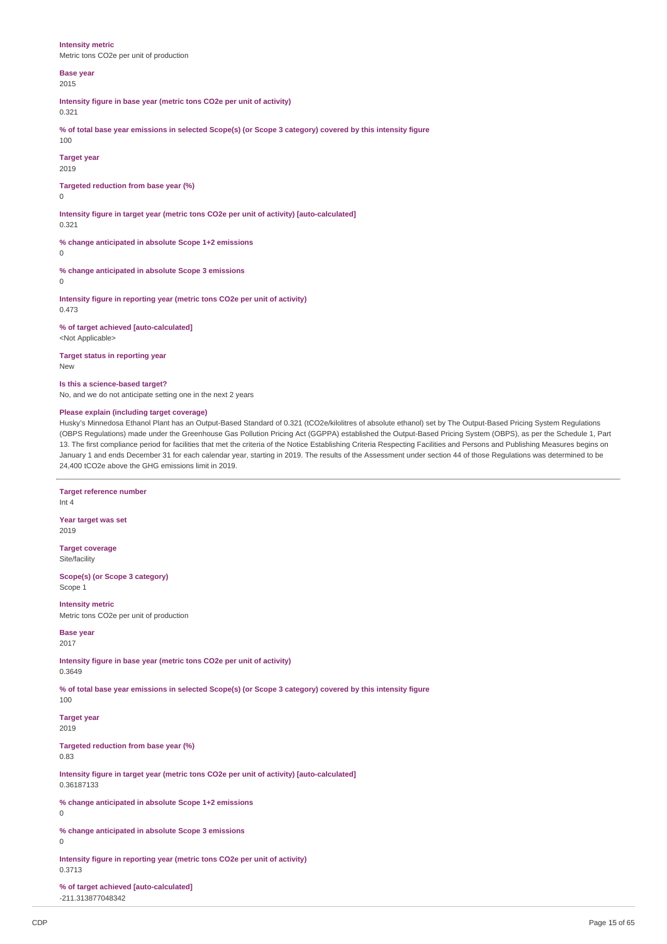**Intensity metric** Metric tons CO2e per unit of production

### **Base year**

2015

**Intensity figure in base year (metric tons CO2e per unit of activity)**

# 0.321

% of total base year emissions in selected Scope(s) (or Scope 3 category) covered by this intensity figure 100

# **Target year**

2019

#### **Targeted reduction from base year (%)**  $\cap$

**Intensity figure in target year (metric tons CO2e per unit of activity) [auto-calculated]** 0.321

**% change anticipated in absolute Scope 1+2 emissions**

 $\Omega$ 

**% change anticipated in absolute Scope 3 emissions**

 $\Omega$ 

**Intensity figure in reporting year (metric tons CO2e per unit of activity)** 0.473

**% of target achieved [auto-calculated]** <Not Applicable>

**Target status in reporting year** New

#### **Is this a science-based target?**

**Target reference number**

No, and we do not anticipate setting one in the next 2 years

# **Please explain (including target coverage)**

Husky's Minnedosa Ethanol Plant has an Output-Based Standard of 0.321 (tCO2e/kilolitres of absolute ethanol) set by The Output-Based Pricing System Regulations (OBPS Regulations) made under the Greenhouse Gas Pollution Pricing Act (GGPPA) established the Output-Based Pricing System (OBPS), as per the Schedule 1, Part 13. The first compliance period for facilities that met the criteria of the Notice Establishing Criteria Respecting Facilities and Persons and Publishing Measures begins on January 1 and ends December 31 for each calendar year, starting in 2019. The results of the Assessment under section 44 of those Regulations was determined to be 24,400 tCO2e above the GHG emissions limit in 2019.

# Int 4 **Year target was set** 2019 **Target coverage** Site/facility **Scope(s) (or Scope 3 category)** Scope 1 **Intensity metric** Metric tons CO2e per unit of production **Base year** 2017 **Intensity figure in base year (metric tons CO2e per unit of activity)** 0.3649 % of total base year emissions in selected Scope(s) (or Scope 3 category) covered by this intensity figure 100 **Target year** 2019 **Targeted reduction from base year (%)** 0.83 **Intensity figure in target year (metric tons CO2e per unit of activity) [auto-calculated]** 0.36187133 **% change anticipated in absolute Scope 1+2 emissions**  $\Omega$ **% change anticipated in absolute Scope 3 emissions**  $\Omega$ **Intensity figure in reporting year (metric tons CO2e per unit of activity)** 0.3713 **% of target achieved [auto-calculated]** -211.313877048342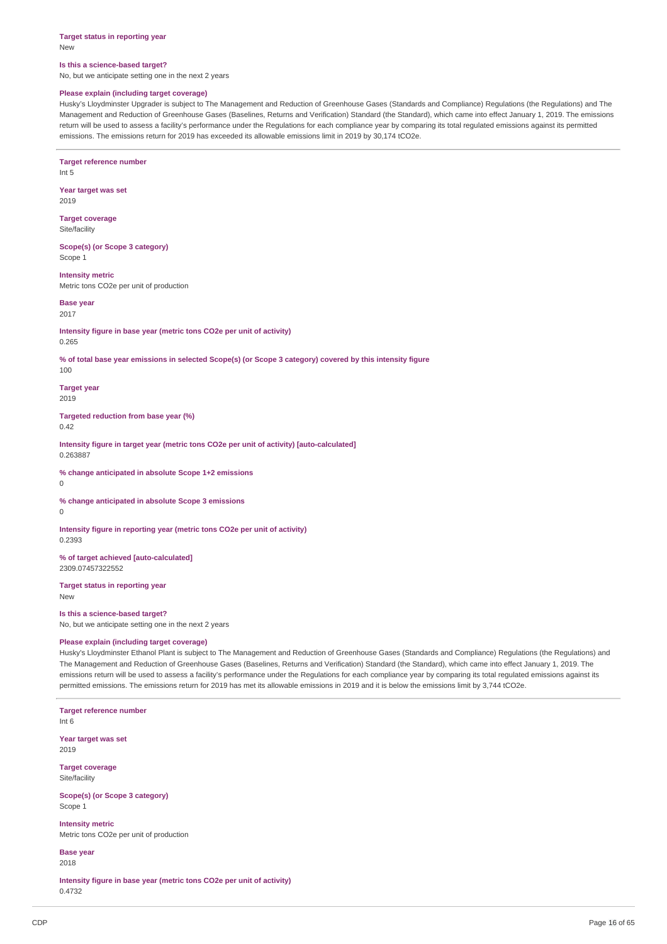#### **Target status in reporting year** New

#### **Is this a science-based target?**

**Target reference number**

No, but we anticipate setting one in the next 2 years

#### **Please explain (including target coverage)**

Husky's Lloydminster Upgrader is subject to The Management and Reduction of Greenhouse Gases (Standards and Compliance) Regulations (the Regulations) and The Management and Reduction of Greenhouse Gases (Baselines, Returns and Verification) Standard (the Standard), which came into effect January 1, 2019. The emissions return will be used to assess a facility's performance under the Regulations for each compliance year by comparing its total regulated emissions against its permitted emissions. The emissions return for 2019 has exceeded its allowable emissions limit in 2019 by 30,174 tCO2e.

Int 5 **Year target was set** 2019 **Target coverage** Site/facility **Scope(s) (or Scope 3 category)** Scope 1 **Intensity metric** Metric tons CO2e per unit of production **Base year** 2017 **Intensity figure in base year (metric tons CO2e per unit of activity)** 0.265 % of total base year emissions in selected Scope(s) (or Scope 3 category) covered by this intensity figure 100 **Target year** 2019 **Targeted reduction from base year (%)** 0.42 **Intensity figure in target year (metric tons CO2e per unit of activity) [auto-calculated]** 0.263887 **% change anticipated in absolute Scope 1+2 emissions**  $\Omega$ **% change anticipated in absolute Scope 3 emissions**  $\theta$ **Intensity figure in reporting year (metric tons CO2e per unit of activity)** 0.2393 **% of target achieved [auto-calculated]** 2309.07457322552 **Target status in reporting year** New **Is this a science-based target?** No, but we anticipate setting one in the next 2 years **Please explain (including target coverage)** Husky's Lloydminster Ethanol Plant is subject to The Management and Reduction of Greenhouse Gases (Standards and Compliance) Regulations (the Regulations) and The Management and Reduction of Greenhouse Gases (Baselines, Returns and Verification) Standard (the Standard), which came into effect January 1, 2019. The emissions return will be used to assess a facility's performance under the Regulations for each compliance year by comparing its total regulated emissions against its permitted emissions. The emissions return for 2019 has met its allowable emissions in 2019 and it is below the emissions limit by 3,744 tCO2e. **Target reference number** Int 6 **Year target was set** 2019 **Target coverage** Site/facility **Scope(s) (or Scope 3 category)** Scope 1 **Intensity metric** Metric tons CO2e per unit of production **Base year** 2018 **Intensity figure in base year (metric tons CO2e per unit of activity)**

0.4732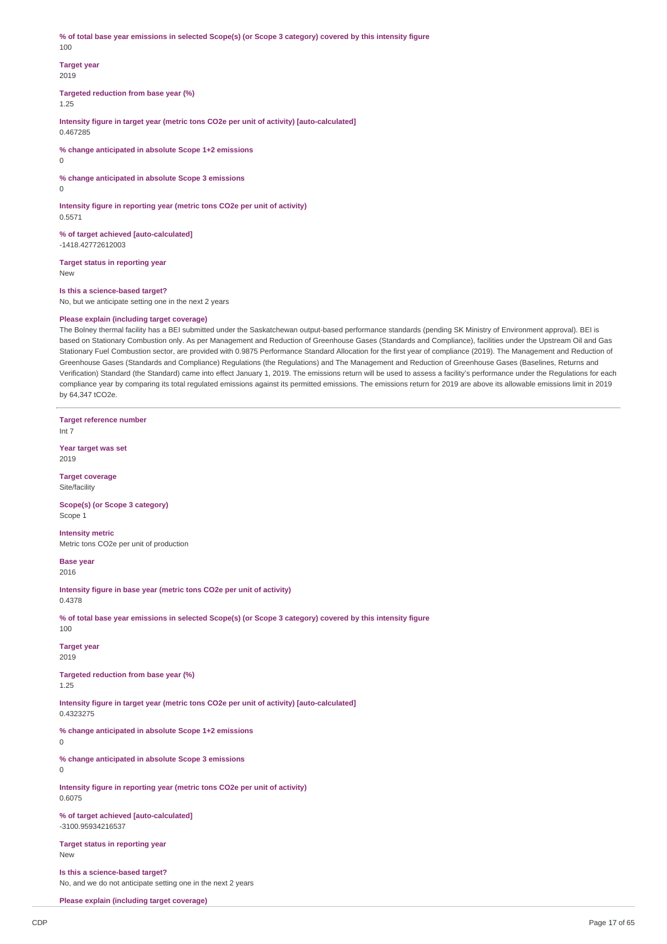% of total base year emissions in selected Scope(s) (or Scope 3 category) covered by this intensity figure 100

### **Target year** 2019

**Targeted reduction from base year (%)**

1.25

**Intensity figure in target year (metric tons CO2e per unit of activity) [auto-calculated]** 0.467285

**% change anticipated in absolute Scope 1+2 emissions**

0

**% change anticipated in absolute Scope 3 emissions**

0

**Intensity figure in reporting year (metric tons CO2e per unit of activity)** 0.5571

**% of target achieved [auto-calculated]** -1418.42772612003

**Target status in reporting year** New

**Is this a science-based target?** No, but we anticipate setting one in the next 2 years

### **Please explain (including target coverage)**

The Bolney thermal facility has a BEI submitted under the Saskatchewan output-based performance standards (pending SK Ministry of Environment approval). BEI is based on Stationary Combustion only. As per Management and Reduction of Greenhouse Gases (Standards and Compliance), facilities under the Upstream Oil and Gas Stationary Fuel Combustion sector, are provided with 0.9875 Performance Standard Allocation for the first year of compliance (2019). The Management and Reduction of Greenhouse Gases (Standards and Compliance) Regulations (the Regulations) and The Management and Reduction of Greenhouse Gases (Baselines, Returns and Verification) Standard (the Standard) came into effect January 1, 2019. The emissions return will be used to assess a facility's performance under the Regulations for each compliance year by comparing its total regulated emissions against its permitted emissions. The emissions return for 2019 are above its allowable emissions limit in 2019 by 64,347 tCO2e.

**Target reference number** Int 7

**Year target was set** 2019

**Target coverage** Site/facility

**Scope(s) (or Scope 3 category)** Scope 1

**Intensity metric** Metric tons CO2e per unit of production

**Base year** 2016

**Intensity figure in base year (metric tons CO2e per unit of activity)** 0.4378

% of total base year emissions in selected Scope(s) (or Scope 3 category) covered by this intensity figure 100

**Target year** 2019

**Targeted reduction from base year (%)** 1.25

**Intensity figure in target year (metric tons CO2e per unit of activity) [auto-calculated]**

0.4323275

**% change anticipated in absolute Scope 1+2 emissions**

0

**% change anticipated in absolute Scope 3 emissions**

 $\Omega$ 

**Intensity figure in reporting year (metric tons CO2e per unit of activity)** 0.6075

**% of target achieved [auto-calculated]** -3100.95934216537

**Target status in reporting year** New

**Is this a science-based target?** No, and we do not anticipate setting one in the next 2 years

**Please explain (including target coverage)**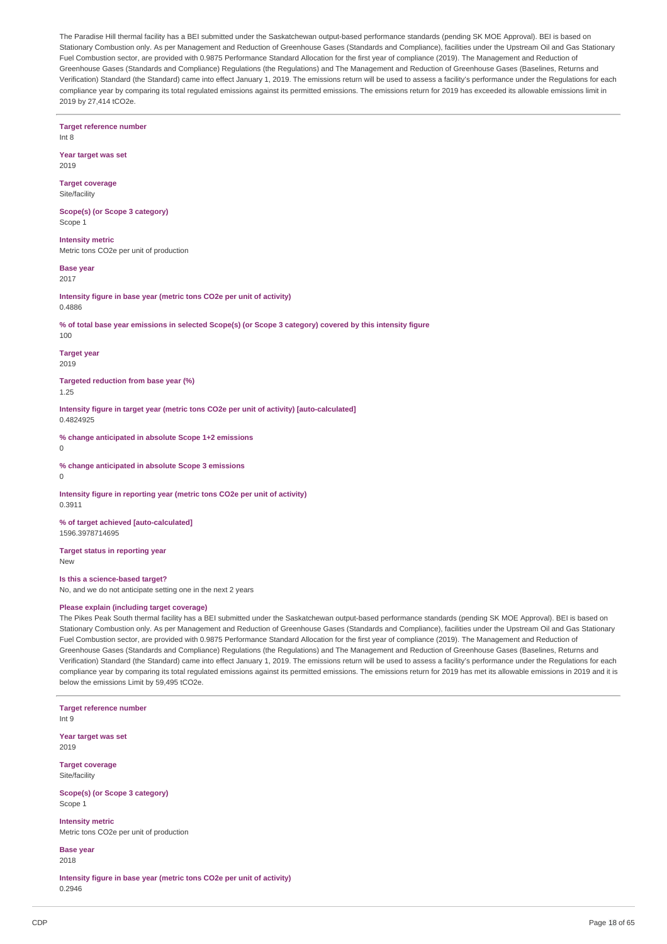The Paradise Hill thermal facility has a BEI submitted under the Saskatchewan output-based performance standards (pending SK MOE Approval). BEI is based on Stationary Combustion only. As per Management and Reduction of Greenhouse Gases (Standards and Compliance), facilities under the Upstream Oil and Gas Stationary Fuel Combustion sector, are provided with 0.9875 Performance Standard Allocation for the first year of compliance (2019). The Management and Reduction of Greenhouse Gases (Standards and Compliance) Regulations (the Regulations) and The Management and Reduction of Greenhouse Gases (Baselines, Returns and Verification) Standard (the Standard) came into effect January 1, 2019. The emissions return will be used to assess a facility's performance under the Regulations for each compliance year by comparing its total regulated emissions against its permitted emissions. The emissions return for 2019 has exceeded its allowable emissions limit in 2019 by 27,414 tCO2e.

**Target reference number** Int 8

**Year target was set** 2019

**Target coverage** Site/facility

**Scope(s) (or Scope 3 category)** Scope 1

**Intensity metric** Metric tons CO2e per unit of production

**Base year**

2017

**Intensity figure in base year (metric tons CO2e per unit of activity)** 0.4886

% of total base year emissions in selected Scope(s) (or Scope 3 category) covered by this intensity figure 100

**Target year** 2019

**Targeted reduction from base year (%)** 1.25

**Intensity figure in target year (metric tons CO2e per unit of activity) [auto-calculated]** 0.4824925

**% change anticipated in absolute Scope 1+2 emissions** 0

**% change anticipated in absolute Scope 3 emissions**

 $\Omega$ 

**Intensity figure in reporting year (metric tons CO2e per unit of activity)** 0.3911

**% of target achieved [auto-calculated]** 1596.3978714695

**Target status in reporting year** New

**Is this a science-based target?** No, and we do not anticipate setting one in the next 2 years

# **Please explain (including target coverage)**

The Pikes Peak South thermal facility has a BEI submitted under the Saskatchewan output-based performance standards (pending SK MOE Approval). BEI is based on Stationary Combustion only. As per Management and Reduction of Greenhouse Gases (Standards and Compliance), facilities under the Upstream Oil and Gas Stationary Fuel Combustion sector, are provided with 0.9875 Performance Standard Allocation for the first year of compliance (2019). The Management and Reduction of Greenhouse Gases (Standards and Compliance) Regulations (the Regulations) and The Management and Reduction of Greenhouse Gases (Baselines, Returns and Verification) Standard (the Standard) came into effect January 1, 2019. The emissions return will be used to assess a facility's performance under the Regulations for each compliance year by comparing its total regulated emissions against its permitted emissions. The emissions return for 2019 has met its allowable emissions in 2019 and it is below the emissions Limit by 59,495 tCO2e.

**Target reference number**

Int 9

**Year target was set** 2019

**Target coverage** Site/facility

**Scope(s) (or Scope 3 category)** Scope 1

**Intensity metric** Metric tons CO2e per unit of production

**Base year** 2018

**Intensity figure in base year (metric tons CO2e per unit of activity)** 0.2946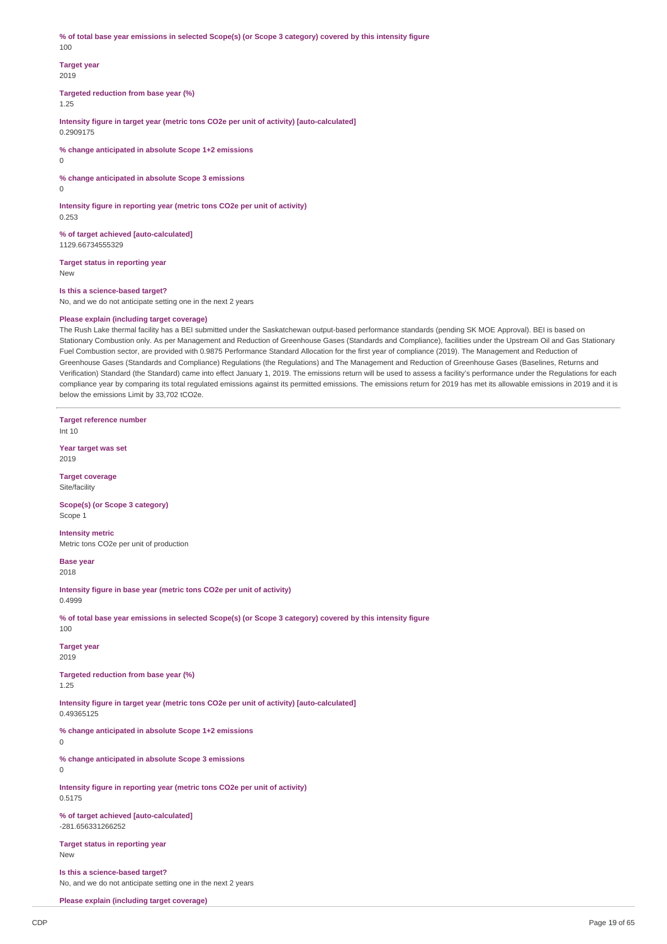% of total base year emissions in selected Scope(s) (or Scope 3 category) covered by this intensity figure 100

### **Target year** 2019

**Targeted reduction from base year (%)**

1.25

**Intensity figure in target year (metric tons CO2e per unit of activity) [auto-calculated]** 0.2909175

**% change anticipated in absolute Scope 1+2 emissions**

0

**% change anticipated in absolute Scope 3 emissions**

0

**Intensity figure in reporting year (metric tons CO2e per unit of activity)** 0.253

**% of target achieved [auto-calculated]** 1129.66734555329

**Target status in reporting year** New

**Is this a science-based target?**

No, and we do not anticipate setting one in the next 2 years

# **Please explain (including target coverage)**

The Rush Lake thermal facility has a BEI submitted under the Saskatchewan output-based performance standards (pending SK MOE Approval). BEI is based on Stationary Combustion only. As per Management and Reduction of Greenhouse Gases (Standards and Compliance), facilities under the Upstream Oil and Gas Stationary Fuel Combustion sector, are provided with 0.9875 Performance Standard Allocation for the first year of compliance (2019). The Management and Reduction of Greenhouse Gases (Standards and Compliance) Regulations (the Regulations) and The Management and Reduction of Greenhouse Gases (Baselines, Returns and Verification) Standard (the Standard) came into effect January 1, 2019. The emissions return will be used to assess a facility's performance under the Regulations for each compliance year by comparing its total regulated emissions against its permitted emissions. The emissions return for 2019 has met its allowable emissions in 2019 and it is below the emissions Limit by 33,702 tCO2e.

**Target reference number** Int 10

**Year target was set** 2019

**Target coverage** Site/facility

**Scope(s) (or Scope 3 category)** Scope 1

**Intensity metric** Metric tons CO2e per unit of production

**Base year** 2018

**Intensity figure in base year (metric tons CO2e per unit of activity)** 0.4999

% of total base year emissions in selected Scope(s) (or Scope 3 category) covered by this intensity figure 100

**Target year** 2019

**Targeted reduction from base year (%)** 1.25

**Intensity figure in target year (metric tons CO2e per unit of activity) [auto-calculated]**

0.49365125

**% change anticipated in absolute Scope 1+2 emissions**

0

**% change anticipated in absolute Scope 3 emissions**

 $\Omega$ 

**Intensity figure in reporting year (metric tons CO2e per unit of activity)** 0.5175

**% of target achieved [auto-calculated]** -281.656331266252

**Target status in reporting year** New

**Is this a science-based target?** No, and we do not anticipate setting one in the next 2 years

**Please explain (including target coverage)**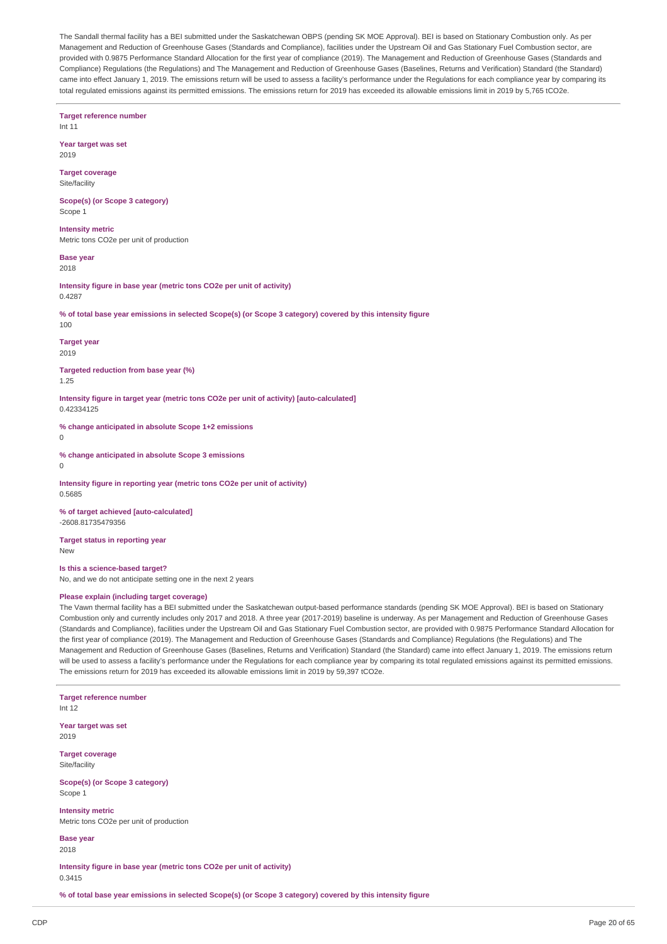The Sandall thermal facility has a BEI submitted under the Saskatchewan OBPS (pending SK MOE Approval). BEI is based on Stationary Combustion only. As per Management and Reduction of Greenhouse Gases (Standards and Compliance), facilities under the Upstream Oil and Gas Stationary Fuel Combustion sector, are provided with 0.9875 Performance Standard Allocation for the first year of compliance (2019). The Management and Reduction of Greenhouse Gases (Standards and Compliance) Regulations (the Regulations) and The Management and Reduction of Greenhouse Gases (Baselines, Returns and Verification) Standard (the Standard) came into effect January 1, 2019. The emissions return will be used to assess a facility's performance under the Regulations for each compliance year by comparing its total regulated emissions against its permitted emissions. The emissions return for 2019 has exceeded its allowable emissions limit in 2019 by 5,765 tCO2e.

**Target reference number** Int 11 **Year target was set**

**Target coverage**

2019

Site/facility

**Scope(s) (or Scope 3 category)** Scope 1

**Intensity metric** Metric tons CO2e per unit of production

**Base year** 2018

**Intensity figure in base year (metric tons CO2e per unit of activity)** 0.4287

% of total base year emissions in selected Scope(s) (or Scope 3 category) covered by this intensity figure 100

**Target year** 2019

**Targeted reduction from base year (%)**

1.25

**Intensity figure in target year (metric tons CO2e per unit of activity) [auto-calculated]** 0.42334125

**% change anticipated in absolute Scope 1+2 emissions**

 $\overline{0}$ 

**% change anticipated in absolute Scope 3 emissions**

 $\Omega$ 

**Intensity figure in reporting year (metric tons CO2e per unit of activity)** 0.5685

**% of target achieved [auto-calculated]** -2608.81735479356

**Target status in reporting year** New

**Is this a science-based target?**

No, and we do not anticipate setting one in the next 2 years

# **Please explain (including target coverage)**

The Vawn thermal facility has a BEI submitted under the Saskatchewan output-based performance standards (pending SK MOE Approval). BEI is based on Stationary Combustion only and currently includes only 2017 and 2018. A three year (2017-2019) baseline is underway. As per Management and Reduction of Greenhouse Gases (Standards and Compliance), facilities under the Upstream Oil and Gas Stationary Fuel Combustion sector, are provided with 0.9875 Performance Standard Allocation for the first year of compliance (2019). The Management and Reduction of Greenhouse Gases (Standards and Compliance) Regulations (the Regulations) and The Management and Reduction of Greenhouse Gases (Baselines, Returns and Verification) Standard (the Standard) came into effect January 1, 2019. The emissions return will be used to assess a facility's performance under the Regulations for each compliance year by comparing its total regulated emissions against its permitted emissions. The emissions return for 2019 has exceeded its allowable emissions limit in 2019 by 59,397 tCO2e.

**Target reference number** Int 12 **Year target was set** 2019 **Target coverage** Site/facility **Scope(s) (or Scope 3 category)** Scope 1 **Intensity metric** Metric tons CO2e per unit of production **Base year**

2018

**Intensity figure in base year (metric tons CO2e per unit of activity)** 0.3415

% of total base year emissions in selected Scope(s) (or Scope 3 category) covered by this intensity figure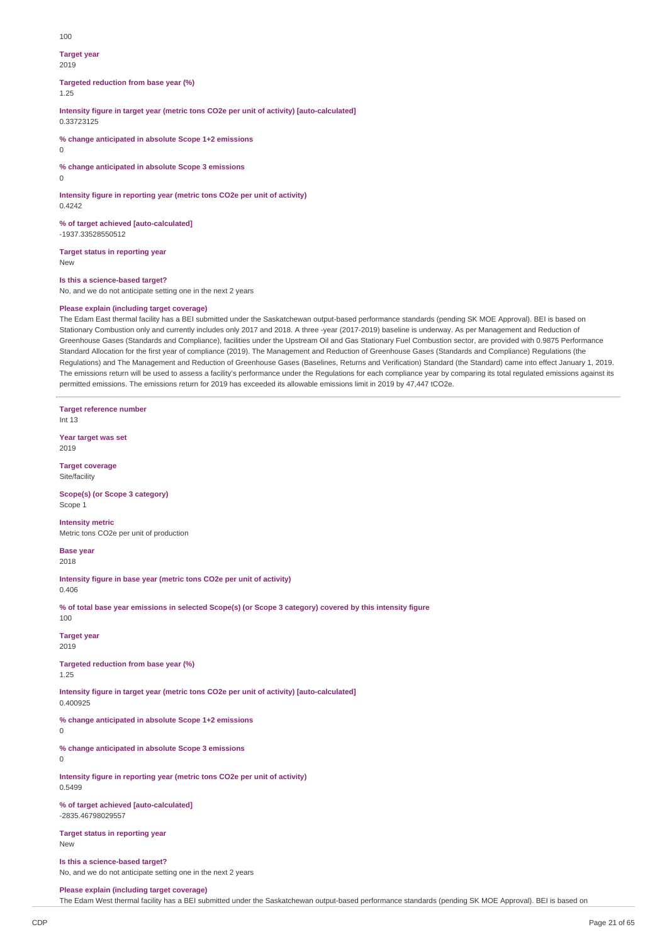#### 100

#### **Target year**

2019

**Targeted reduction from base year (%)** 1.25

**Intensity figure in target year (metric tons CO2e per unit of activity) [auto-calculated]**

0.33723125

**% change anticipated in absolute Scope 1+2 emissions**

 $\Omega$ 

**% change anticipated in absolute Scope 3 emissions**

 $\Omega$ 

0.4242

**Intensity figure in reporting year (metric tons CO2e per unit of activity)**

**% of target achieved [auto-calculated]** -1937.33528550512

**Target status in reporting year** New

**Is this a science-based target?**

No, and we do not anticipate setting one in the next 2 years

# **Please explain (including target coverage)**

The Edam East thermal facility has a BEI submitted under the Saskatchewan output-based performance standards (pending SK MOE Approval). BEI is based on Stationary Combustion only and currently includes only 2017 and 2018. A three -year (2017-2019) baseline is underway. As per Management and Reduction of Greenhouse Gases (Standards and Compliance), facilities under the Upstream Oil and Gas Stationary Fuel Combustion sector, are provided with 0.9875 Performance Standard Allocation for the first year of compliance (2019). The Management and Reduction of Greenhouse Gases (Standards and Compliance) Regulations (the Regulations) and The Management and Reduction of Greenhouse Gases (Baselines, Returns and Verification) Standard (the Standard) came into effect January 1, 2019. The emissions return will be used to assess a facility's performance under the Regulations for each compliance year by comparing its total regulated emissions against its permitted emissions. The emissions return for 2019 has exceeded its allowable emissions limit in 2019 by 47,447 tCO2e.

**Target reference number** Int 13 **Year target was set** 2019 **Target coverage** Site/facility **Scope(s) (or Scope 3 category)** Scope 1 **Intensity metric** Metric tons CO2e per unit of production **Base year** 2018 **Intensity figure in base year (metric tons CO2e per unit of activity)** 0.406 % of total base year emissions in selected Scope(s) (or Scope 3 category) covered by this intensity figure 100 **Target year** 2019 **Targeted reduction from base year (%)** 1.25 **Intensity figure in target year (metric tons CO2e per unit of activity) [auto-calculated]** 0.400925 **% change anticipated in absolute Scope 1+2 emissions % change anticipated in absolute Scope 3 emissions Intensity figure in reporting year (metric tons CO2e per unit of activity)** 0.5499 **% of target achieved [auto-calculated]** -2835.46798029557 **Target status in reporting year** New

**Is this a science-based target?** No, and we do not anticipate setting one in the next 2 years

**Please explain (including target coverage)**

The Edam West thermal facility has a BEI submitted under the Saskatchewan output-based performance standards (pending SK MOE Approval). BEI is based on

 $\overline{0}$ 

 $\Omega$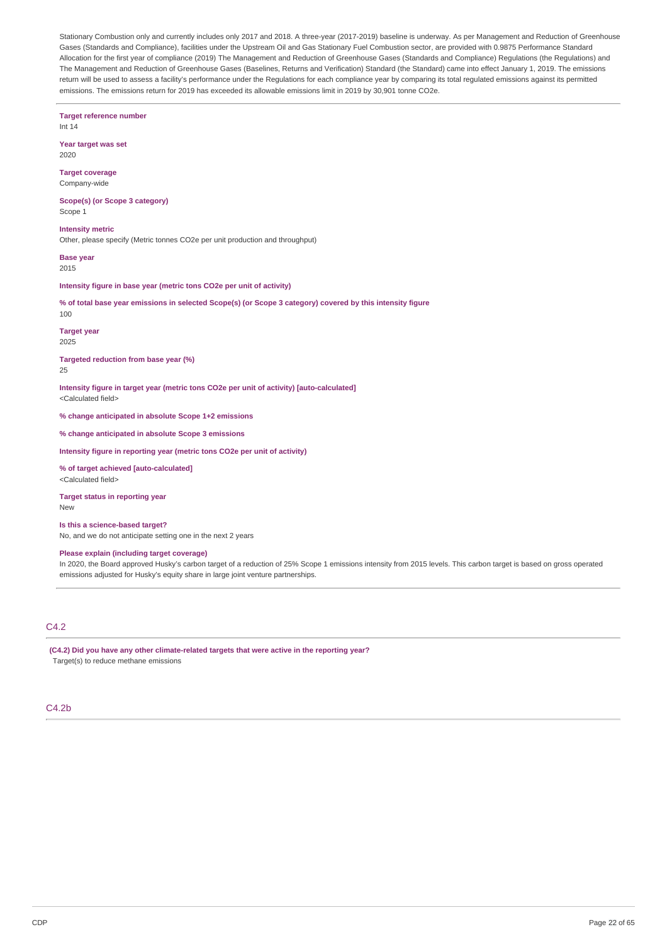Stationary Combustion only and currently includes only 2017 and 2018. A three-year (2017-2019) baseline is underway. As per Management and Reduction of Greenhouse Gases (Standards and Compliance), facilities under the Upstream Oil and Gas Stationary Fuel Combustion sector, are provided with 0.9875 Performance Standard Allocation for the first year of compliance (2019) The Management and Reduction of Greenhouse Gases (Standards and Compliance) Regulations (the Regulations) and The Management and Reduction of Greenhouse Gases (Baselines, Returns and Verification) Standard (the Standard) came into effect January 1, 2019. The emissions return will be used to assess a facility's performance under the Regulations for each compliance year by comparing its total regulated emissions against its permitted emissions. The emissions return for 2019 has exceeded its allowable emissions limit in 2019 by 30,901 tonne CO2e.

**Target reference number** Int 14 **Year target was set** 2020 **Target coverage** Company-wide **Scope(s) (or Scope 3 category)** Scope 1 **Intensity metric** Other, please specify (Metric tonnes CO2e per unit production and throughput) **Base year** 2015 **Intensity figure in base year (metric tons CO2e per unit of activity)** % of total base year emissions in selected Scope(s) (or Scope 3 category) covered by this intensity figure 100 **Target year** 2025 **Targeted reduction from base year (%)** 25 **Intensity figure in target year (metric tons CO2e per unit of activity) [auto-calculated]** <Calculated field> **% change anticipated in absolute Scope 1+2 emissions % change anticipated in absolute Scope 3 emissions Intensity figure in reporting year (metric tons CO2e per unit of activity) % of target achieved [auto-calculated]** <Calculated field> **Target status in reporting year** New **Is this a science-based target?** No, and we do not anticipate setting one in the next 2 years

# **Please explain (including target coverage)**

In 2020, the Board approved Husky's carbon target of a reduction of 25% Scope 1 emissions intensity from 2015 levels. This carbon target is based on gross operated emissions adjusted for Husky's equity share in large joint venture partnerships.

# C4.2

**(C4.2) Did you have any other climate-related targets that were active in the reporting year?** Target(s) to reduce methane emissions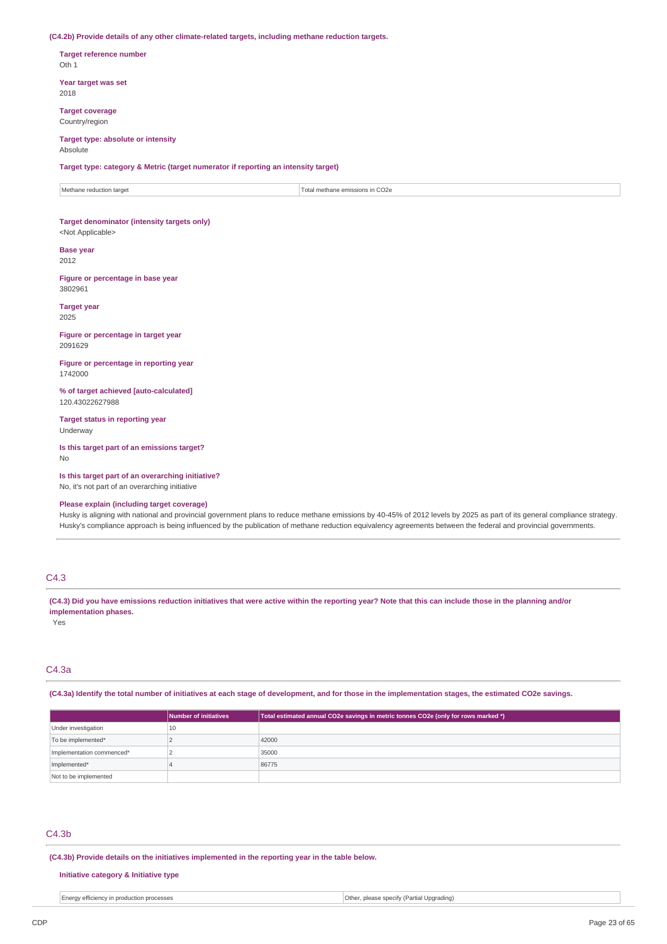**(C4.2b) Provide details of any other climate-related targets, including methane reduction targets.**

**Target reference number** Oth 1

**Year target was set** 2018

**Target coverage** Country/region

#### **Target type: absolute or intensity Absolute**

**Target type: category & Metric (target numerator if reporting an intensity target)**

Methane reduction target Total methane emissions in CO2e

### **Target denominator (intensity targets only)** <Not Applicable>

**Base year**

2012

**Figure or percentage in base year** 3802961

**Target year** 2025

**Figure or percentage in target year** 2091629

**Figure or percentage in reporting year** 1742000

**% of target achieved [auto-calculated]** 120.43022627988

**Target status in reporting year** Underway

**Is this target part of an emissions target?** No

**Is this target part of an overarching initiative?** No, it's not part of an overarching initiative

**Please explain (including target coverage)**

Husky is aligning with national and provincial government plans to reduce methane emissions by 40-45% of 2012 levels by 2025 as part of its general compliance strategy. Husky's compliance approach is being influenced by the publication of methane reduction equivalency agreements between the federal and provincial governments.

# C4.3

(C4.3) Did you have emissions reduction initiatives that were active within the reporting year? Note that this can include those in the planning and/or **implementation phases.**

Yes

# C4.3a

(C4.3a) Identify the total number of initiatives at each stage of development, and for those in the implementation stages, the estimated CO2e savings.

|                           | Number of initiatives | Total estimated annual CO2e savings in metric tonnes CO2e (only for rows marked *) |
|---------------------------|-----------------------|------------------------------------------------------------------------------------|
| Under investigation       | 10                    |                                                                                    |
| To be implemented*        |                       | 42000                                                                              |
| Implementation commenced* |                       | 35000                                                                              |
| Implemented*              |                       | 86775                                                                              |
| Not to be implemented     |                       |                                                                                    |

# C4.3b

**(C4.3b) Provide details on the initiatives implemented in the reporting year in the table below.**

# **Initiative category & Initiative type**

| n production processes | Othe                      |
|------------------------|---------------------------|
| Enera                  | Uparading                 |
| wetticiency.           | . please specity (Partial |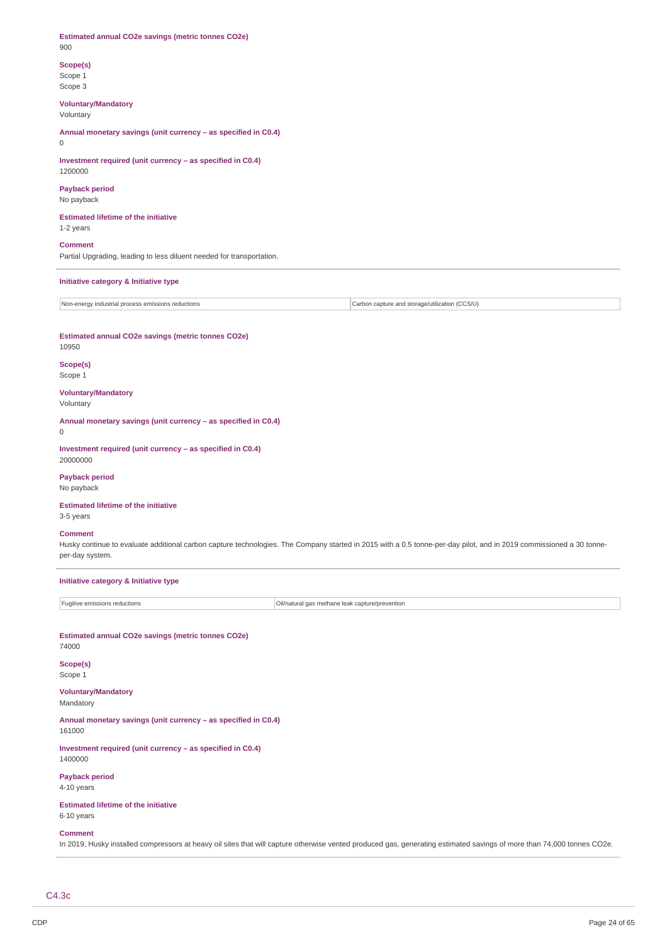**Estimated annual CO2e savings (metric tonnes CO2e)** 900

**Scope(s)** Scope 1 Scope 3

**Voluntary/Mandatory**

Voluntary

**Annual monetary savings (unit currency – as specified in C0.4)**  $\theta$ 

**Investment required (unit currency – as specified in C0.4)** 1200000

**Payback period** No payback

**Estimated lifetime of the initiative** 1-2 years

**Comment**

Partial Upgrading, leading to less diluent needed for transportation.

**Initiative category & Initiative type**

Non-energy industrial process emissions reductions Carbon capture and storage/utilization (CCS/U)

**Estimated annual CO2e savings (metric tonnes CO2e)** 10950

**Scope(s)** Scope 1

**Voluntary/Mandatory** Voluntary

**Annual monetary savings (unit currency – as specified in C0.4)** 0

**Investment required (unit currency – as specified in C0.4)** 20000000

**Payback period** No payback

**Estimated lifetime of the initiative**

3-5 years

**Comment**

Husky continue to evaluate additional carbon capture technologies. The Company started in 2015 with a 0.5 tonne-per-day pilot, and in 2019 commissioned a 30 tonneper-day system.

**Initiative category & Initiative type**

Fugitive emissions reductions **Community** Cill/natural gas methane leak capture/prevention

**Estimated annual CO2e savings (metric tonnes CO2e)** 74000

**Scope(s)** Scope 1

**Voluntary/Mandatory** Mandatory

**Annual monetary savings (unit currency – as specified in C0.4)** 161000

**Investment required (unit currency – as specified in C0.4)** 1400000

**Payback period** 4-10 years

**Estimated lifetime of the initiative**

6-10 years

**Comment**

In 2019, Husky installed compressors at heavy oil sites that will capture otherwise vented produced gas, generating estimated savings of more than 74,000 tonnes CO2e.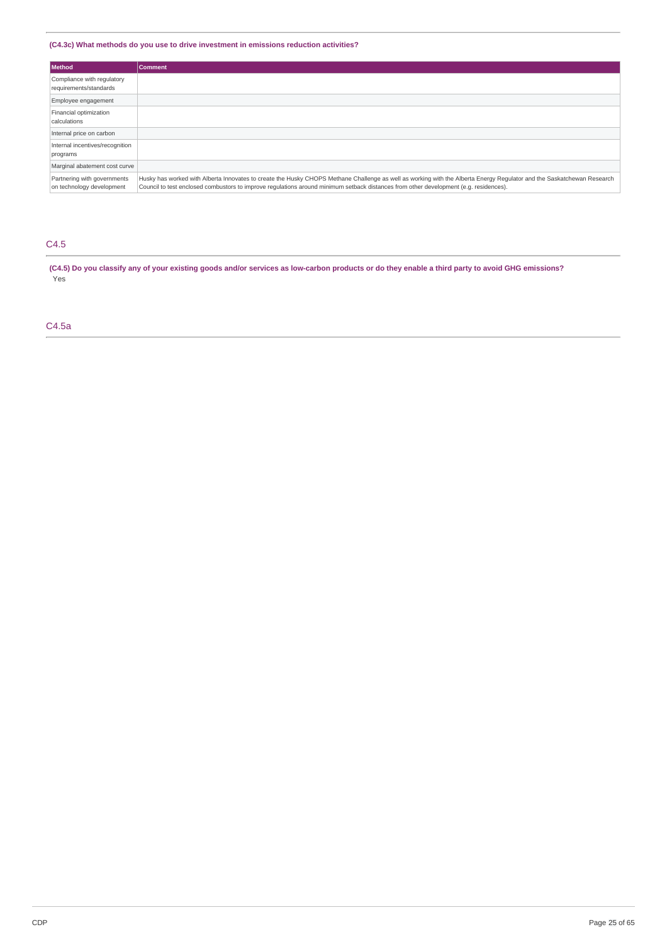# **(C4.3c) What methods do you use to drive investment in emissions reduction activities?**

| Method                                                   | <b>Comment</b>                                                                                                                                                                                                                                                                                                  |
|----------------------------------------------------------|-----------------------------------------------------------------------------------------------------------------------------------------------------------------------------------------------------------------------------------------------------------------------------------------------------------------|
| Compliance with regulatory<br>requirements/standards     |                                                                                                                                                                                                                                                                                                                 |
| Employee engagement                                      |                                                                                                                                                                                                                                                                                                                 |
| Financial optimization<br>calculations                   |                                                                                                                                                                                                                                                                                                                 |
| Internal price on carbon                                 |                                                                                                                                                                                                                                                                                                                 |
| Internal incentives/recognition<br>programs              |                                                                                                                                                                                                                                                                                                                 |
| Marginal abatement cost curve                            |                                                                                                                                                                                                                                                                                                                 |
| Partnering with governments<br>on technology development | Husky has worked with Alberta Innovates to create the Husky CHOPS Methane Challenge as well as working with the Alberta Energy Regulator and the Saskatchewan Research<br>Council to test enclosed combustors to improve requlations around minimum setback distances from other development (e.g. residences). |

# C4.5

(C4.5) Do you classify any of your existing goods and/or services as low-carbon products or do they enable a third party to avoid GHG emissions? Yes

# C4.5a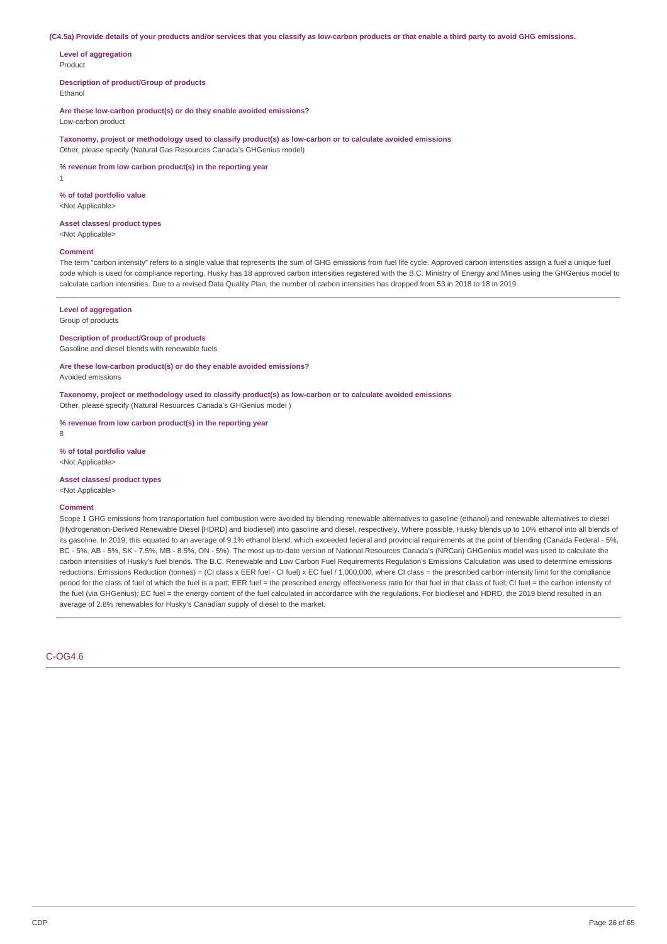(C4.5a) Provide details of your products and/or services that you classify as low-carbon products or that enable a third party to avoid GHG emissions.

**Level of aggregation** Product

**Description of product/Group of products** Ethanol

**Are these low-carbon product(s) or do they enable avoided emissions?**

Low-carbon product

**Taxonomy, project or methodology used to classify product(s) as low-carbon or to calculate avoided emissions** Other, please specify (Natural Gas Resources Canada's GHGenius model)

**% revenue from low carbon product(s) in the reporting year**

1

**% of total portfolio value** <Not Applicable>

**Asset classes/ product types**

<Not Applicable>

# **Comment**

The term "carbon intensity" refers to a single value that represents the sum of GHG emissions from fuel life cycle. Approved carbon intensities assign a fuel a unique fuel code which is used for compliance reporting. Husky has 18 approved carbon intensities registered with the B.C. Ministry of Energy and Mines using the GHGenius model to calculate carbon intensities. Due to a revised Data Quality Plan, the number of carbon intensities has dropped from 53 in 2018 to 18 in 2019.

#### **Level of aggregation**

Group of products

**Description of product/Group of products**

Gasoline and diesel blends with renewable fuels

**Are these low-carbon product(s) or do they enable avoided emissions?**

Avoided emissions

**Taxonomy, project or methodology used to classify product(s) as low-carbon or to calculate avoided emissions** Other, please specify (Natural Resources Canada's GHGenius model )

**% revenue from low carbon product(s) in the reporting year** 8

**% of total portfolio value** <Not Applicable>

**Asset classes/ product types** <Not Applicable>

#### **Comment**

Scope 1 GHG emissions from transportation fuel combustion were avoided by blending renewable alternatives to gasoline (ethanol) and renewable alternatives to diesel (Hydrogenation-Derived Renewable Diesel [HDRD] and biodiesel) into gasoline and diesel, respectively. Where possible, Husky blends up to 10% ethanol into all blends of its gasoline. In 2019, this equated to an average of 9.1% ethanol blend, which exceeded federal and provincial requirements at the point of blending (Canada Federal - 5%, BC - 5%, AB - 5%, SK - 7.5%, MB - 8.5%, ON - 5%). The most up-to-date version of National Resources Canada's (NRCan) GHGenius model was used to calculate the carbon intensities of Husky's fuel blends. The B.C. Renewable and Low Carbon Fuel Requirements Regulation's Emissions Calculation was used to determine emissions reductions. Emissions Reduction (tonnes) = (CI class x EER fuel - CI fuel) x EC fuel / 1,000,000, where CI class = the prescribed carbon intensity limit for the compliance period for the class of fuel of which the fuel is a part; EER fuel = the prescribed energy effectiveness ratio for that fuel in that class of fuel; CI fuel = the carbon intensity of the fuel (via GHGenius); EC fuel = the energy content of the fuel calculated in accordance with the regulations. For biodiesel and HDRD, the 2019 blend resulted in an average of 2.8% renewables for Husky's Canadian supply of diesel to the market.

C-OG4.6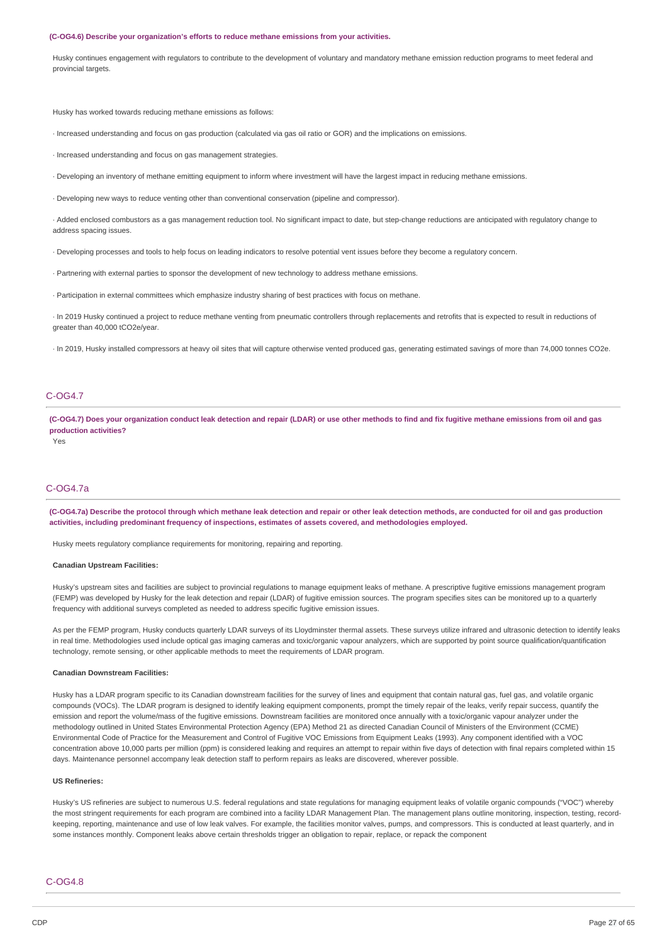#### **(C-OG4.6) Describe your organization's efforts to reduce methane emissions from your activities.**

Husky continues engagement with regulators to contribute to the development of voluntary and mandatory methane emission reduction programs to meet federal and provincial targets.

Husky has worked towards reducing methane emissions as follows:

- · Increased understanding and focus on gas production (calculated via gas oil ratio or GOR) and the implications on emissions.
- · Increased understanding and focus on gas management strategies.
- · Developing an inventory of methane emitting equipment to inform where investment will have the largest impact in reducing methane emissions.
- · Developing new ways to reduce venting other than conventional conservation (pipeline and compressor).
- · Added enclosed combustors as a gas management reduction tool. No significant impact to date, but step-change reductions are anticipated with regulatory change to address spacing issues.
- · Developing processes and tools to help focus on leading indicators to resolve potential vent issues before they become a regulatory concern.
- · Partnering with external parties to sponsor the development of new technology to address methane emissions.
- · Participation in external committees which emphasize industry sharing of best practices with focus on methane.

· In 2019 Husky continued a project to reduce methane venting from pneumatic controllers through replacements and retrofits that is expected to result in reductions of greater than 40,000 tCO2e/year.

· In 2019, Husky installed compressors at heavy oil sites that will capture otherwise vented produced gas, generating estimated savings of more than 74,000 tonnes CO2e.

# C-OG4.7

(C-OG4.7) Does your organization conduct leak detection and repair (LDAR) or use other methods to find and fix fugitive methane emissions from oil and gas **production activities?**

Yes

# C-OG4.7a

(C-OG4.7a) Describe the protocol through which methane leak detection and repair or other leak detection methods, are conducted for oil and gas production **activities, including predominant frequency of inspections, estimates of assets covered, and methodologies employed.**

Husky meets regulatory compliance requirements for monitoring, repairing and reporting.

#### **Canadian Upstream Facilities:**

Husky's upstream sites and facilities are subject to provincial regulations to manage equipment leaks of methane. A prescriptive fugitive emissions management program (FEMP) was developed by Husky for the leak detection and repair (LDAR) of fugitive emission sources. The program specifies sites can be monitored up to a quarterly frequency with additional surveys completed as needed to address specific fugitive emission issues.

As per the FEMP program, Husky conducts quarterly LDAR surveys of its Lloydminster thermal assets. These surveys utilize infrared and ultrasonic detection to identify leaks in real time. Methodologies used include optical gas imaging cameras and toxic/organic vapour analyzers, which are supported by point source qualification/quantification technology, remote sensing, or other applicable methods to meet the requirements of LDAR program.

#### **Canadian Downstream Facilities:**

Husky has a LDAR program specific to its Canadian downstream facilities for the survey of lines and equipment that contain natural gas, fuel gas, and volatile organic compounds (VOCs). The LDAR program is designed to identify leaking equipment components, prompt the timely repair of the leaks, verify repair success, quantify the emission and report the volume/mass of the fugitive emissions. Downstream facilities are monitored once annually with a toxic/organic vapour analyzer under the methodology outlined in United States Environmental Protection Agency (EPA) Method 21 as directed Canadian Council of Ministers of the Environment (CCME) Environmental Code of Practice for the Measurement and Control of Fugitive VOC Emissions from Equipment Leaks (1993). Any component identified with a VOC concentration above 10,000 parts per million (ppm) is considered leaking and requires an attempt to repair within five days of detection with final repairs completed within 15 days. Maintenance personnel accompany leak detection staff to perform repairs as leaks are discovered, wherever possible.

### **US Refineries:**

Husky's US refineries are subject to numerous U.S. federal regulations and state regulations for managing equipment leaks of volatile organic compounds ("VOC") whereby the most stringent requirements for each program are combined into a facility LDAR Management Plan. The management plans outline monitoring, inspection, testing, recordkeeping, reporting, maintenance and use of low leak valves. For example, the facilities monitor valves, pumps, and compressors. This is conducted at least quarterly, and in some instances monthly. Component leaks above certain thresholds trigger an obligation to repair, replace, or repack the component

#### C-OG4.8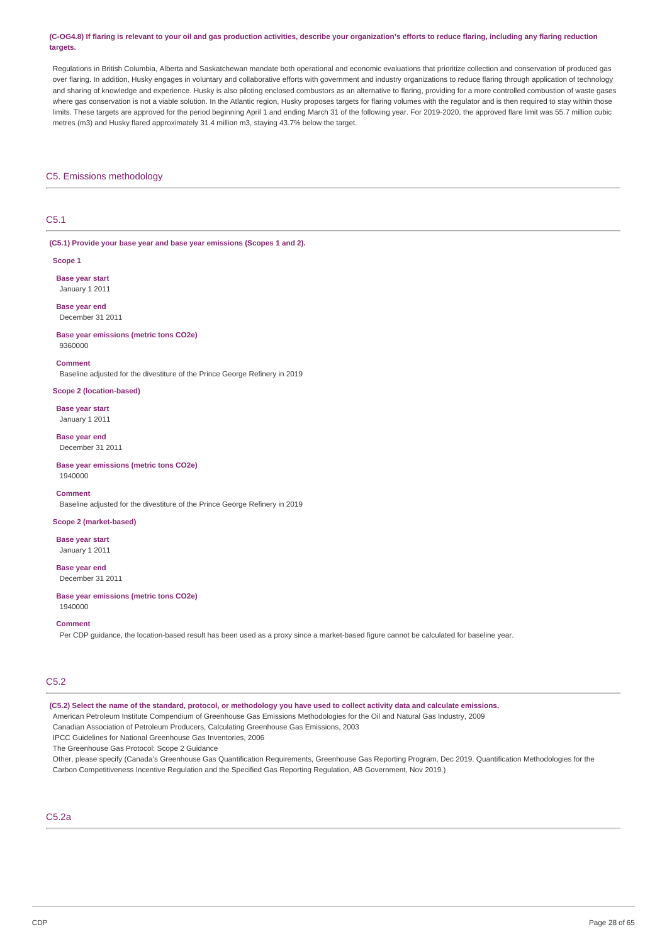#### (C-OG4.8) If flaring is relevant to your oil and gas production activities, describe your organization's efforts to reduce flaring, including any flaring reduction **targets.**

Regulations in British Columbia, Alberta and Saskatchewan mandate both operational and economic evaluations that prioritize collection and conservation of produced gas over flaring. In addition, Husky engages in voluntary and collaborative efforts with government and industry organizations to reduce flaring through application of technology and sharing of knowledge and experience. Husky is also piloting enclosed combustors as an alternative to flaring, providing for a more controlled combustion of waste gases where gas conservation is not a viable solution. In the Atlantic region, Husky proposes targets for flaring volumes with the regulator and is then required to stay within those limits. These targets are approved for the period beginning April 1 and ending March 31 of the following year. For 2019-2020, the approved flare limit was 55.7 million cubic metres (m3) and Husky flared approximately 31.4 million m3, staying 43.7% below the target.

### C5. Emissions methodology

# C5.1

**(C5.1) Provide your base year and base year emissions (Scopes 1 and 2).**

#### **Scope 1**

**Base year start** January 1 2011

**Base year end** December 31 2011

#### **Base year emissions (metric tons CO2e)** 9360000

**Comment**

Baseline adjusted for the divestiture of the Prince George Refinery in 2019

#### **Scope 2 (location-based)**

**Base year start** January 1 2011

**Base year end** December 31 2011

#### **Base year emissions (metric tons CO2e)** 1940000

#### **Comment**

Baseline adjusted for the divestiture of the Prince George Refinery in 2019

# **Scope 2 (market-based)**

**Base year start** January 1 2011

**Base year end** December 31 2011

**Base year emissions (metric tons CO2e)** 1940000

#### **Comment**

Per CDP guidance, the location-based result has been used as a proxy since a market-based figure cannot be calculated for baseline year.

# C5.2

(C5.2) Select the name of the standard, protocol, or methodology you have used to collect activity data and calculate emissions.

American Petroleum Institute Compendium of Greenhouse Gas Emissions Methodologies for the Oil and Natural Gas Industry, 2009

Canadian Association of Petroleum Producers, Calculating Greenhouse Gas Emissions, 2003

IPCC Guidelines for National Greenhouse Gas Inventories, 2006

The Greenhouse Gas Protocol: Scope 2 Guidance

Other, please specify (Canada's Greenhouse Gas Quantification Requirements, Greenhouse Gas Reporting Program, Dec 2019. Quantification Methodologies for the Carbon Competitiveness Incentive Regulation and the Specified Gas Reporting Regulation, AB Government, Nov 2019.)

# C5.2a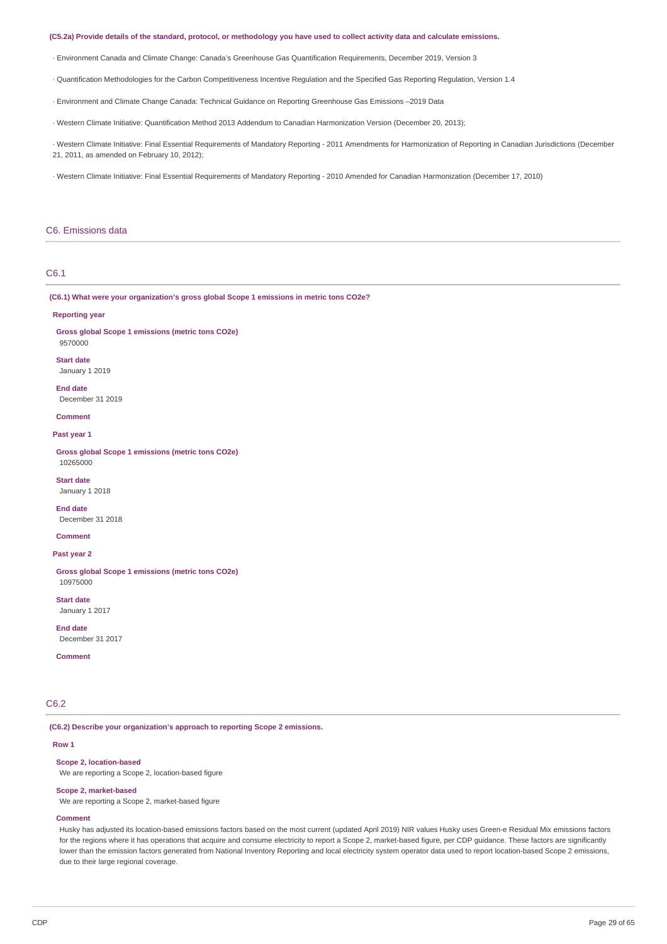#### (C5.2a) Provide details of the standard, protocol, or methodology you have used to collect activity data and calculate emissions.

· Environment Canada and Climate Change: Canada's Greenhouse Gas Quantification Requirements, December 2019, Version 3

· Quantification Methodologies for the Carbon Competitiveness Incentive Regulation and the Specified Gas Reporting Regulation, Version 1.4

· Environment and Climate Change Canada: Technical Guidance on Reporting Greenhouse Gas Emissions –2019 Data

· Western Climate Initiative: Quantification Method 2013 Addendum to Canadian Harmonization Version (December 20, 2013);

· Western Climate Initiative: Final Essential Requirements of Mandatory Reporting - 2011 Amendments for Harmonization of Reporting in Canadian Jurisdictions (December 21, 2011, as amended on February 10, 2012);

· Western Climate Initiative: Final Essential Requirements of Mandatory Reporting - 2010 Amended for Canadian Harmonization (December 17, 2010)

### C6. Emissions data

### C6.1

**(C6.1) What were your organization's gross global Scope 1 emissions in metric tons CO2e?**

#### **Reporting year**

**Gross global Scope 1 emissions (metric tons CO2e)**

# 9570000 **Start date**

January 1 2019

# **End date**

December 31 2019

**Comment**

# **Past year 1**

**Gross global Scope 1 emissions (metric tons CO2e)** 10265000

**Start date**

January 1 2018

**End date** December 31 2018

#### **Comment**

**Past year 2**

**Gross global Scope 1 emissions (metric tons CO2e)** 10975000

**Start date** January 1 2017

December 31 2017

**Comment**

**End date**

# C6.2

**(C6.2) Describe your organization's approach to reporting Scope 2 emissions.**

#### **Row 1**

### **Scope 2, location-based**

We are reporting a Scope 2, location-based figure

### **Scope 2, market-based**

We are reporting a Scope 2, market-based figure

### **Comment**

Husky has adjusted its location-based emissions factors based on the most current (updated April 2019) NIR values Husky uses Green-e Residual Mix emissions factors for the regions where it has operations that acquire and consume electricity to report a Scope 2, market-based figure, per CDP guidance. These factors are significantly lower than the emission factors generated from National Inventory Reporting and local electricity system operator data used to report location-based Scope 2 emissions, due to their large regional coverage.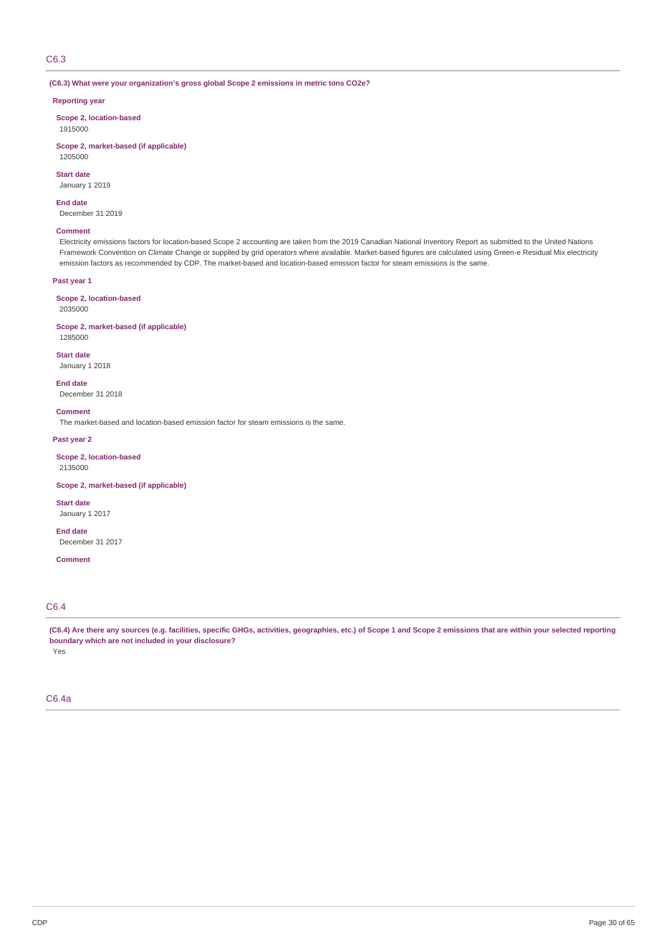# C6.3

### **(C6.3) What were your organization's gross global Scope 2 emissions in metric tons CO2e?**

### **Reporting year**

**Scope 2, location-based** 1915000

**Scope 2, market-based (if applicable)** 1205000

**Start date**

January 1 2019

**End date** December 31 2019

### **Comment**

Electricity emissions factors for location-based Scope 2 accounting are taken from the 2019 Canadian National Inventory Report as submitted to the United Nations Framework Convention on Climate Change or supplied by grid operators where available. Market-based figures are calculated using Green-e Residual Mix electricity emission factors as recommended by CDP. The market-based and location-based emission factor for steam emissions is the same.

#### **Past year 1**

**Scope 2, location-based** 2035000

# **Scope 2, market-based (if applicable)**

1285000

**Start date** January 1 2018

**End date**

December 31 2018

**Comment**

The market-based and location-based emission factor for steam emissions is the same.

#### **Past year 2**

**Scope 2, location-based** 2135000

**Scope 2, market-based (if applicable)**

**Start date** January 1 2017

**End date** December 31 2017

**Comment**

# C6.4

(C6.4) Are there any sources (e.g. facilities, specific GHGs, activities, geographies, etc.) of Scope 1 and Scope 2 emissions that are within your selected reporting **boundary which are not included in your disclosure?** Yes

### C6.4a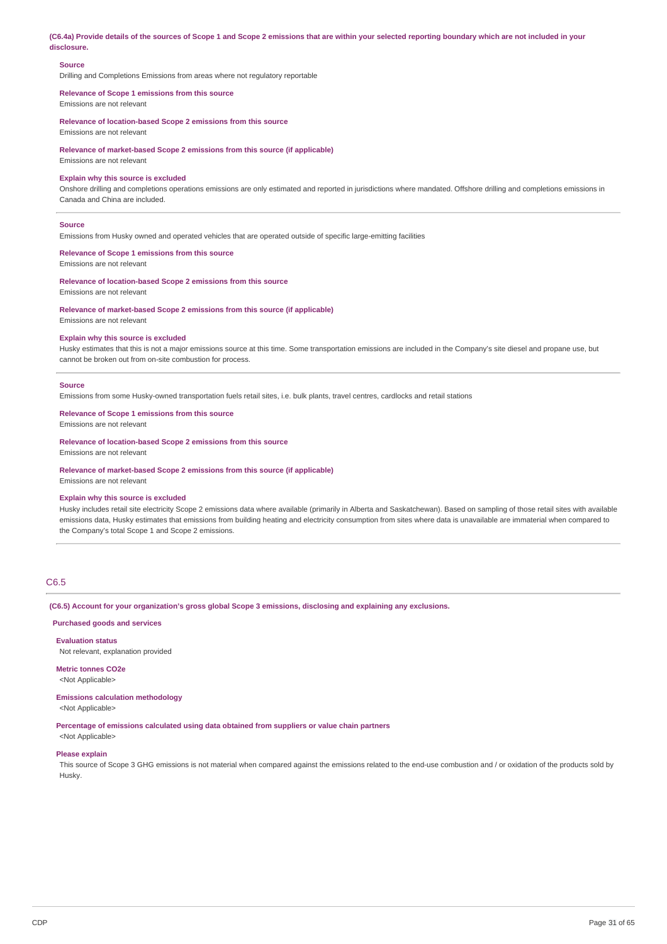(C6.4a) Provide details of the sources of Scope 1 and Scope 2 emissions that are within your selected reporting boundary which are not included in your **disclosure.**

#### **Source**

Drilling and Completions Emissions from areas where not regulatory reportable

#### **Relevance of Scope 1 emissions from this source** Emissions are not relevant

**Relevance of location-based Scope 2 emissions from this source** Emissions are not relevant

**Relevance of market-based Scope 2 emissions from this source (if applicable)**

Emissions are not relevant

### **Explain why this source is excluded**

Onshore drilling and completions operations emissions are only estimated and reported in jurisdictions where mandated. Offshore drilling and completions emissions in Canada and China are included.

#### **Source**

Emissions from Husky owned and operated vehicles that are operated outside of specific large-emitting facilities

### **Relevance of Scope 1 emissions from this source**

Emissions are not relevant

# **Relevance of location-based Scope 2 emissions from this source**

Emissions are not relevant

#### **Relevance of market-based Scope 2 emissions from this source (if applicable)**

Emissions are not relevant

# **Explain why this source is excluded**

Husky estimates that this is not a major emissions source at this time. Some transportation emissions are included in the Company's site diesel and propane use, but cannot be broken out from on-site combustion for process.

#### **Source**

Emissions from some Husky-owned transportation fuels retail sites, i.e. bulk plants, travel centres, cardlocks and retail stations

#### **Relevance of Scope 1 emissions from this source**

Emissions are not relevant

#### **Relevance of location-based Scope 2 emissions from this source**

Emissions are not relevant

#### **Relevance of market-based Scope 2 emissions from this source (if applicable)**

Emissions are not relevant

#### **Explain why this source is excluded**

Husky includes retail site electricity Scope 2 emissions data where available (primarily in Alberta and Saskatchewan). Based on sampling of those retail sites with available emissions data, Husky estimates that emissions from building heating and electricity consumption from sites where data is unavailable are immaterial when compared to the Company's total Scope 1 and Scope 2 emissions.

# C6.5

#### **(C6.5) Account for your organization's gross global Scope 3 emissions, disclosing and explaining any exclusions.**

#### **Purchased goods and services**

**Evaluation status** Not relevant, explanation provided

#### **Metric tonnes CO2e** <Not Applicable>

**Emissions calculation methodology**

<Not Applicable>

**Percentage of emissions calculated using data obtained from suppliers or value chain partners**

<Not Applicable>

### **Please explain**

This source of Scope 3 GHG emissions is not material when compared against the emissions related to the end-use combustion and / or oxidation of the products sold by Husky.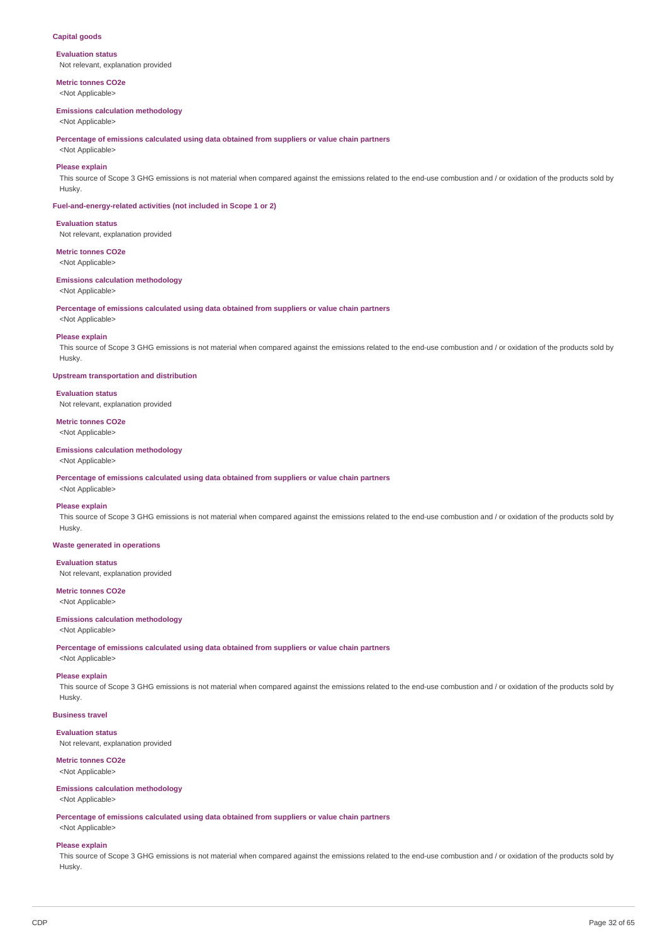### **Capital goods**

**Evaluation status** Not relevant, explanation provided

**Metric tonnes CO2e** <Not Applicable>

#### **Emissions calculation methodology**

<Not Applicable>

**Percentage of emissions calculated using data obtained from suppliers or value chain partners**

# <Not Applicable> **Please explain**

This source of Scope 3 GHG emissions is not material when compared against the emissions related to the end-use combustion and / or oxidation of the products sold by Husky.

#### **Fuel-and-energy-related activities (not included in Scope 1 or 2)**

#### **Evaluation status**

Not relevant, explanation provided

# **Metric tonnes CO2e**

<Not Applicable>

### **Emissions calculation methodology**

<Not Applicable>

**Percentage of emissions calculated using data obtained from suppliers or value chain partners**

<Not Applicable>

### **Please explain**

This source of Scope 3 GHG emissions is not material when compared against the emissions related to the end-use combustion and / or oxidation of the products sold by Husky.

**Upstream transportation and distribution**

#### **Evaluation status**

Not relevant, explanation provided

# **Metric tonnes CO2e**

<Not Applicable>

# **Emissions calculation methodology**

<Not Applicable>

**Percentage of emissions calculated using data obtained from suppliers or value chain partners**

# <Not Applicable> **Please explain**

This source of Scope 3 GHG emissions is not material when compared against the emissions related to the end-use combustion and / or oxidation of the products sold by Husky.

### **Waste generated in operations**

### **Evaluation status**

Not relevant, explanation provided

# **Metric tonnes CO2e**

<Not Applicable>

# **Emissions calculation methodology**

<Not Applicable>

**Percentage of emissions calculated using data obtained from suppliers or value chain partners**

# <Not Applicable>

### **Please explain**

This source of Scope 3 GHG emissions is not material when compared against the emissions related to the end-use combustion and / or oxidation of the products sold by Husky.

# **Business travel**

**Evaluation status**

Not relevant, explanation provided

### **Metric tonnes CO2e**

<Not Applicable>

#### **Emissions calculation methodology**

<Not Applicable>

**Percentage of emissions calculated using data obtained from suppliers or value chain partners** <Not Applicable>

#### **Please explain**

This source of Scope 3 GHG emissions is not material when compared against the emissions related to the end-use combustion and / or oxidation of the products sold by Husky.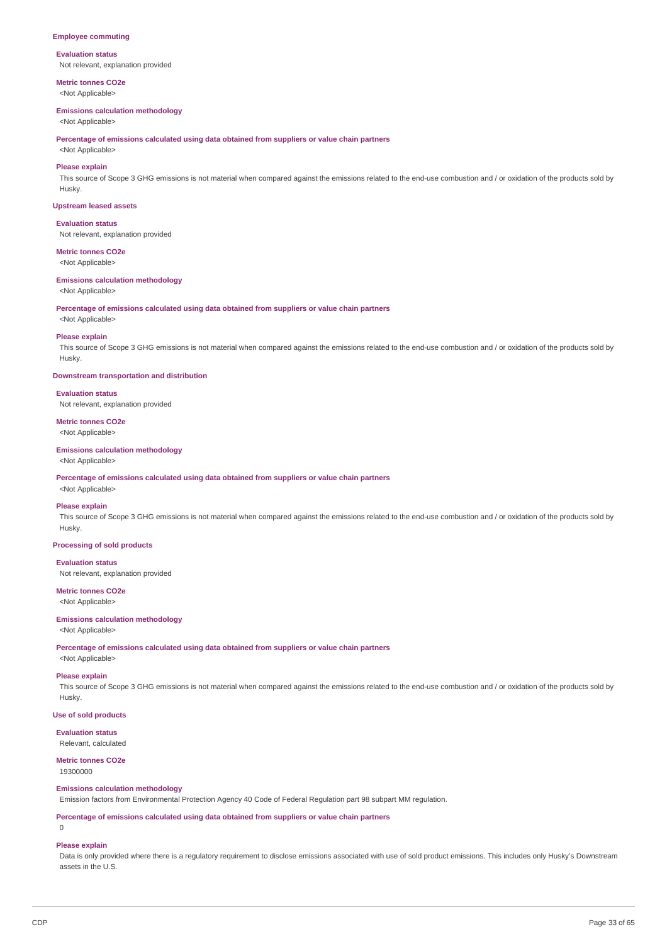#### **Employee commuting**

#### **Evaluation status**

Not relevant, explanation provided

**Metric tonnes CO2e** <Not Applicable>

#### **Emissions calculation methodology**

<Not Applicable>

**Percentage of emissions calculated using data obtained from suppliers or value chain partners**

# <Not Applicable> **Please explain**

This source of Scope 3 GHG emissions is not material when compared against the emissions related to the end-use combustion and / or oxidation of the products sold by Husky.

#### **Upstream leased assets**

**Evaluation status**

Not relevant, explanation provided

### **Metric tonnes CO2e**

<Not Applicable>

### **Emissions calculation methodology**

<Not Applicable>

**Percentage of emissions calculated using data obtained from suppliers or value chain partners**

<Not Applicable>

#### **Please explain**

This source of Scope 3 GHG emissions is not material when compared against the emissions related to the end-use combustion and / or oxidation of the products sold by Husky.

**Downstream transportation and distribution**

#### **Evaluation status**

Not relevant, explanation provided

# **Metric tonnes CO2e**

<Not Applicable>

# **Emissions calculation methodology**

<Not Applicable>

**Percentage of emissions calculated using data obtained from suppliers or value chain partners**

# <Not Applicable> **Please explain**

This source of Scope 3 GHG emissions is not material when compared against the emissions related to the end-use combustion and / or oxidation of the products sold by Husky.

#### **Processing of sold products**

### **Evaluation status**

Not relevant, explanation provided

# **Metric tonnes CO2e**

<Not Applicable>

# **Emissions calculation methodology**

<Not Applicable>

**Percentage of emissions calculated using data obtained from suppliers or value chain partners**

<Not Applicable>

#### **Please explain**

This source of Scope 3 GHG emissions is not material when compared against the emissions related to the end-use combustion and / or oxidation of the products sold by Husky.

### **Use of sold products**

**Evaluation status** Relevant, calculated

#### **Metric tonnes CO2e**

19300000

# **Emissions calculation methodology**

Emission factors from Environmental Protection Agency 40 Code of Federal Regulation part 98 subpart MM regulation.

**Percentage of emissions calculated using data obtained from suppliers or value chain partners**

 $\overline{0}$ 

### **Please explain**

Data is only provided where there is a regulatory requirement to disclose emissions associated with use of sold product emissions. This includes only Husky's Downstream assets in the U.S.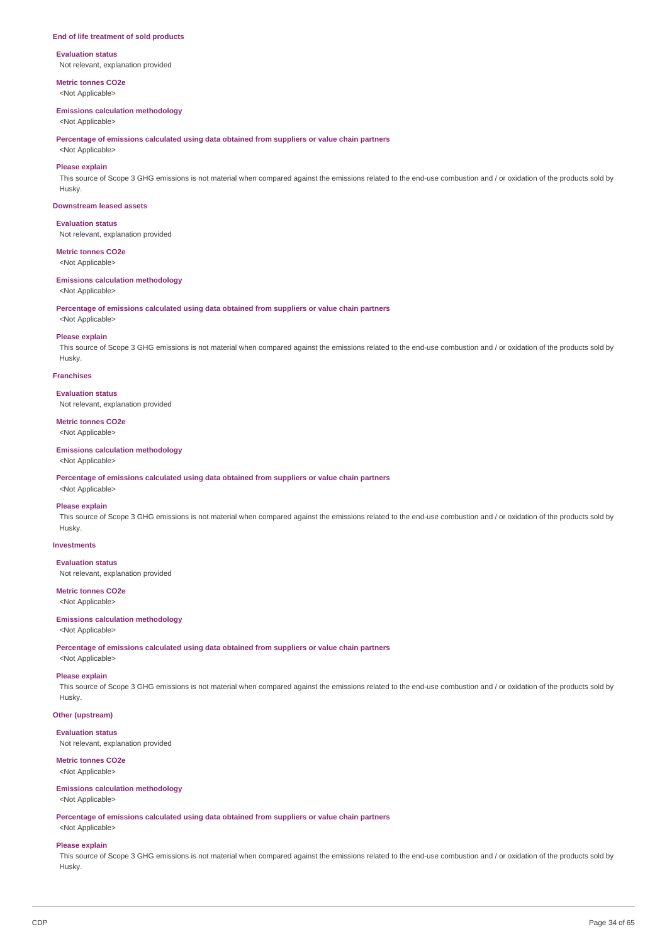#### **End of life treatment of sold products**

# **Evaluation status**

Not relevant, explanation provided

**Metric tonnes CO2e** <Not Applicable>

#### **Emissions calculation methodology**

<Not Applicable>

**Percentage of emissions calculated using data obtained from suppliers or value chain partners**

# <Not Applicable> **Please explain**

This source of Scope 3 GHG emissions is not material when compared against the emissions related to the end-use combustion and / or oxidation of the products sold by Husky.

#### **Downstream leased assets**

### **Evaluation status**

Not relevant, explanation provided

### **Metric tonnes CO2e**

<Not Applicable>

### **Emissions calculation methodology**

<Not Applicable>

**Percentage of emissions calculated using data obtained from suppliers or value chain partners**

<Not Applicable>

### **Please explain**

This source of Scope 3 GHG emissions is not material when compared against the emissions related to the end-use combustion and / or oxidation of the products sold by Husky.

### **Franchises**

#### **Evaluation status**

Not relevant, explanation provided

# **Metric tonnes CO2e**

<Not Applicable>

### **Emissions calculation methodology**

<Not Applicable>

**Percentage of emissions calculated using data obtained from suppliers or value chain partners**

# <Not Applicable>

**Please explain**

This source of Scope 3 GHG emissions is not material when compared against the emissions related to the end-use combustion and / or oxidation of the products sold by Husky.

# **Investments**

### **Evaluation status**

Not relevant, explanation provided

# **Metric tonnes CO2e**

<Not Applicable>

### **Emissions calculation methodology**

<Not Applicable>

**Percentage of emissions calculated using data obtained from suppliers or value chain partners**

# <Not Applicable>

# **Please explain**

This source of Scope 3 GHG emissions is not material when compared against the emissions related to the end-use combustion and / or oxidation of the products sold by Husky.

### **Other (upstream)**

**Evaluation status**

#### Not relevant, explanation provided

### **Metric tonnes CO2e**

<Not Applicable>

#### **Emissions calculation methodology**

<Not Applicable>

**Percentage of emissions calculated using data obtained from suppliers or value chain partners** <Not Applicable>

#### **Please explain**

This source of Scope 3 GHG emissions is not material when compared against the emissions related to the end-use combustion and / or oxidation of the products sold by Husky.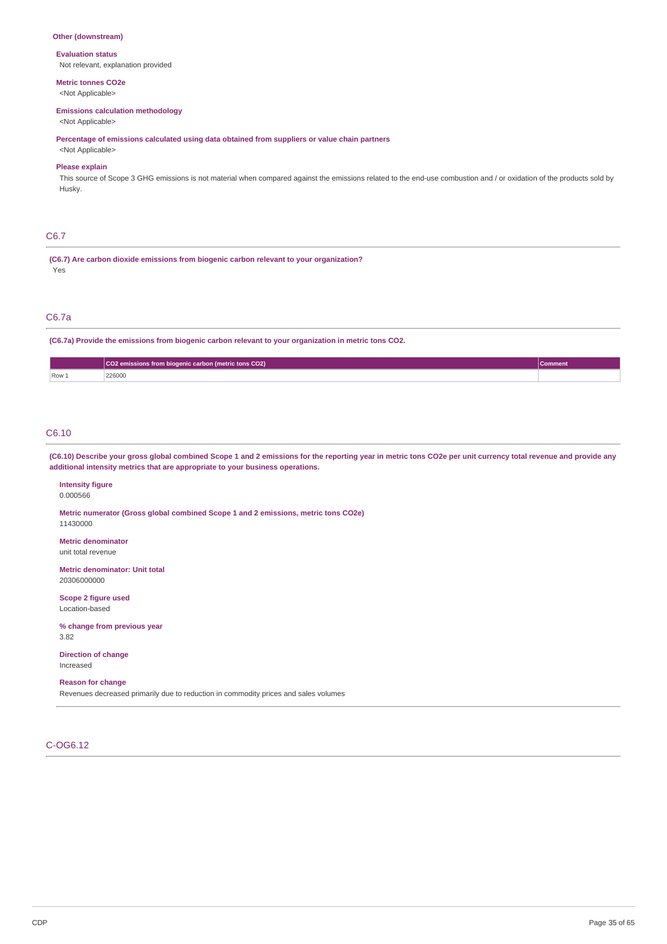# **Other (downstream)**

#### **Evaluation status**

Not relevant, explanation provided

# **Metric tonnes CO2e**

<Not Applicable>

### **Emissions calculation methodology**

<Not Applicable>

**Percentage of emissions calculated using data obtained from suppliers or value chain partners**

# <Not Applicable> **Please explain**

This source of Scope 3 GHG emissions is not material when compared against the emissions related to the end-use combustion and / or oxidation of the products sold by Husky.

# C6.7

**(C6.7) Are carbon dioxide emissions from biogenic carbon relevant to your organization?** Yes

# C6.7a

**(C6.7a) Provide the emissions from biogenic carbon relevant to your organization in metric tons CO2.**

|       | $\sqrt{\text{CO2}}$ emissions from biogenic carbon (metric tons CO2) | Comment |
|-------|----------------------------------------------------------------------|---------|
| Row 1 | 226000<br>.                                                          |         |

# C6.10

(C6.10) Describe your gross global combined Scope 1 and 2 emissions for the reporting year in metric tons CO2e per unit currency total revenue and provide any **additional intensity metrics that are appropriate to your business operations.**

# **Intensity figure**

0.000566

**Metric numerator (Gross global combined Scope 1 and 2 emissions, metric tons CO2e)** 11430000

# **Metric denominator**

unit total revenue

**Metric denominator: Unit total** 20306000000

**Scope 2 figure used** Location-based

#### **% change from previous year**

3.82

**Direction of change** Increased

### **Reason for change**

Revenues decreased primarily due to reduction in commodity prices and sales volumes

# C-OG6.12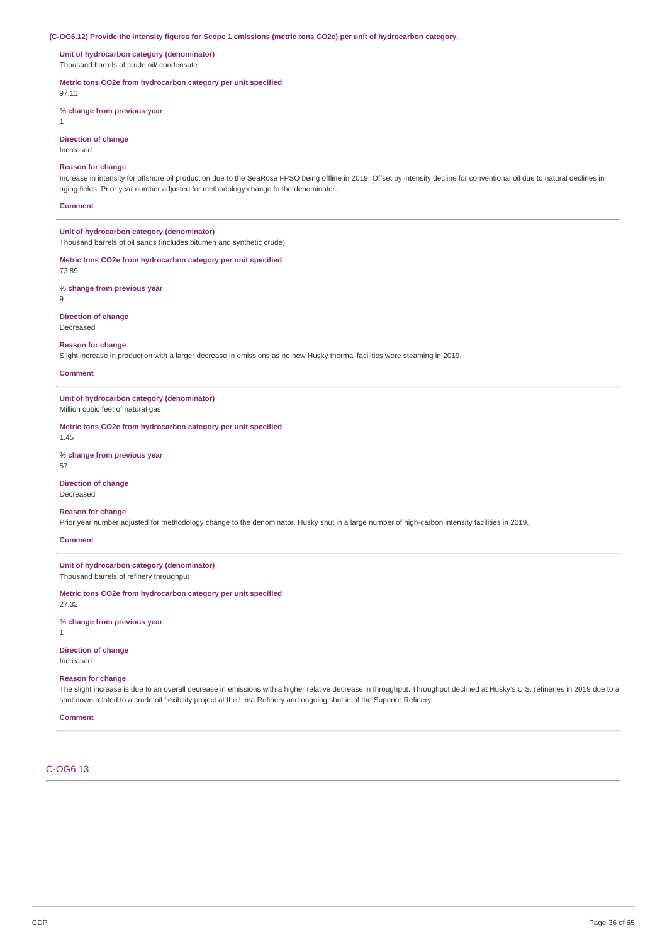#### (C-OG6.12) Provide the intensity figures for Scope 1 emissions (metric tons CO2e) per unit of hydrocarbon category.

**Unit of hydrocarbon category (denominator)** Thousand barrels of crude oil/ condensate

**Metric tons CO2e from hydrocarbon category per unit specified**

97.11

**% change from previous year**

**Direction of change**

Increased

1

# **Reason for change**

Increase in intensity for offshore oil production due to the SeaRose FPSO being offline in 2019. Offset by intensity decline for conventional oil due to natural declines in aging fields. Prior year number adjusted for methodology change to the denominator.

**Comment**

**Unit of hydrocarbon category (denominator)** Thousand barrels of oil sands (includes bitumen and synthetic crude)

**Metric tons CO2e from hydrocarbon category per unit specified**

73.89

**% change from previous year** 9

**Direction of change** Decreased

**Reason for change**

Slight increase in production with a larger decrease in emissions as no new Husky thermal facilities were steaming in 2019.

#### **Comment**

**Unit of hydrocarbon category (denominator)** Million cubic feet of natural gas

# **Metric tons CO2e from hydrocarbon category per unit specified**

1.45

# **% change from previous year**

57

# **Direction of change**

Decreased

#### **Reason for change**

Prior year number adjusted for methodology change to the denominator. Husky shut in a large number of high-carbon intensity facilities in 2019.

#### **Comment**

### **Unit of hydrocarbon category (denominator)**

Thousand barrels of refinery throughput

# **Metric tons CO2e from hydrocarbon category per unit specified**

27.32

#### **% change from previous year**

1

### **Direction of change**

Increased

#### **Reason for change**

The slight increase is due to an overall decrease in emissions with a higher relative decrease in throughput. Throughput declined at Husky's U.S. refineries in 2019 due to a shut down related to a crude oil flexibility project at the Lima Refinery and ongoing shut in of the Superior Refinery.

### **Comment**

# C-OG6.13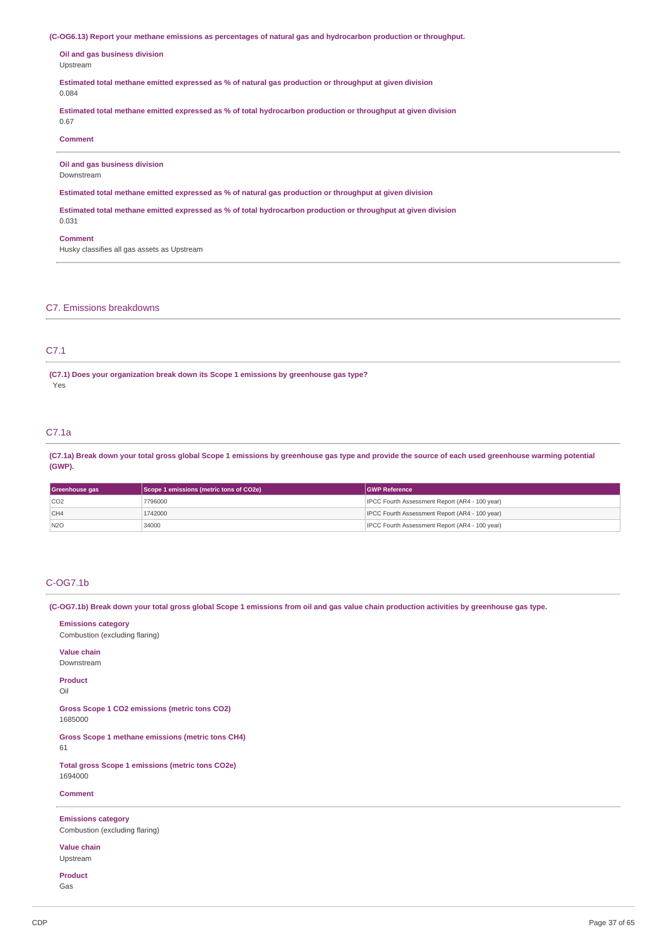**(C-OG6.13) Report your methane emissions as percentages of natural gas and hydrocarbon production or throughput.**

**Oil and gas business division** Upstream

**Estimated total methane emitted expressed as % of natural gas production or throughput at given division**

# 0.084

**Estimated total methane emitted expressed as % of total hydrocarbon production or throughput at given division**

# **Comment**

0.67

**Oil and gas business division**

# Downstream

**Estimated total methane emitted expressed as % of natural gas production or throughput at given division**

**Estimated total methane emitted expressed as % of total hydrocarbon production or throughput at given division** 0.031

#### **Comment**

Husky classifies all gas assets as Upstream

#### C7. Emissions breakdowns

# C7.1

**(C7.1) Does your organization break down its Scope 1 emissions by greenhouse gas type?** Yes

# C7.1a

(C7.1a) Break down your total gross global Scope 1 emissions by greenhouse gas type and provide the source of each used greenhouse warming potential **(GWP).**

| Scope 1 emissions (metric tons of CO2e)<br><b>IGWP Reference</b><br>Greenhouse gas |         |                                                       |
|------------------------------------------------------------------------------------|---------|-------------------------------------------------------|
| CO2                                                                                | 7796000 | IPCC Fourth Assessment Report (AR4 - 100 year)        |
| CH4                                                                                | 1742000 | <b>IPCC Fourth Assessment Report (AR4 - 100 year)</b> |
| N2O                                                                                | 34000   | IPCC Fourth Assessment Report (AR4 - 100 year)        |

# C-OG7.1b

(C-OG7.1b) Break down your total gross global Scope 1 emissions from oil and gas value chain production activities by greenhouse gas type.

**Emissions category** Combustion (excluding flaring) **Value chain** Downstream **Product** Oil **Gross Scope 1 CO2 emissions (metric tons CO2)** 1685000 **Gross Scope 1 methane emissions (metric tons CH4)** 61 **Total gross Scope 1 emissions (metric tons CO2e)** 1694000 **Comment Emissions category** Combustion (excluding flaring) **Value chain** Upstream

**Product** Gas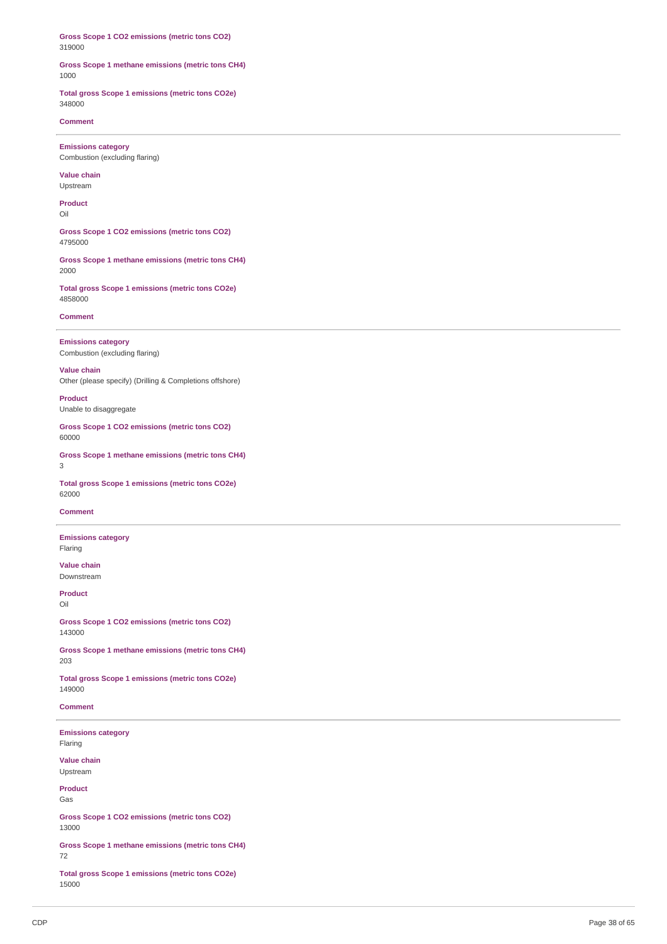Gross Scope 1 CO2 emissions (metric tons CO2) 3 1 9 0 0 0

#### Gross Scope 1 methane emissions (metric tons CH4) 1 0 0 0

**Total gross Scope 1 emissions (metric tons CO2e)** 3 4 8 0 0 0

**Comment** 

**Emissions category** Combustion (excluding flaring)

**V alu e c h ain** Upstream

**Product** Oil

Gross Scope 1 CO2 emissions (metric tons CO2) 4 7 9 5 0 0 0

Gross Scope 1 methane emissions (metric tons CH4) 2 0 0 0

**Total gross Scope 1 emissions (metric tons CO2e)** 4 8 5 8 0 0 0

**Comment** 

**Emissions category** Combustion (excluding flaring)

**V alu e c h ain** Other (please specify) (Drilling & Completions offshore)

**Product** Unable to disaggregate

Gross Scope 1 CO2 emissions (metric tons CO2) 6 0 0 0 0

**Gross Scope 1 methane emissions (metric tons CH4)** 3

**Total gross Scope 1 emissions (metric tons CO2e)** 6 2 0 0 0

**Comment** 

**Emissions category** Fla rin g

**V alu e c h ain** Downstream

**Product** Oil

Gross Scope 1 CO2 emissions (metric tons CO2) 1 4 3 0 0 0

Gross Scope 1 methane emissions (metric tons CH4) 2 0 3

**Total gross Scope 1 emissions (metric tons CO2e)** 1 4 9 0 0 0

**Comment** 

**Emissions category** Fla rin g

**V alu e c h ain** Upstream

**Product** G a s

Gross Scope 1 CO2 emissions (metric tons CO2) 1 3 0 0 0

Gross Scope 1 methane emissions (metric tons CH4) 7 2

**Total gross Scope 1 emissions (metric tons CO2e)** 1 5 0 0 0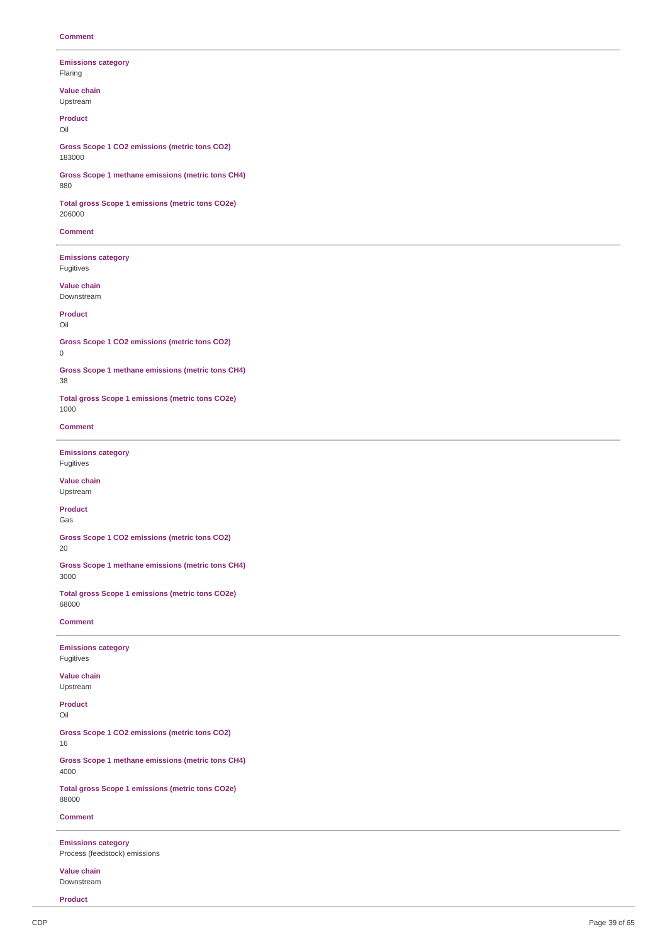**Emissions category** Fla rin g

**V alu e c h ain** Upstream

**Product** Oil

Gross Scope 1 CO2 emissions (metric tons CO2) 1 8 3 0 0 0

**Gross Scope 1 methane emissions (metric tons CH4)** 8 8 0

**Total gross Scope 1 emissions (metric tons CO2e)** 206000

**Comment** 

**Emissions category Fugitives** 

**V alu e c h ain** Downstream

**Product** Oil

Gross Scope 1 CO2 emissions (metric tons CO2) 0

Gross Scope 1 methane emissions (metric tons CH4)

3 8

**Total gross Scope 1 emissions (metric tons CO2e)** 1 0 0 0

**Comment** 

**Emissions category Fugitives** 

**V alu e c h ain** Upstream

**Product** G a s

Gross Scope 1 CO2 emissions (metric tons CO2) 2 0

Gross Scope 1 methane emissions (metric tons CH4) 3 0 0 0

**Total gross Scope 1 emissions (metric tons CO2e)** 6 8 0 0 0

**Comment** 

**Emissions category Fugitives** 

**V alu e c h ain** Upstream

**Product** 

Oil

Gross Scope 1 CO2 emissions (metric tons CO2)

1 6

Gross Scope 1 methane emissions (metric tons CH4) 4 0 0 0

**Total gross Scope 1 emissions (metric tons CO2e)** 8 8 0 0 0

**Comment** 

**Emissions category** Process (feedstock) emissions

**V alu e c h ain** Downstream

**Product**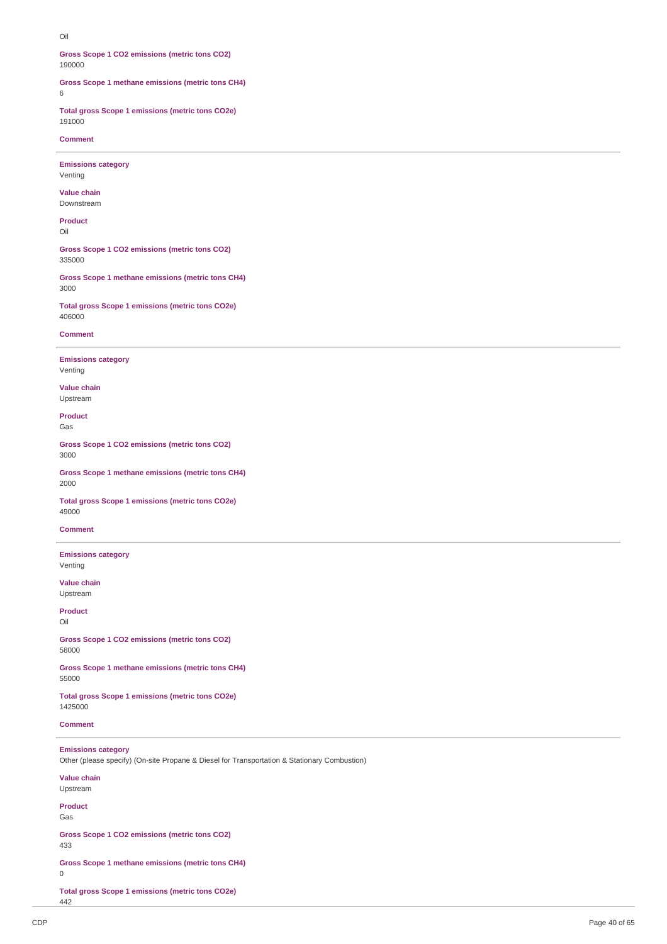Oil

**Gross Scope 1 CO2 emissions (metric tons CO2)** 190000

**Gross Scope 1 methane emissions (metric tons CH4)**

6

**Total gross Scope 1 emissions (metric tons CO2e)** 191000

**Comment**

**Emissions category** Venting

**Value chain** Downstream

**Product** Oil

**Gross Scope 1 CO2 emissions (metric tons CO2)** 335000

**Gross Scope 1 methane emissions (metric tons CH4)** 3000

**Total gross Scope 1 emissions (metric tons CO2e)** 406000

#### **Comment**

**Emissions category** Venting

**Value chain** Upstream

**Product** Gas

**Gross Scope 1 CO2 emissions (metric tons CO2)** 3000

**Gross Scope 1 methane emissions (metric tons CH4)** 2000

**Total gross Scope 1 emissions (metric tons CO2e)** 49000

**Comment**

**Emissions category** Venting

**Value chain** Upstream

**Product** Oil

**Gross Scope 1 CO2 emissions (metric tons CO2)** 58000

**Gross Scope 1 methane emissions (metric tons CH4)** 55000

**Total gross Scope 1 emissions (metric tons CO2e)** 1425000

**Comment**

**Emissions category** Other (please specify) (On-site Propane & Diesel for Transportation & Stationary Combustion) **Value chain** Upstream **Product** Gas

**Gross Scope 1 CO2 emissions (metric tons CO2)** 433

**Gross Scope 1 methane emissions (metric tons CH4)**

0

**Total gross Scope 1 emissions (metric tons CO2e)** 442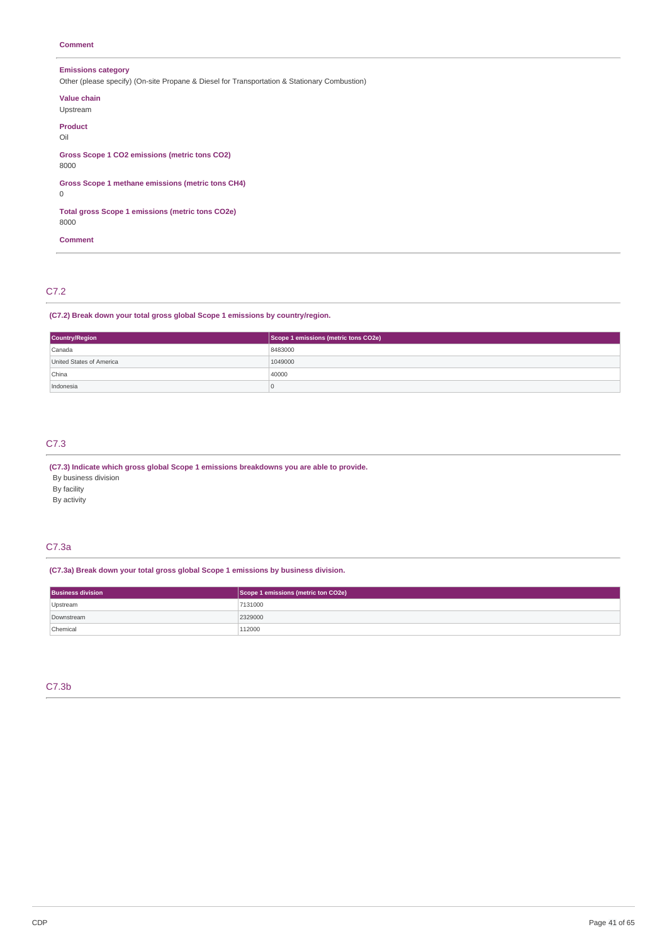# **Comment**

# **Emissions category**

Other (please specify) (On-site Propane & Diesel for Transportation & Stationary Combustion)

**Value chain** Upstream **Product** Oil **Gross Scope 1 CO2 emissions (metric tons CO2)** 8000 **Gross Scope 1 methane emissions (metric tons CH4)** 0 **Total gross Scope 1 emissions (metric tons CO2e)** 8000

**Comment**

# C7.2

**(C7.2) Break down your total gross global Scope 1 emissions by country/region.**

| <b>Country/Region</b>    | Scope 1 emissions (metric tons CO2e) |
|--------------------------|--------------------------------------|
| Canada                   | 8483000                              |
| United States of America | 1049000                              |
| China                    | 40000                                |
| Indonesia                |                                      |

# C7.3

**(C7.3) Indicate which gross global Scope 1 emissions breakdowns you are able to provide.**

By business division

By facility

By activity

# C7.3a

**(C7.3a) Break down your total gross global Scope 1 emissions by business division.**

| <b>Business division</b> | Scope 1 emissions (metric ton CO2e) |
|--------------------------|-------------------------------------|
| Upstream                 | 7131000                             |
| Downstream               | 2329000                             |
| Chemical                 | 112000                              |

# C7.3b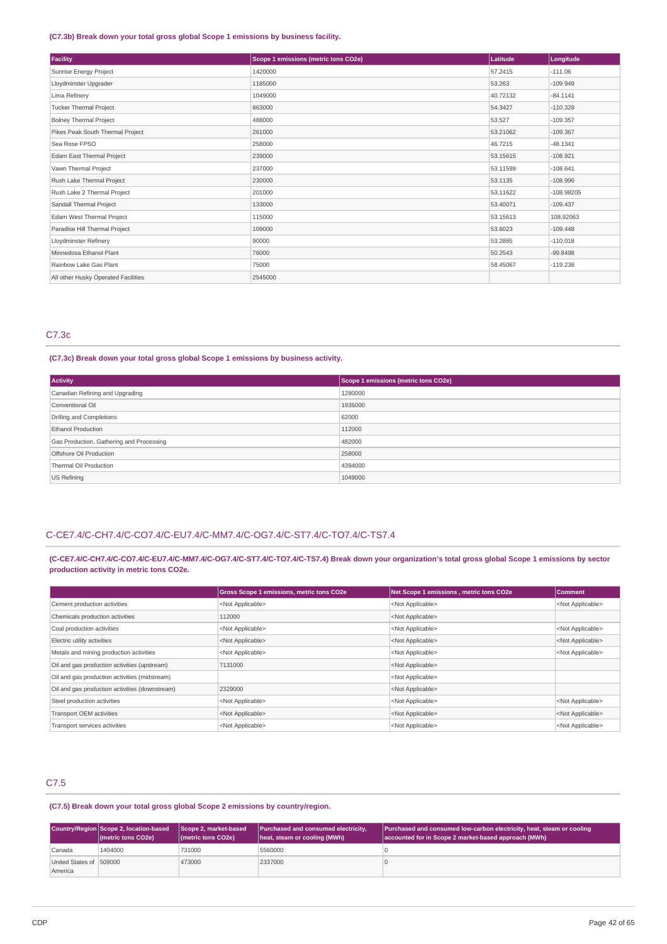### **(C7.3b) Break down your total gross global Scope 1 emissions by business facility.**

| Facility                            | Scope 1 emissions (metric tons CO2e) | Latitude | Longitude    |
|-------------------------------------|--------------------------------------|----------|--------------|
| Sunrise Energy Project              | 1420000                              | 57.2415  | $-111.06$    |
| Lloydminster Upgrader               | 1185000                              | 53.263   | $-109.949$   |
| Lima Refinery                       | 1049000                              | 40.72132 | $-84.1141$   |
| <b>Tucker Thermal Project</b>       | 863000                               | 54.3427  | $-110.329$   |
| <b>Bolney Thermal Project</b>       | 488000                               | 53.527   | $-109.357$   |
| Pikes Peak South Thermal Project    | 261000                               | 53.21062 | $-109.367$   |
| Sea Rose FPSO                       | 258000                               | 46.7215  | $-48.1341$   |
| Edam East Thermal Project           | 239000                               | 53.15615 | $-108.921$   |
| Vawn Thermal Project                | 237000                               | 53.11599 | $-108.641$   |
| Rush Lake Thermal Project           | 230000                               | 53.1135  | $-108.996$   |
| Rush Lake 2 Thermal Project         | 201000                               | 53.11622 | $-108.98205$ |
| Sandall Thermal Project             | 133000                               | 53.40071 | $-109.437$   |
| Edam West Thermal Project           | 115000                               | 53.15613 | 108.92063    |
| Paradise Hill Thermal Project       | 109000                               | 53,6023  | $-109.448$   |
| Lloydminster Refinery               | 90000                                | 53.2885  | $-110.018$   |
| Minnedosa Ethanol Plant             | 76000                                | 50.2543  | $-99.8498$   |
| Rainbow Lake Gas Plant              | 75000                                | 58,45067 | $-119.238$   |
| All other Husky Operated Facilities | 2545000                              |          |              |

# C7.3c

### **(C7.3c) Break down your total gross global Scope 1 emissions by business activity.**

| <b>Activity</b>                          | Scope 1 emissions (metric tons CO2e) |
|------------------------------------------|--------------------------------------|
| Canadian Refining and Upgrading          | 1280000                              |
| Conventional Oil                         | 1935000                              |
| Drilling and Completions                 | 62000                                |
| <b>Ethanol Production</b>                | 112000                               |
| Gas Production, Gathering and Processing | 482000                               |
| Offshore Oil Production                  | 258000                               |
| Thermal Oil Production                   | 4394000                              |
| US Refining                              | 1049000                              |

# C-CE7.4/C-CH7.4/C-CO7.4/C-EU7.4/C-MM7.4/C-OG7.4/C-ST7.4/C-TO7.4/C-TS7.4

# (C-CE7.4/C-CH7.4/C-CO7.4/C-EU7.4/C-MM7.4/C-OG7.4/C-ST7.4/C-TO7.4/C-TS7.4) Break down your organization's total gross global Scope 1 emissions by sector **production activity in metric tons CO2e.**

|                                                | <b>Gross Scope 1 emissions, metric tons CO2e</b> | Net Scope 1 emissions, metric tons CO2e | Comment                   |
|------------------------------------------------|--------------------------------------------------|-----------------------------------------|---------------------------|
| Cement production activities                   | <not applicable=""></not>                        | <not applicable=""></not>               | <not applicable=""></not> |
| Chemicals production activities                | 112000                                           | <not applicable=""></not>               |                           |
| Coal production activities                     | <not applicable=""></not>                        | <not applicable=""></not>               | <not applicable=""></not> |
| Electric utility activities                    | <not applicable=""></not>                        | <not applicable=""></not>               | <not applicable=""></not> |
| Metals and mining production activities        | <not applicable=""></not>                        | <not applicable=""></not>               | <not applicable=""></not> |
| Oil and gas production activities (upstream)   | 7131000                                          | <not applicable=""></not>               |                           |
| Oil and gas production activities (midstream)  |                                                  | <not applicable=""></not>               |                           |
| Oil and gas production activities (downstream) | 2329000                                          | <not applicable=""></not>               |                           |
| Steel production activities                    | <not applicable=""></not>                        | <not applicable=""></not>               | <not applicable=""></not> |
| Transport OEM activities                       | <not applicable=""></not>                        | <not applicable=""></not>               | <not applicable=""></not> |
| Transport services activities                  | <not applicable=""></not>                        | <not applicable=""></not>               | <not applicable=""></not> |

# C7.5

# **(C7.5) Break down your total gross global Scope 2 emissions by country/region.**

|                                     | Country/Region Scope 2, location-based<br>(metric tons CO2e) | Scope 2, market-based<br>(metric tons CO2e) | Purchased and consumed electricity,<br>heat, steam or cooling (MWh) | Purchased and consumed low-carbon electricity, heat, steam or cooling<br>accounted for in Scope 2 market-based approach (MWh) |
|-------------------------------------|--------------------------------------------------------------|---------------------------------------------|---------------------------------------------------------------------|-------------------------------------------------------------------------------------------------------------------------------|
| Canada                              | 1404000                                                      | 731000                                      | 5560000                                                             |                                                                                                                               |
| United States of 1509000<br>America |                                                              | 473000                                      | 2337000                                                             |                                                                                                                               |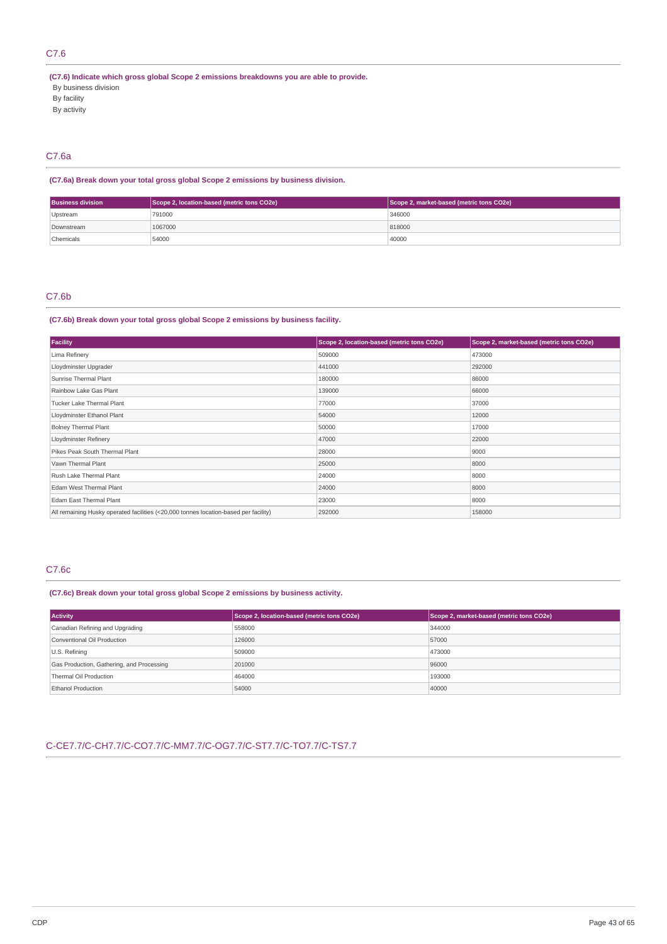# C7.6

**(C7.6) Indicate which gross global Scope 2 emissions breakdowns you are able to provide.**

- By business division
- By facility
- By activity

# C7.6a

# **(C7.6a) Break down your total gross global Scope 2 emissions by business division.**

| <b>Business division</b><br>Scope 2, location-based (metric tons CO2e) |         | Scope 2, market-based (metric tons CO2e) |  |
|------------------------------------------------------------------------|---------|------------------------------------------|--|
| Upstream                                                               | 791000  | 346000                                   |  |
| Downstream                                                             | 1067000 | 818000                                   |  |
| Chemicals                                                              | 54000   | 40000                                    |  |

# C7.6b

### **(C7.6b) Break down your total gross global Scope 2 emissions by business facility.**

| Facility                                                                             | Scope 2, location-based (metric tons CO2e) | Scope 2, market-based (metric tons CO2e) |
|--------------------------------------------------------------------------------------|--------------------------------------------|------------------------------------------|
| Lima Refinery                                                                        | 509000                                     | 473000                                   |
| Lloydminster Upgrader                                                                | 441000                                     | 292000                                   |
| Sunrise Thermal Plant                                                                | 180000                                     | 86000                                    |
| Rainbow Lake Gas Plant                                                               | 139000                                     | 66000                                    |
| Tucker Lake Thermal Plant                                                            | 77000                                      | 37000                                    |
| Lloydminster Ethanol Plant                                                           | 54000                                      | 12000                                    |
| <b>Bolney Thermal Plant</b>                                                          | 50000                                      | 17000                                    |
| Lloydminster Refinery                                                                | 47000                                      | 22000                                    |
| Pikes Peak South Thermal Plant                                                       | 28000                                      | 9000                                     |
| Vawn Thermal Plant                                                                   | 25000                                      | 8000                                     |
| Rush Lake Thermal Plant                                                              | 24000                                      | 8000                                     |
| Edam West Thermal Plant                                                              | 24000                                      | 8000                                     |
| Edam East Thermal Plant                                                              | 23000                                      | 8000                                     |
| All remaining Husky operated facilities (<20,000 tonnes location-based per facility) | 292000                                     | 158000                                   |

# C7.6c

**(C7.6c) Break down your total gross global Scope 2 emissions by business activity.**

| <b>Activity</b>                           | Scope 2, location-based (metric tons CO2e) | Scope 2, market-based (metric tons CO2e) |
|-------------------------------------------|--------------------------------------------|------------------------------------------|
| Canadian Refining and Upgrading           | 558000                                     | 344000                                   |
| Conventional Oil Production               | 126000                                     | 57000                                    |
| U.S. Refining                             | 509000                                     | 473000                                   |
| Gas Production, Gathering, and Processing | 201000                                     | 96000                                    |
| Thermal Oil Production                    | 464000                                     | 193000                                   |
| <b>Ethanol Production</b>                 | 54000                                      | 40000                                    |

# C-CE7.7/C-CH7.7/C-CO7.7/C-MM7.7/C-OG7.7/C-ST7.7/C-TO7.7/C-TS7.7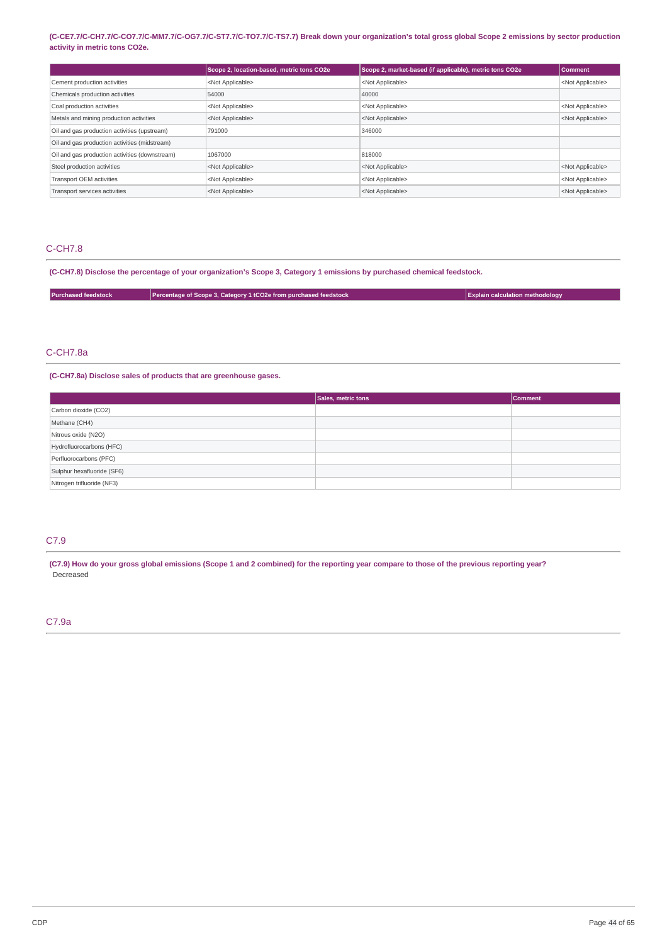### (C-CE7.7/C-CH7.7/C-CO7.7/C-MM7.7/C-OG7.7/C-ST7.7/C-TO7.7/C-TS7.7) Break down your organization's total gross global Scope 2 emissions by sector production **activity in metric tons CO2e.**

|                                                | Scope 2, location-based, metric tons CO2e | Scope 2, market-based (if applicable), metric tons CO2e | Comment                   |
|------------------------------------------------|-------------------------------------------|---------------------------------------------------------|---------------------------|
| Cement production activities                   | <not applicable=""></not>                 | <not applicable=""></not>                               | <not applicable=""></not> |
| Chemicals production activities                | 54000                                     | 40000                                                   |                           |
| Coal production activities                     | <not applicable=""></not>                 | <not applicable=""></not>                               | <not applicable=""></not> |
| Metals and mining production activities        | <not applicable=""></not>                 | <not applicable=""></not>                               | <not applicable=""></not> |
| Oil and gas production activities (upstream)   | 791000                                    | 346000                                                  |                           |
| Oil and gas production activities (midstream)  |                                           |                                                         |                           |
| Oil and gas production activities (downstream) | 1067000                                   | 818000                                                  |                           |
| Steel production activities                    | <not applicable=""></not>                 | <not applicable=""></not>                               | <not applicable=""></not> |
| <b>Transport OEM activities</b>                | <not applicable=""></not>                 | <not applicable=""></not>                               | <not applicable=""></not> |
| Transport services activities                  | <not applicable=""></not>                 | <not applicable=""></not>                               | <not applicable=""></not> |

# C-CH7.8

(C-CH7.8) Disclose the percentage of your organization's Scope 3, Category 1 emissions by purchased chemical feedstock.

| <b>Purchased feedstock</b> | Percentage of Scope 3, Category 1 tCO2e from purchased feedstock | <b>Explain calculation methodology</b> |
|----------------------------|------------------------------------------------------------------|----------------------------------------|
|                            |                                                                  |                                        |

# C-CH7.8a

**(C-CH7.8a) Disclose sales of products that are greenhouse gases.**

|                            | Sales, metric tons | <b>Comment</b> |
|----------------------------|--------------------|----------------|
| Carbon dioxide (CO2)       |                    |                |
| Methane (CH4)              |                    |                |
| Nitrous oxide (N2O)        |                    |                |
| Hydrofluorocarbons (HFC)   |                    |                |
| Perfluorocarbons (PFC)     |                    |                |
| Sulphur hexafluoride (SF6) |                    |                |
| Nitrogen trifluoride (NF3) |                    |                |

# C7.9

(C7.9) How do your gross global emissions (Scope 1 and 2 combined) for the reporting year compare to those of the previous reporting year? Decreased

# C7.9a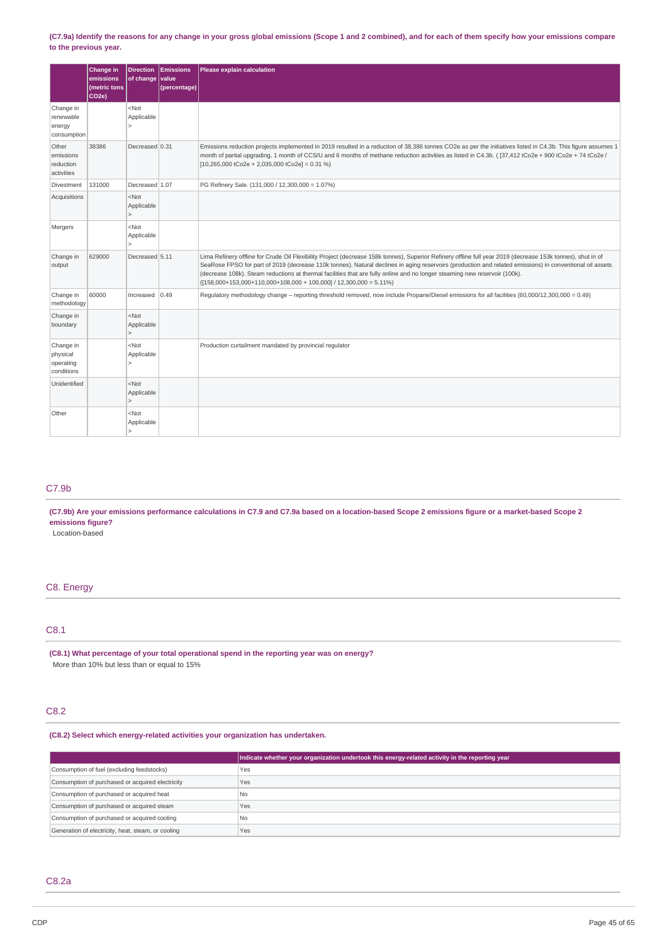### (C7.9a) Identify the reasons for any change in your gross global emissions (Scope 1 and 2 combined), and for each of them specify how your emissions compare **to the previous year.**

|                                                  | Change in<br>emissions<br>(metric tons<br>CO <sub>2e</sub> ) | <b>Direction</b><br>of change value     | <b>Emissions</b><br>(percentage) | Please explain calculation                                                                                                                                                                                                                                                                                                                                                                                                                                                                                                |
|--------------------------------------------------|--------------------------------------------------------------|-----------------------------------------|----------------------------------|---------------------------------------------------------------------------------------------------------------------------------------------------------------------------------------------------------------------------------------------------------------------------------------------------------------------------------------------------------------------------------------------------------------------------------------------------------------------------------------------------------------------------|
| Change in<br>renewable<br>energy<br>consumption  |                                                              | $<$ Not<br>Applicable<br>5              |                                  |                                                                                                                                                                                                                                                                                                                                                                                                                                                                                                                           |
| Other<br>emissions<br>reduction<br>activities    | 38386                                                        | Decreased 0.31                          |                                  | Emissions reduction projects implemented in 2019 resulted in a reduction of 38,386 tonnes CO2e as per the initiatives listed in C4.3b. This figure assumes 1<br>month of partial upgrading, 1 month of CCS/U and 6 months of methane reduction activities as listed in C4.3b. ( $[37,412$ tCo2e + 900 tCo2e + 74 tCo2e /<br>$[10,265,000$ tCo2e + 2,035,000 tCo2e] = 0.31 %)                                                                                                                                              |
| Divestment                                       | 131000                                                       | Decreased 1.07                          |                                  | PG Refinery Sale. (131,000 / 12,300,000 = 1.07%)                                                                                                                                                                                                                                                                                                                                                                                                                                                                          |
| Acquisitions                                     |                                                              | $<$ Not<br>Applicable                   |                                  |                                                                                                                                                                                                                                                                                                                                                                                                                                                                                                                           |
| Mergers                                          |                                                              | $<$ Not<br>Applicable                   |                                  |                                                                                                                                                                                                                                                                                                                                                                                                                                                                                                                           |
| Change in<br>output                              | 629000                                                       | Decreased 5.11                          |                                  | Lima Refinery offline for Crude Oil Flexibility Project (decrease 158k tonnes), Superior Refinery offline full year 2019 (decrease 153k tonnes), shut in of<br>SeaRose FPSO for part of 2019 (decrease 110k tonnes). Natural declines in aging reservoirs (production and related emissions) in conventional oil assets<br>(decrease 108k). Steam reductions at thermal facilities that are fully online and no longer steaming new reservoir (100k).<br>$([158,000+153,000+110,000+108,000+100,000]/12,300,000 = 5.11\%$ |
| Change in<br>methodology                         | 60000                                                        | Increased                               | 0.49                             | Regulatory methodology change - reporting threshold removed, now include Propane/Diesel emissions for all facilities (60,000/12,300,000 = 0.49)                                                                                                                                                                                                                                                                                                                                                                           |
| Change in<br>boundary                            |                                                              | $<$ Not<br>Applicable<br>$\mathbf{r}$   |                                  |                                                                                                                                                                                                                                                                                                                                                                                                                                                                                                                           |
| Change in<br>physical<br>operating<br>conditions |                                                              | $<$ Not<br>Applicable<br>$\overline{ }$ |                                  | Production curtailment mandated by provincial regulator                                                                                                                                                                                                                                                                                                                                                                                                                                                                   |
| Unidentified                                     |                                                              | $<$ Not<br>Applicable                   |                                  |                                                                                                                                                                                                                                                                                                                                                                                                                                                                                                                           |
| Other                                            |                                                              | <not<br>Applicable</not<br>             |                                  |                                                                                                                                                                                                                                                                                                                                                                                                                                                                                                                           |

# C7.9b

(C7.9b) Are your emissions performance calculations in C7.9 and C7.9a based on a location-based Scope 2 emissions figure or a market-based Scope 2 **emissions figure?**

Location-based

# C8. Energy

# C8.1

**(C8.1) What percentage of your total operational spend in the reporting year was on energy?** More than 10% but less than or equal to 15%

# C8.2

**(C8.2) Select which energy-related activities your organization has undertaken.**

|                                                    | Indicate whether your organization undertook this energy-related activity in the reporting year |
|----------------------------------------------------|-------------------------------------------------------------------------------------------------|
| Consumption of fuel (excluding feedstocks)         | Yes                                                                                             |
| Consumption of purchased or acquired electricity   | Yes                                                                                             |
| Consumption of purchased or acquired heat          | l No                                                                                            |
| Consumption of purchased or acquired steam         | Yes                                                                                             |
| Consumption of purchased or acquired cooling       | No                                                                                              |
| Generation of electricity, heat, steam, or cooling | Yes                                                                                             |

# C8.2a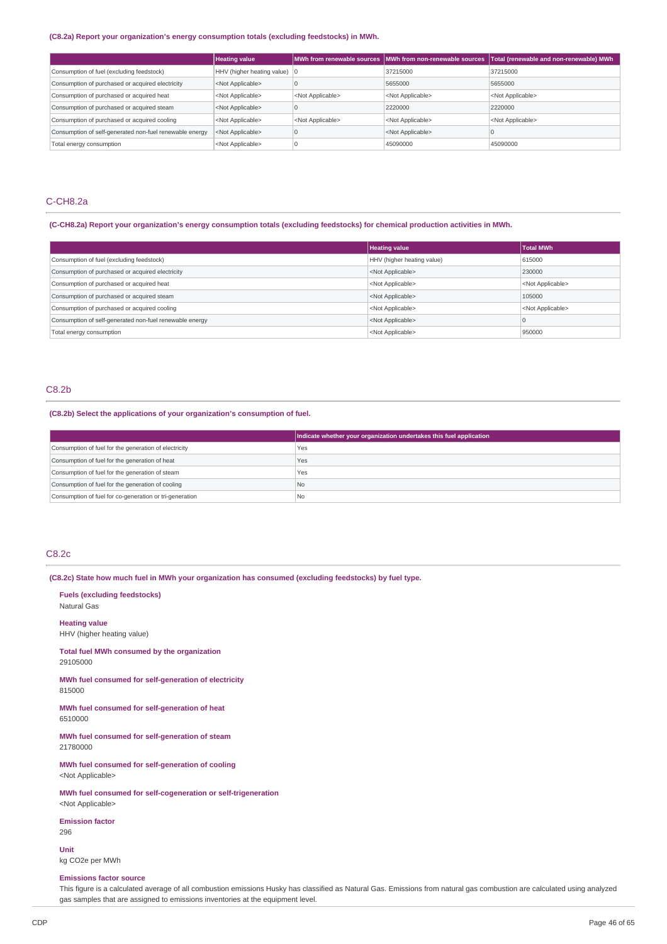# **(C8.2a) Report your organization's energy consumption totals (excluding feedstocks) in MWh.**

|                                                         | <b>Heating value</b>                   |                           | MWh from renewable sources   MWh from non-renewable sources | Total (renewable and non-renewable) MWh |
|---------------------------------------------------------|----------------------------------------|---------------------------|-------------------------------------------------------------|-----------------------------------------|
| Consumption of fuel (excluding feedstock)               | HHV (higher heating value) $ 0\rangle$ |                           | 37215000                                                    | 37215000                                |
| Consumption of purchased or acquired electricity        | <not applicable=""></not>              |                           | 5655000                                                     | 5655000                                 |
| Consumption of purchased or acquired heat               | <not applicable=""></not>              | <not applicable=""></not> | <not applicable=""></not>                                   | <not applicable=""></not>               |
| Consumption of purchased or acquired steam              | <not applicable=""></not>              |                           | 2220000                                                     | 2220000                                 |
| Consumption of purchased or acquired cooling            | <not applicable=""></not>              | <not applicable=""></not> | <not applicable=""></not>                                   | <not applicable=""></not>               |
| Consumption of self-generated non-fuel renewable energy | <not applicable=""></not>              |                           | <not applicable=""></not>                                   |                                         |
| Total energy consumption                                | <not applicable=""></not>              |                           | 45090000                                                    | 45090000                                |

# C-CH8.2a

### (C-CH8.2a) Report your organization's energy consumption totals (excluding feedstocks) for chemical production activities in MWh.

|                                                         | <b>Heating value</b>       | <b>Total MWh</b>          |
|---------------------------------------------------------|----------------------------|---------------------------|
| Consumption of fuel (excluding feedstock)               | HHV (higher heating value) | 615000                    |
| Consumption of purchased or acquired electricity        | <not applicable=""></not>  | 230000                    |
| Consumption of purchased or acquired heat               | <not applicable=""></not>  | <not applicable=""></not> |
| Consumption of purchased or acquired steam              | <not applicable=""></not>  | 105000                    |
| Consumption of purchased or acquired cooling            | <not applicable=""></not>  | <not applicable=""></not> |
| Consumption of self-generated non-fuel renewable energy | <not applicable=""></not>  |                           |
| Total energy consumption                                | <not applicable=""></not>  | 950000                    |

### C8.2b

# **(C8.2b) Select the applications of your organization's consumption of fuel.**

|                                                         | Indicate whether your organization undertakes this fuel application |
|---------------------------------------------------------|---------------------------------------------------------------------|
| Consumption of fuel for the generation of electricity   | Yes                                                                 |
| Consumption of fuel for the generation of heat          | Yes                                                                 |
| Consumption of fuel for the generation of steam         | Yes                                                                 |
| Consumption of fuel for the generation of cooling       | No                                                                  |
| Consumption of fuel for co-generation or tri-generation | l No                                                                |

### C8.2c

**(C8.2c) State how much fuel in MWh your organization has consumed (excluding feedstocks) by fuel type.**

**Fuels (excluding feedstocks)** Natural Gas

**Heating value**

HHV (higher heating value)

**Total fuel MWh consumed by the organization** 29105000

**MWh fuel consumed for self-generation of electricity** 815000

**MWh fuel consumed for self-generation of heat** 6510000

**MWh fuel consumed for self-generation of steam** 21780000

**MWh fuel consumed for self-generation of cooling** <Not Applicable>

**MWh fuel consumed for self-cogeneration or self-trigeneration** <Not Applicable>

**Emission factor** 296

**Unit** kg CO2e per MWh

### **Emissions factor source**

This figure is a calculated average of all combustion emissions Husky has classified as Natural Gas. Emissions from natural gas combustion are calculated using analyzed gas samples that are assigned to emissions inventories at the equipment level.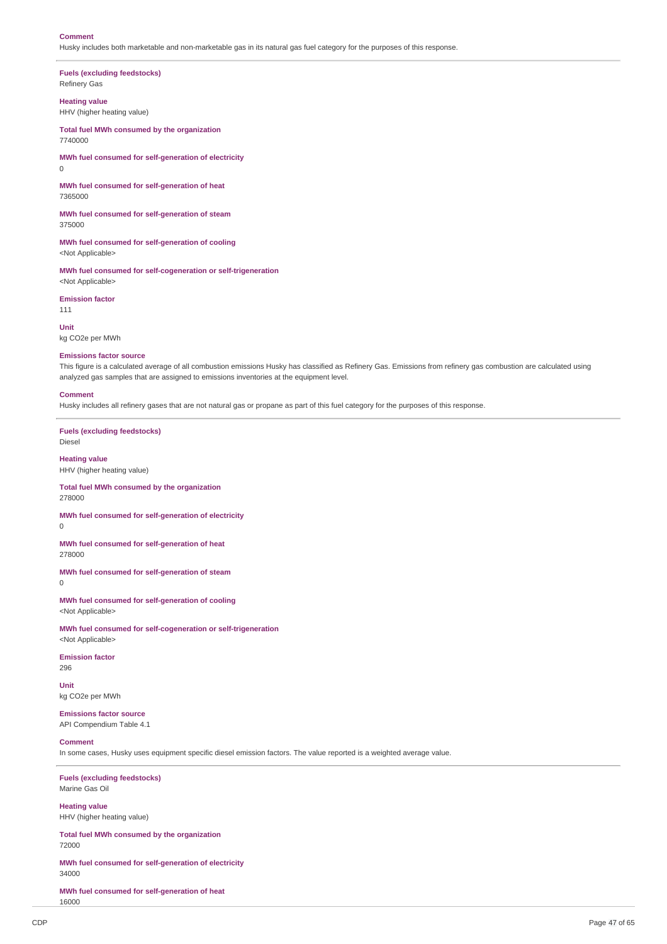#### **Comment**

0

Husky includes both marketable and non-marketable gas in its natural gas fuel category for the purposes of this response.

**Fuels (excluding feedstocks)** Refinery Gas

**Heating value** HHV (higher heating value)

**Total fuel MWh consumed by the organization** 7740000

**MWh fuel consumed for self-generation of electricity**

**MWh fuel consumed for self-generation of heat** 7365000

**MWh fuel consumed for self-generation of steam** 375000

**MWh fuel consumed for self-generation of cooling** <Not Applicable>

**MWh fuel consumed for self-cogeneration or self-trigeneration** <Not Applicable>

**Emission factor** 111

**Unit** kg CO2e per MWh

#### **Emissions factor source**

This figure is a calculated average of all combustion emissions Husky has classified as Refinery Gas. Emissions from refinery gas combustion are calculated using analyzed gas samples that are assigned to emissions inventories at the equipment level.

#### **Comment**

Husky includes all refinery gases that are not natural gas or propane as part of this fuel category for the purposes of this response.

**Fuels (excluding feedstocks)** Diesel

**Heating value** HHV (higher heating value)

**Total fuel MWh consumed by the organization** 278000

**MWh fuel consumed for self-generation of electricity**  $\Omega$ 

**MWh fuel consumed for self-generation of heat** 278000

**MWh fuel consumed for self-generation of steam**

0

296

**MWh fuel consumed for self-generation of cooling** <Not Applicable>

**MWh fuel consumed for self-cogeneration or self-trigeneration** <Not Applicable>

**Emission factor**

**Unit** kg CO2e per MWh

**Emissions factor source** API Compendium Table 4.1

#### **Comment**

In some cases, Husky uses equipment specific diesel emission factors. The value reported is a weighted average value.

**Fuels (excluding feedstocks)** Marine Gas Oil

**Heating value** HHV (higher heating value)

**Total fuel MWh consumed by the organization** 72000

**MWh fuel consumed for self-generation of electricity** 34000

**MWh fuel consumed for self-generation of heat** 16000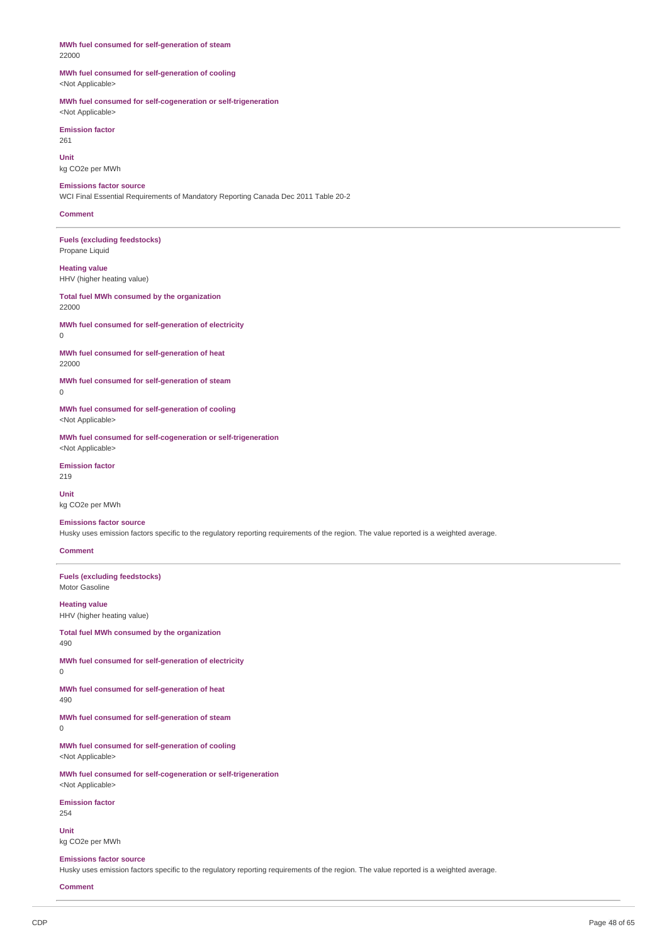### **MWh fuel consumed for self-generation of steam** 22000

### **MWh fuel consumed for self-generation of cooling** <Not Applicable>

#### **MWh fuel consumed for self-cogeneration or self-trigeneration** <Not Applicable>

**Emission factor**

261

# **Unit**

kg CO2e per MWh **Emissions factor source**

WCI Final Essential Requirements of Mandatory Reporting Canada Dec 2011 Table 20-2

# **Comment**

**Fuels (excluding feedstocks)** Propane Liquid

### **Heating value** HHV (higher heating value)

**Total fuel MWh consumed by the organization**

#### 22000

**MWh fuel consumed for self-generation of electricity**  $\Omega$ 

**MWh fuel consumed for self-generation of heat** 22000

**MWh fuel consumed for self-generation of steam**  $\Omega$ 

**MWh fuel consumed for self-generation of cooling** <Not Applicable>

**MWh fuel consumed for self-cogeneration or self-trigeneration** <Not Applicable>

#### **Emission factor** 219

**Unit** kg CO2e per MWh

# **Emissions factor source**

Husky uses emission factors specific to the regulatory reporting requirements of the region. The value reported is a weighted average.

# **Comment**

**Fuels (excluding feedstocks)** Motor Gasoline

# **Heating value**

HHV (higher heating value)

**Total fuel MWh consumed by the organization** 490

**MWh fuel consumed for self-generation of electricity**  $\Omega$ 

**MWh fuel consumed for self-generation of heat** 490

**MWh fuel consumed for self-generation of steam**

0

**MWh fuel consumed for self-generation of cooling** <Not Applicable>

**MWh fuel consumed for self-cogeneration or self-trigeneration** <Not Applicable>

**Emission factor**

254

**Unit** kg CO2e per MWh

#### **Emissions factor source**

Husky uses emission factors specific to the regulatory reporting requirements of the region. The value reported is a weighted average.

**Comment**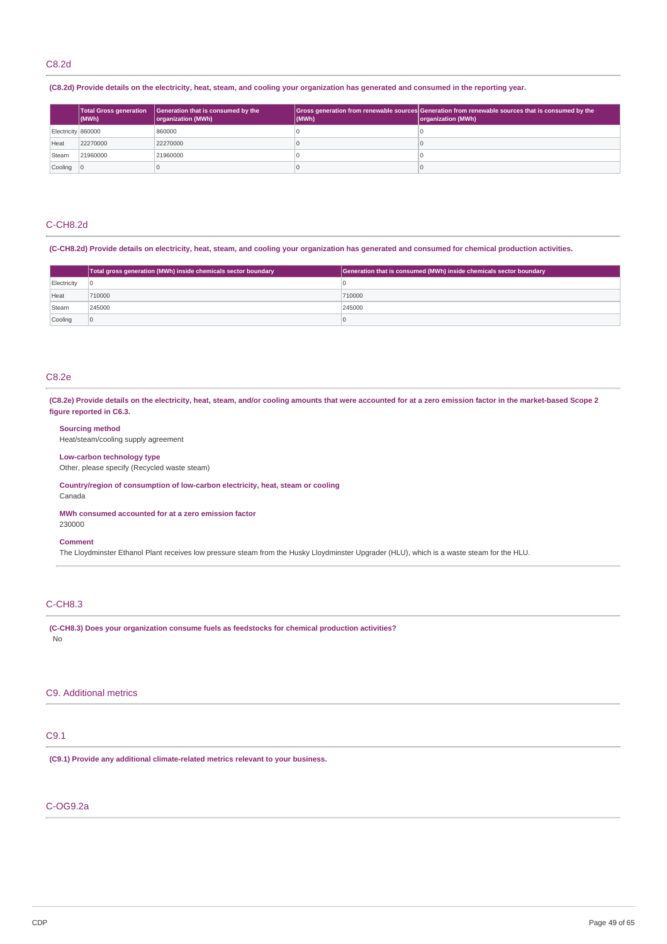(C8.2d) Provide details on the electricity, heat, steam, and cooling your organization has generated and consumed in the reporting year.

|                           | <b>Total Gross generation</b><br>(MWh) | Generation that is consumed by the<br>organization (MWh) | (MWh) | Gross generation from renewable sources Generation from renewable sources that is consumed by the<br>organization (MWh) |
|---------------------------|----------------------------------------|----------------------------------------------------------|-------|-------------------------------------------------------------------------------------------------------------------------|
| Electricity 860000        |                                        | 860000                                                   |       |                                                                                                                         |
| Heat                      | 22270000                               | 22270000                                                 |       |                                                                                                                         |
| Steam                     | 21960000                               | 21960000                                                 |       |                                                                                                                         |
| $\vert$ Cooling $\vert$ 0 |                                        |                                                          |       |                                                                                                                         |

# C-CH8.2d

(C-CH8.2d) Provide details on electricity, heat, steam, and cooling your organization has generated and consumed for chemical production activities.

|                               | Total gross generation (MWh) inside chemicals sector boundary | Generation that is consumed (MWh) inside chemicals sector boundary |  |
|-------------------------------|---------------------------------------------------------------|--------------------------------------------------------------------|--|
| Electricity<br>$\overline{0}$ |                                                               |                                                                    |  |
| Heat                          | 710000                                                        | 710000                                                             |  |
| 245000<br>Steam               |                                                               | 245000                                                             |  |
| Cooling                       | ١O                                                            |                                                                    |  |

# C8.2e

(C8.2e) Provide details on the electricity, heat, steam, and/or cooling amounts that were accounted for at a zero emission factor in the market-based Scope 2 **figure reported in C6.3.**

# **Sourcing method**

Heat/steam/cooling supply agreement

#### **Low-carbon technology type**

Other, please specify (Recycled waste steam)

**Country/region of consumption of low-carbon electricity, heat, steam or cooling** Canada

**MWh consumed accounted for at a zero emission factor** 230000

#### **Comment**

The Lloydminster Ethanol Plant receives low pressure steam from the Husky Lloydminster Upgrader (HLU), which is a waste steam for the HLU.

# C-CH8.3

**(C-CH8.3) Does your organization consume fuels as feedstocks for chemical production activities?** No

# C9. Additional metrics

# C9.1

**(C9.1) Provide any additional climate-related metrics relevant to your business.**

# C-OG9.2a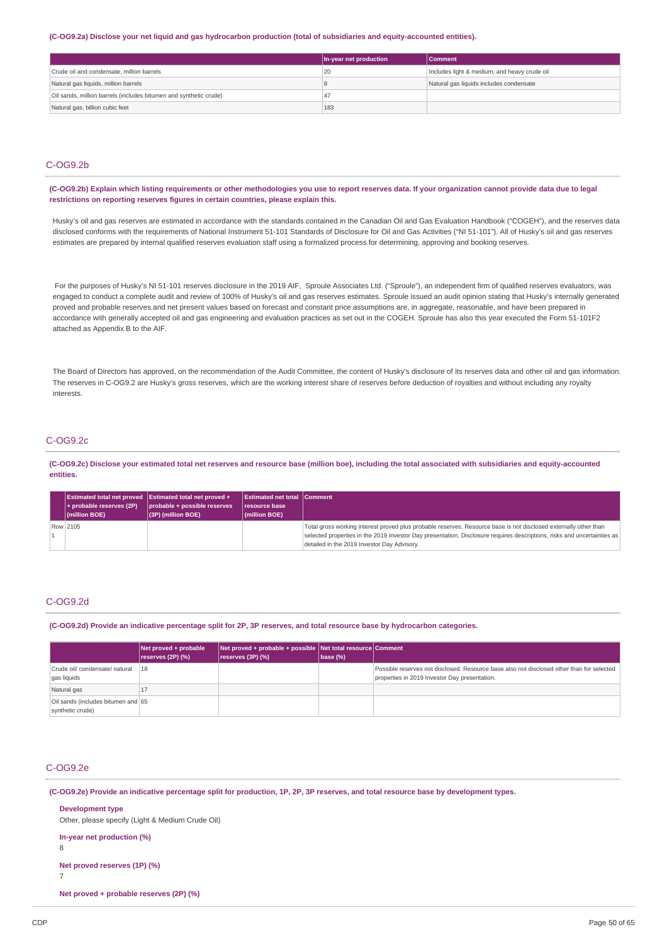#### (C-OG9.2a) Disclose your net liquid and gas hydrocarbon production (total of subsidiaries and equity-accounted entities).

|                                 |                                                                   | In-year net production | <b>Comment</b>                               |
|---------------------------------|-------------------------------------------------------------------|------------------------|----------------------------------------------|
|                                 | Crude oil and condensate, million barrels                         | 20                     | Includes light & medium, and heavy crude oil |
|                                 | Natural gas liquids, million barrels                              |                        | Natural gas liquids includes condensate      |
|                                 | Oil sands, million barrels (includes bitumen and synthetic crude) | $\overline{4}$         |                                              |
| Natural gas, billion cubic feet |                                                                   | 183                    |                                              |

# C-OG9.2b

(C-OG9.2b) Explain which listing requirements or other methodologies you use to report reserves data. If your organization cannot provide data due to legal **restrictions on reporting reserves figures in certain countries, please explain this.**

Husky's oil and gas reserves are estimated in accordance with the standards contained in the Canadian Oil and Gas Evaluation Handbook ("COGEH"), and the reserves data disclosed conforms with the requirements of National Instrument 51-101 Standards of Disclosure for Oil and Gas Activities ("NI 51-101"). All of Husky's oil and gas reserves estimates are prepared by internal qualified reserves evaluation staff using a formalized process for determining, approving and booking reserves.

For the purposes of Husky's NI 51-101 reserves disclosure in the 2019 AIF, Sproule Associates Ltd. ("Sproule"), an independent firm of qualified reserves evaluators, was engaged to conduct a complete audit and review of 100% of Husky's oil and gas reserves estimates. Sproule issued an audit opinion stating that Husky's internally generated proved and probable reserves and net present values based on forecast and constant price assumptions are, in aggregate, reasonable, and have been prepared in accordance with generally accepted oil and gas engineering and evaluation practices as set out in the COGEH. Sproule has also this year executed the Form 51-101F2 attached as Appendix B to the AIF.

The Board of Directors has approved, on the recommendation of the Audit Committee, the content of Husky's disclosure of its reserves data and other oil and gas information. The reserves in C-OG9.2 are Husky's gross reserves, which are the working interest share of reserves before deduction of royalties and without including any royalty interests.

# C-OG9.2c

(C-OG9.2c) Disclose your estimated total net reserves and resource base (million boe), including the total associated with subsidiaries and equity-accounted **entities.**

| $+$ probable reserves (2P)<br>$ $ (million BOE) | <b>Estimated total net proved Estimated total net proved +</b><br>probable + possible reserves<br>(3P) (million BOE) | <b>Estimated net total Comment</b><br><b>resource base</b><br>$ $ (million BOE) |                                                                                                                                                                                                                                                                                            |
|-------------------------------------------------|----------------------------------------------------------------------------------------------------------------------|---------------------------------------------------------------------------------|--------------------------------------------------------------------------------------------------------------------------------------------------------------------------------------------------------------------------------------------------------------------------------------------|
| Row 2105                                        |                                                                                                                      |                                                                                 | Total gross working interest proved plus probable reserves. Resource base is not disclosed externally other than<br>selected properties in the 2019 Investor Day presentation. Disclosure requires descriptions, risks and uncertainties as<br>detailed in the 2019 Investor Day Advisory. |

# C-OG9.2d

(C-OG9.2d) Provide an indicative percentage split for 2P, 3P reserves, and total resource base by hydrocarbon categories.

|                                                        | Net proved + probable<br>reserves (2P) (%) | Net proved + probable + possible Net total resource Comment<br>reserves (3P) (%) | $\vert$ base (%) |                                                                                                                                            |
|--------------------------------------------------------|--------------------------------------------|----------------------------------------------------------------------------------|------------------|--------------------------------------------------------------------------------------------------------------------------------------------|
| Crude oil/ condensate/ natural<br>gas liquids          | 18                                         |                                                                                  |                  | Possible reserves not disclosed. Resource base also not disclosed other than for selected<br>properties in 2019 Investor Day presentation. |
| Natural gas                                            | ᆦ                                          |                                                                                  |                  |                                                                                                                                            |
| Oil sands (includes bitumen and 65<br>synthetic crude) |                                            |                                                                                  |                  |                                                                                                                                            |

# C-OG9.2e

(C-OG9.2e) Provide an indicative percentage split for production, 1P, 2P, 3P reserves, and total resource base by development types.

| <b>Development type</b><br>Other, please specify (Light & Medium Crude Oil) |
|-----------------------------------------------------------------------------|
| In-year net production (%)<br>8                                             |
| Net proved reserves (1P) (%)                                                |

7

**Net proved + probable reserves (2P) (%)**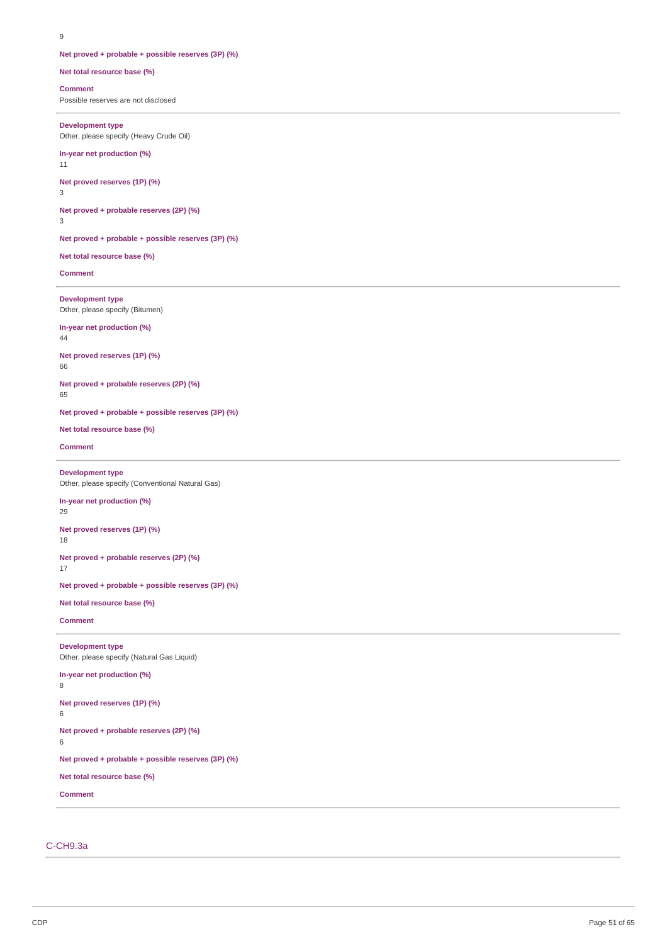### **Net proved + probable + possible reserves (3P) (%)**

#### **Net total resource base (%)**

#### **Comment**

Possible reserves are not disclosed

#### **Development type**

Other, please specify (Heavy Crude Oil)

# **In-year net production (%)**

11

# **Net proved reserves (1P) (%)**

3 **Net proved + probable reserves (2P) (%)**

# 3

**Net proved + probable + possible reserves (3P) (%)**

#### **Net total resource base (%)**

**Comment**

### **Development type** Other, please specify (Bitumen)

# **In-year net production (%)**

44

# **Net proved reserves (1P) (%)**

66

# **Net proved + probable reserves (2P) (%)**

65

### **Net proved + probable + possible reserves (3P) (%)**

**Net total resource base (%)**

### **Comment**

# **Development type**

Other, please specify (Conventional Natural Gas)

# **In-year net production (%)**

29

# **Net proved reserves (1P) (%)**

18

#### **Net proved + probable reserves (2P) (%)** 17

**Net proved + probable + possible reserves (3P) (%)**

### **Net total resource base (%)**

**Comment**

### **Development type** Other, please specify (Natural Gas Liquid)

# **In-year net production (%)**

8

# **Net proved reserves (1P) (%)**

6

# **Net proved + probable reserves (2P) (%)**

6

# **Net proved + probable + possible reserves (3P) (%)**

**Net total resource base (%)**

#### **Comment**

# C-CH9.3a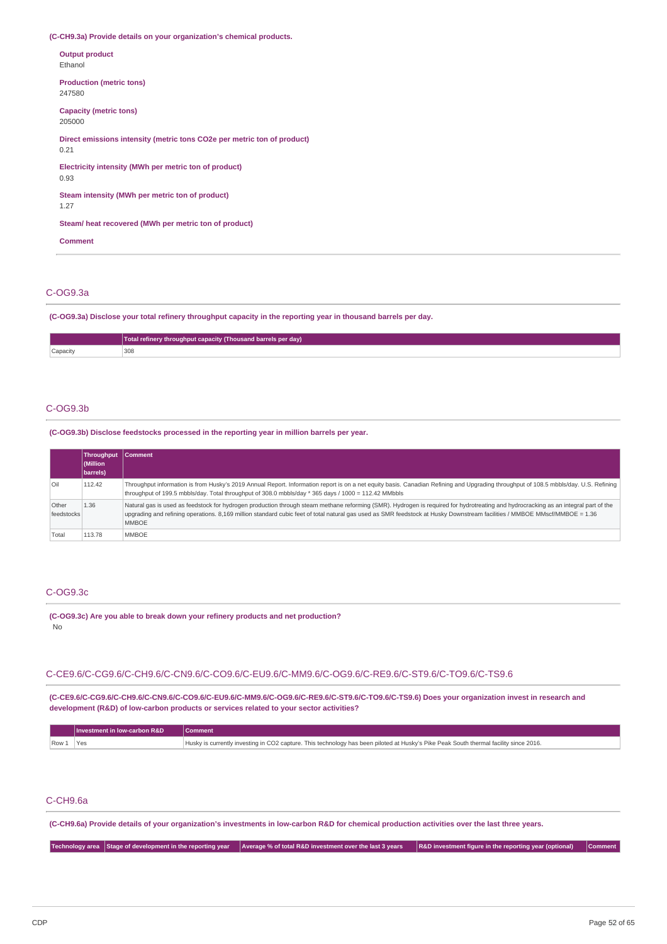**(C-CH9.3a) Provide details on your organization's chemical products.**

| <b>Output product</b><br>Ethanol                                                |
|---------------------------------------------------------------------------------|
| <b>Production (metric tons)</b><br>247580                                       |
| Capacity (metric tons)<br>205000                                                |
| Direct emissions intensity (metric tons CO2e per metric ton of product)<br>0.21 |
| Electricity intensity (MWh per metric ton of product)<br>0.93                   |
| Steam intensity (MWh per metric ton of product)<br>1.27                         |
| Steam/heat recovered (MWh per metric ton of product)                            |
| <b>Comment</b>                                                                  |

# C-OG9.3a

**(C-OG9.3a) Disclose your total refinery throughput capacity in the reporting year in thousand barrels per day.**

|          | Total refinery throughput capacity (Thousand barrels per day) |
|----------|---------------------------------------------------------------|
| Capacity | 308<br>.                                                      |

#### C-OG9.3b

**(C-OG9.3b) Disclose feedstocks processed in the reporting year in million barrels per year.**

|                     | Throughput Comment<br>Million<br>barrels) |                                                                                                                                                                                                                                                                                                                                                                                  |
|---------------------|-------------------------------------------|----------------------------------------------------------------------------------------------------------------------------------------------------------------------------------------------------------------------------------------------------------------------------------------------------------------------------------------------------------------------------------|
| $ $ Oil             | 112.42                                    | Throughput information is from Husky's 2019 Annual Report. Information report is on a net equity basis. Canadian Refining and Upgrading throughput of 108.5 mbbls/day. U.S. Refining<br>throughput of 199.5 mbbls/day. Total throughput of 308.0 mbbls/day * 365 days / 1000 = 112.42 MMbbls                                                                                     |
| Other<br>feedstocks | 1.36                                      | Natural gas is used as feedstock for hydrogen production through steam methane reforming (SMR). Hydrogen is required for hydrotreating and hydrocracking as an integral part of the<br>upgrading and refining operations. 8,169 million standard cubic feet of total natural gas used as SMR feedstock at Husky Downstream facilities / MMBOE MMscf/MMBOE = 1.36<br><b>MMBOE</b> |
| Total               | 113.78                                    | <b>MMBOE</b>                                                                                                                                                                                                                                                                                                                                                                     |

### C-OG9.3c

**(C-OG9.3c) Are you able to break down your refinery products and net production?** No

# C-CE9.6/C-CG9.6/C-CH9.6/C-CN9.6/C-CO9.6/C-EU9.6/C-MM9.6/C-OG9.6/C-RE9.6/C-ST9.6/C-TO9.6/C-TS9.6

**(C-CE9.6/C-CG9.6/C-CH9.6/C-CN9.6/C-CO9.6/C-EU9.6/C-MM9.6/C-OG9.6/C-RE9.6/C-ST9.6/C-TO9.6/C-TS9.6) Does your organization invest in research and development (R&D) of low-carbon products or services related to your sector activities?**

|         | Investment in low-carbon R&D | Comment                                                                                                                               |
|---------|------------------------------|---------------------------------------------------------------------------------------------------------------------------------------|
| $Row_1$ | 'Yes                         | Husky is currently investing in CO2 capture. This technology has been piloted at Husky's Pike Peak South thermal facility since 2016. |

# C-CH9.6a

(C-CH9.6a) Provide details of your organization's investments in low-carbon R&D for chemical production activities over the last three years.

Technology area Stage of development in the reporting year Average % of total R&D investment over the last 3 years R&D investment figure in the reporting year (optional) Comment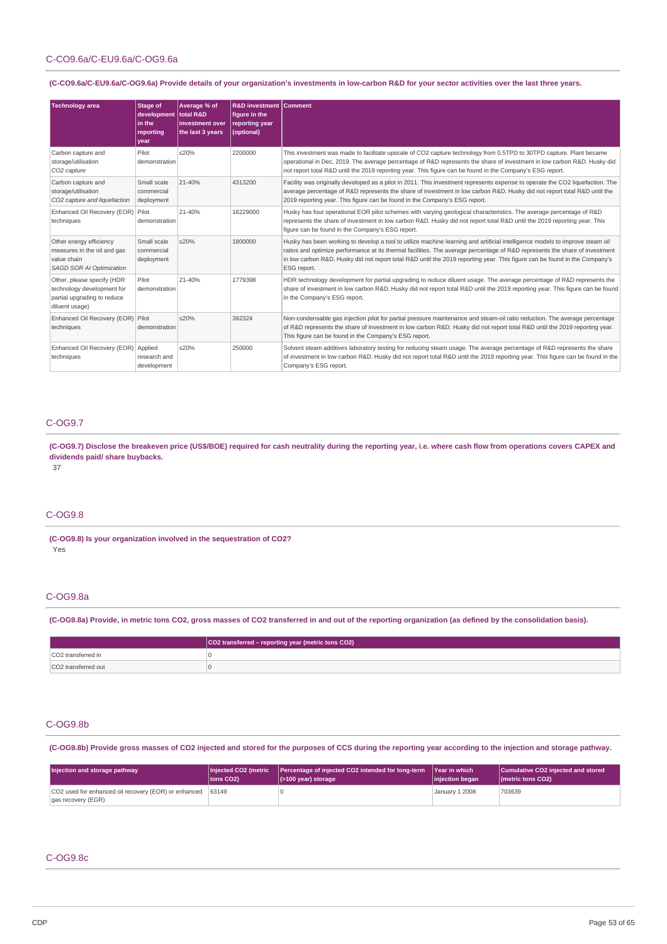# C-CO9.6a/C-EU9.6a/C-OG9.6a

# (C-CO9.6a/C-EU9.6a/C-OG9.6a) Provide details of your organization's investments in low-carbon R&D for your sector activities over the last three years.

| <b>Technology area</b>                                                                                    | <b>Stage of</b><br>development total R&D<br>l in the<br>reporting<br>vear | Average % of<br>linvestment over<br>the last 3 years | <b>R&amp;D investment Comment</b><br>figure in the<br>reporting year<br>(optional) |                                                                                                                                                                                                                                                                                                                                                                                                          |
|-----------------------------------------------------------------------------------------------------------|---------------------------------------------------------------------------|------------------------------------------------------|------------------------------------------------------------------------------------|----------------------------------------------------------------------------------------------------------------------------------------------------------------------------------------------------------------------------------------------------------------------------------------------------------------------------------------------------------------------------------------------------------|
| Carbon capture and<br>storage/utilisation<br>CO <sub>2</sub> capture                                      | Pilot<br>demonstration                                                    | ≤20%                                                 | 2200000                                                                            | This investment was made to facilitate upscale of CO2 capture technology from 0.5TPD to 30TPD capture. Plant became<br>operational in Dec, 2019. The average percentage of R&D represents the share of investment in low carbon R&D. Husky did<br>not report total R&D until the 2019 reporting year. This figure can be found in the Company's ESG report.                                              |
| Carbon capture and<br>storage/utilisation<br>CO2 capture and liquefaction                                 | Small scale<br>commercial<br>deployment                                   | 21-40%                                               | 4313200                                                                            | Facility was originally developed as a pilot in 2011. This investment represents expense to operate the CO2 liquefaction. The<br>average percentage of R&D represents the share of investment in low carbon R&D. Husky did not report total R&D until the<br>2019 reporting year. This figure can be found in the Company's ESG report.                                                                  |
| Enhanced Oil Recovery (EOR) Pilot<br>techniques                                                           | demonstration                                                             | 21-40%                                               | 16229000                                                                           | Husky has four operational EOR pilot schemes with varying geological characteristics. The average percentage of R&D<br>represents the share of investment in low carbon R&D. Husky did not report total R&D until the 2019 reporting year. This<br>figure can be found in the Company's ESG report.                                                                                                      |
| Other energy efficiency<br>measures in the oil and gas<br>value chain<br><b>SAGD SOR AI Optimization</b>  | Small scale<br>commercial<br>deployment                                   | < 20%                                                | 1800000                                                                            | Husky has been working to develop a tool to utilize machine learning and artificial intelligence models to improve steam oil<br>ratios and optimize performance at its thermal facilities. The average percentage of R&D represents the share of investment<br>in low carbon R&D. Husky did not report total R&D until the 2019 reporting year. This figure can be found in the Company's<br>ESG report. |
| Other, please specify (HDR<br>technology development for<br>partial upgrading to reduce<br>diluent usage) | Pilot<br>demonstration                                                    | 21-40%                                               | 1779398                                                                            | HDR technology development for partial upgrading to reduce diluent usage. The average percentage of R&D represents the<br>share of investment in low carbon R&D. Husky did not report total R&D until the 2019 reporting year. This figure can be found<br>in the Company's ESG report.                                                                                                                  |
| Enhanced Oil Recovery (EOR)<br>techniques                                                                 | Pilot<br>demonstration                                                    | < 20%                                                | 392324                                                                             | Non-condensable gas injection pilot for partial pressure maintenance and steam-oil ratio reduction. The average percentage<br>of R&D represents the share of investment in low carbon R&D. Husky did not report total R&D until the 2019 reporting year.<br>This figure can be found in the Company's ESG report.                                                                                        |
| Enhanced Oil Recovery (EOR)<br>techniques                                                                 | Applied<br>research and<br>development                                    | < 20%                                                | 250000                                                                             | Solvent steam additives laboratory testing for reducing steam usage. The average percentage of R&D represents the share<br>of investment in low carbon R&D. Husky did not report total R&D until the 2019 reporting year. This figure can be found in the<br>Company's ESG report.                                                                                                                       |

# C-OG9.7

(C-OG9.7) Disclose the breakeven price (US\$/BOE) required for cash neutrality during the reporting year, i.e. where cash flow from operations covers CAPEX and **dividends paid/ share buybacks.**

37

# C-OG9.8

**(C-OG9.8) Is your organization involved in the sequestration of CO2?** Yes

# C-OG9.8a

(C-OG9.8a) Provide, in metric tons CO2, gross masses of CO2 transferred in and out of the reporting organization (as defined by the consolidation basis).

|                                | CO2 transferred – reporting year (metric tons CO2) |
|--------------------------------|----------------------------------------------------|
| CO <sub>2</sub> transferred in |                                                    |
| CO2 transferred out            |                                                    |

# C-OG9.8b

(C-OG9.8b) Provide gross masses of CO2 injected and stored for the purposes of CCS during the reporting year according to the injection and storage pathway.

| Injection and storage pathway                                                    | Injected CO2 (metric   | Percentage of injected CO2 intended for long-term | <b>Near in which</b>  | Cumulative CO2 injected and stored |
|----------------------------------------------------------------------------------|------------------------|---------------------------------------------------|-----------------------|------------------------------------|
|                                                                                  | tons CO <sub>2</sub> ) | $ $ (>100 year) storage                           | injection began       | ( <i>I</i> metric tons CO2)        |
| CO2 used for enhanced oil recovery (EOR) or enhanced 63149<br>gas recovery (EGR) |                        |                                                   | <b>January 1 2008</b> | 703639                             |

# C-OG9.8c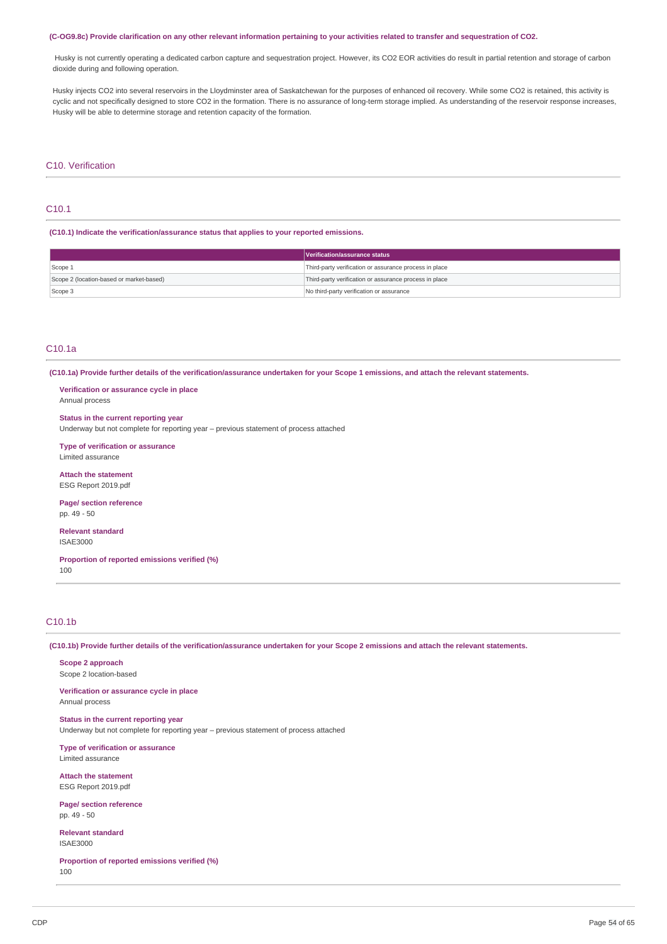#### (C-OG9.8c) Provide clarification on any other relevant information pertaining to your activities related to transfer and sequestration of CO2.

Husky is not currently operating a dedicated carbon capture and sequestration project. However, its CO2 EOR activities do result in partial retention and storage of carbon dioxide during and following operation.

Husky injects CO2 into several reservoirs in the Lloydminster area of Saskatchewan for the purposes of enhanced oil recovery. While some CO2 is retained, this activity is cyclic and not specifically designed to store CO2 in the formation. There is no assurance of long-term storage implied. As understanding of the reservoir response increases, Husky will be able to determine storage and retention capacity of the formation.

### C10. Verification

### C10.1

**(C10.1) Indicate the verification/assurance status that applies to your reported emissions.**

|                                          | Verification/assurance status                          |
|------------------------------------------|--------------------------------------------------------|
| Scope 1                                  | Third-party verification or assurance process in place |
| Scope 2 (location-based or market-based) | Third-party verification or assurance process in place |
| Scope 3                                  | No third-party verification or assurance               |

# C10.1a

(C10.1a) Provide further details of the verification/assurance undertaken for your Scope 1 emissions, and attach the relevant statements.

**Verification or assurance cycle in place** Annual process

### **Status in the current reporting year**

Underway but not complete for reporting year – previous statement of process attached

**Type of verification or assurance** Limited assurance

**Attach the statement** ESG Report 2019.pdf

**Page/ section reference** pp. 49 - 50

**Relevant standard** ISAE3000

**Proportion of reported emissions verified (%)** 100

# C10.1b

(C10.1b) Provide further details of the verification/assurance undertaken for your Scope 2 emissions and attach the relevant statements.

**Scope 2 approach** Scope 2 location-based

**Verification or assurance cycle in place** Annual process

**Status in the current reporting year** Underway but not complete for reporting year – previous statement of process attached

**Type of verification or assurance** Limited assurance

**Attach the statement** ESG Report 2019.pdf

**Page/ section reference** pp. 49 - 50

**Relevant standard** ISAE3000

**Proportion of reported emissions verified (%)** 100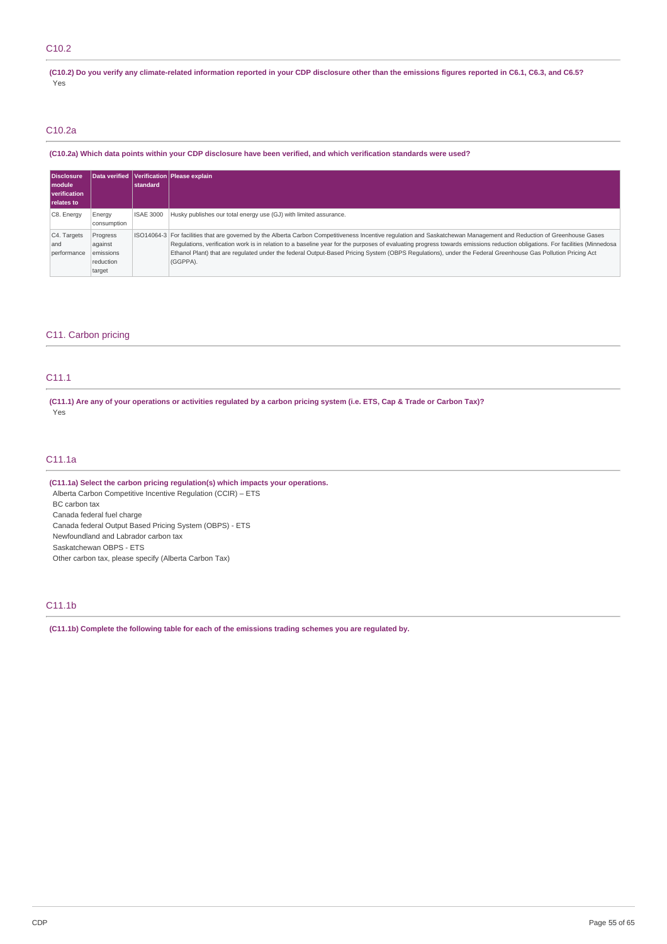# C10.2

(C10.2) Do you verify any climate-related information reported in your CDP disclosure other than the emissions figures reported in C6.1, C6.3, and C6.5? Yes

# C10.2a

(C10.2a) Which data points within your CDP disclosure have been verified, and which verification standards were used?

| <b>Disclosure</b>                 |             |                  | Data verified Verification Please explain                                                                                                                                   |
|-----------------------------------|-------------|------------------|-----------------------------------------------------------------------------------------------------------------------------------------------------------------------------|
| l module                          |             | standard         |                                                                                                                                                                             |
| verification<br><b>relates to</b> |             |                  |                                                                                                                                                                             |
|                                   |             |                  |                                                                                                                                                                             |
| C8. Energy                        | Energy      | <b>ISAE 3000</b> | Husky publishes our total energy use (GJ) with limited assurance.                                                                                                           |
|                                   | consumption |                  |                                                                                                                                                                             |
| C4. Targets                       | Progress    |                  | ISO14064-3 For facilities that are governed by the Alberta Carbon Competitiveness Incentive regulation and Saskatchewan Management and Reduction of Greenhouse Gases        |
| and                               | against     |                  | Regulations, verification work is in relation to a baseline year for the purposes of evaluating progress towards emissions reduction obligations. For facilities (Minnedosa |
| performance                       | emissions   |                  | Ethanol Plant) that are regulated under the federal Output-Based Pricing System (OBPS Regulations), under the Federal Greenhouse Gas Pollution Pricing Act                  |
|                                   | reduction   |                  | (GGPPA).                                                                                                                                                                    |
|                                   | target      |                  |                                                                                                                                                                             |

# C11. Carbon pricing

# C11.1

(C11.1) Are any of your operations or activities regulated by a carbon pricing system (i.e. ETS, Cap & Trade or Carbon Tax)? Yes

# C11.1a

**(C11.1a) Select the carbon pricing regulation(s) which impacts your operations.** Alberta Carbon Competitive Incentive Regulation (CCIR) – ETS BC carbon tax Canada federal fuel charge Canada federal Output Based Pricing System (OBPS) - ETS Newfoundland and Labrador carbon tax Saskatchewan OBPS - ETS Other carbon tax, please specify (Alberta Carbon Tax)

# C11.1b

**(C11.1b) Complete the following table for each of the emissions trading schemes you are regulated by.**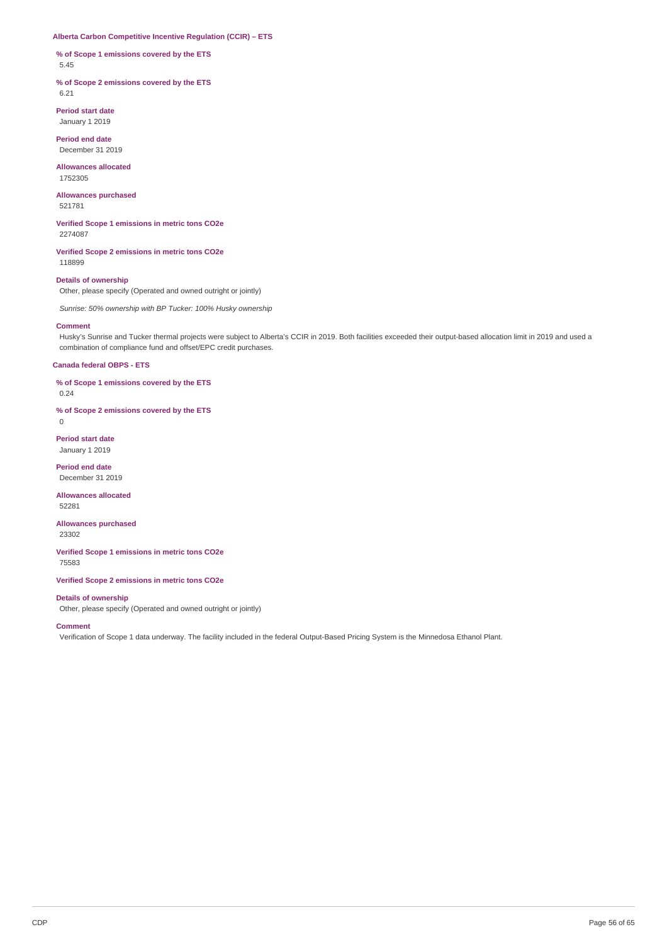#### **Alberta Carbon Competitive Incentive Regulation (CCIR) – ETS**

**% of Scope 1 emissions covered by the ETS** 5.45

**% of Scope 2 emissions covered by the ETS** 6.21

**Period start date** January 1 2019

**Period end date**

December 31 2019

**Allowances allocated** 1752305

**Allowances purchased** 521781

**Verified Scope 1 emissions in metric tons CO2e** 2274087

**Verified Scope 2 emissions in metric tons CO2e** 118899

# **Details of ownership**

Other, please specify (Operated and owned outright or jointly)

*Sunrise: 50% ownership with BP Tucker: 100% Husky ownership*

#### **Comment**

Husky's Sunrise and Tucker thermal projects were subject to Alberta's CCIR in 2019. Both facilities exceeded their output-based allocation limit in 2019 and used a combination of compliance fund and offset/EPC credit purchases.

### **Canada federal OBPS - ETS**

**% of Scope 1 emissions covered by the ETS** 0.24

**% of Scope 2 emissions covered by the ETS**

0

**Period start date** January 1 2019

**Period end date** December 31 2019

**Allowances allocated** 52281

**Allowances purchased**

23302

**Verified Scope 1 emissions in metric tons CO2e** 75583

**Verified Scope 2 emissions in metric tons CO2e**

### **Details of ownership**

Other, please specify (Operated and owned outright or jointly)

**Comment**

Verification of Scope 1 data underway. The facility included in the federal Output-Based Pricing System is the Minnedosa Ethanol Plant.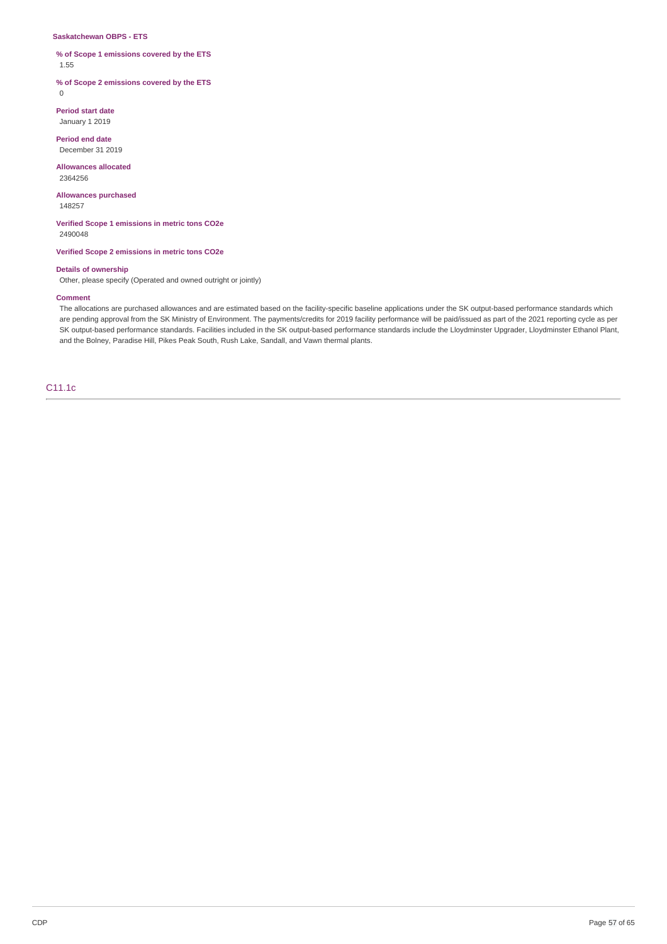#### **Saskatchewan OBPS - ETS**

### **% of Scope 1 emissions covered by the ETS** 1.55

**% of Scope 2 emissions covered by the ETS**

 $\Omega$ 

**Period start date** January 1 2019

**Period end date** December 31 2019

**Allowances allocated** 2364256

**Allowances purchased**

148257

**Verified Scope 1 emissions in metric tons CO2e** 2490048

**Verified Scope 2 emissions in metric tons CO2e**

#### **Details of ownership**

Other, please specify (Operated and owned outright or jointly)

#### **Comment**

The allocations are purchased allowances and are estimated based on the facility-specific baseline applications under the SK output-based performance standards which are pending approval from the SK Ministry of Environment. The payments/credits for 2019 facility performance will be paid/issued as part of the 2021 reporting cycle as per SK output-based performance standards. Facilities included in the SK output-based performance standards include the Lloydminster Upgrader, Lloydminster Ethanol Plant, and the Bolney, Paradise Hill, Pikes Peak South, Rush Lake, Sandall, and Vawn thermal plants.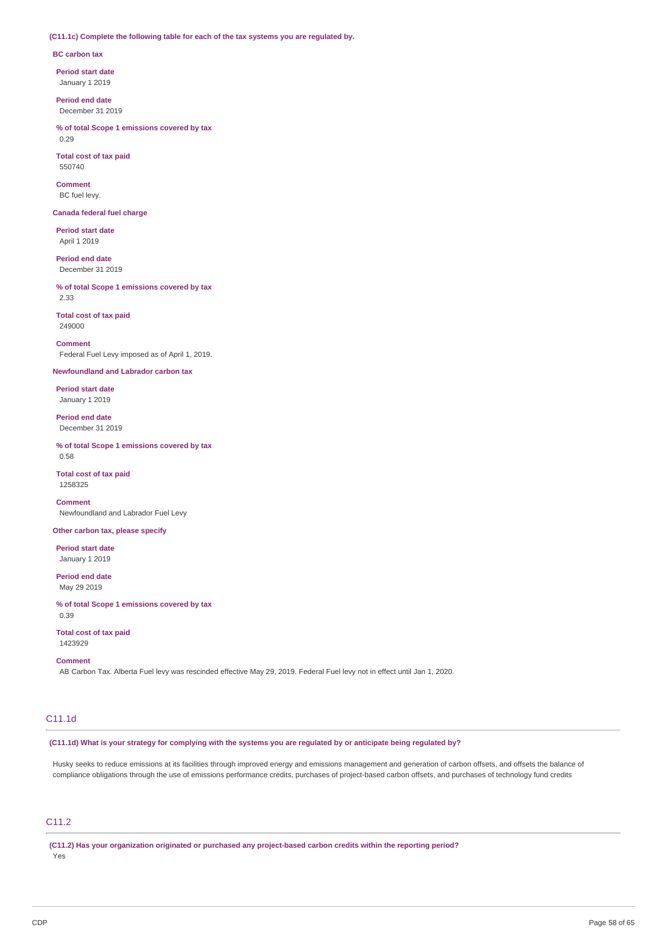#### **(C11.1c) Complete the following table for each of the tax systems you are regulated by.**

### **BC carbon tax**

**Period start date** January 1 2019

**Period end date** December 31 2019

**% of total Scope 1 emissions covered by tax** 0.29

**Total cost of tax paid** 550740

**Comment** BC fuel levy.

### **Canada federal fuel charge**

**Period start date** April 1 2019

**Period end date** December 31 2019

**% of total Scope 1 emissions covered by tax** 2.33

**Total cost of tax paid** 249000

**Comment** Federal Fuel Levy imposed as of April 1, 2019.

**Newfoundland and Labrador carbon tax**

**Period start date**

January 1 2019

**Period end date** December 31 2019

**% of total Scope 1 emissions covered by tax** 0.58

**Total cost of tax paid** 1258325

**Comment** Newfoundland and Labrador Fuel Levy

#### **Other carbon tax, please specify**

**Period start date** January 1 2019

**Period end date** May 29 2019

**% of total Scope 1 emissions covered by tax** 0.39

**Total cost of tax paid** 1423929

#### **Comment**

AB Carbon Tax. Alberta Fuel levy was rescinded effective May 29, 2019. Federal Fuel levy not in effect until Jan 1, 2020.

# C11.1d

(C11.1d) What is your strategy for complying with the systems you are regulated by or anticipate being regulated by?

Husky seeks to reduce emissions at its facilities through improved energy and emissions management and generation of carbon offsets, and offsets the balance of compliance obligations through the use of emissions performance credits, purchases of project-based carbon offsets, and purchases of technology fund credits

# C11.2

**(C11.2) Has your organization originated or purchased any project-based carbon credits within the reporting period?** Yes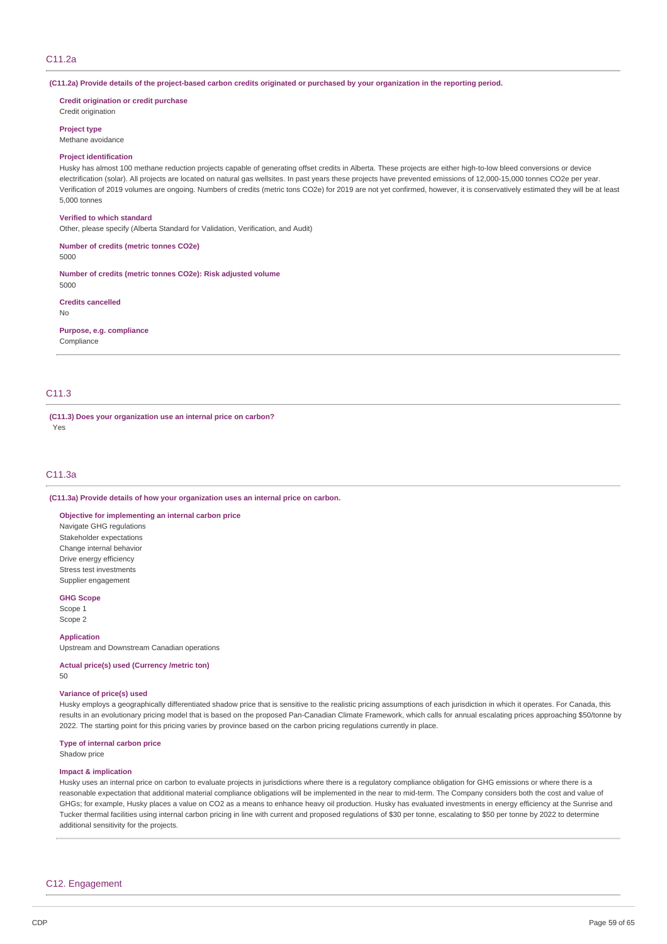(C11.2a) Provide details of the project-based carbon credits originated or purchased by your organization in the reporting period.

**Credit origination or credit purchase** Credit origination

**Project type**

Methane avoidance

#### **Project identification**

Husky has almost 100 methane reduction projects capable of generating offset credits in Alberta. These projects are either high-to-low bleed conversions or device electrification (solar). All projects are located on natural gas wellsites. In past years these projects have prevented emissions of 12,000-15,000 tonnes CO2e per year. Verification of 2019 volumes are ongoing. Numbers of credits (metric tons CO2e) for 2019 are not yet confirmed, however, it is conservatively estimated they will be at least 5,000 tonnes

#### **Verified to which standard**

Other, please specify (Alberta Standard for Validation, Verification, and Audit)

**Number of credits (metric tonnes CO2e)**

5000

**Number of credits (metric tonnes CO2e): Risk adjusted volume** 5000

**Credits cancelled**

No

**Purpose, e.g. compliance** Compliance

# C11.3

**(C11.3) Does your organization use an internal price on carbon?** Yes

### C11.3a

**(C11.3a) Provide details of how your organization uses an internal price on carbon.**

**Objective for implementing an internal carbon price**

Navigate GHG regulations Stakeholder expectations Change internal behavior Drive energy efficiency Stress test investments Supplier engagement

#### **GHG Scope**

Scope 1 Scope 2

**Application**

Upstream and Downstream Canadian operations

**Actual price(s) used (Currency /metric ton)**

50

#### **Variance of price(s) used**

Husky employs a geographically differentiated shadow price that is sensitive to the realistic pricing assumptions of each jurisdiction in which it operates. For Canada, this results in an evolutionary pricing model that is based on the proposed Pan-Canadian Climate Framework, which calls for annual escalating prices approaching \$50/tonne by 2022. The starting point for this pricing varies by province based on the carbon pricing regulations currently in place.

#### **Type of internal carbon price**

Shadow price

#### **Impact & implication**

Husky uses an internal price on carbon to evaluate projects in jurisdictions where there is a regulatory compliance obligation for GHG emissions or where there is a reasonable expectation that additional material compliance obligations will be implemented in the near to mid-term. The Company considers both the cost and value of GHGs; for example, Husky places a value on CO2 as a means to enhance heavy oil production. Husky has evaluated investments in energy efficiency at the Sunrise and Tucker thermal facilities using internal carbon pricing in line with current and proposed regulations of \$30 per tonne, escalating to \$50 per tonne by 2022 to determine additional sensitivity for the projects.

### C12. Engagement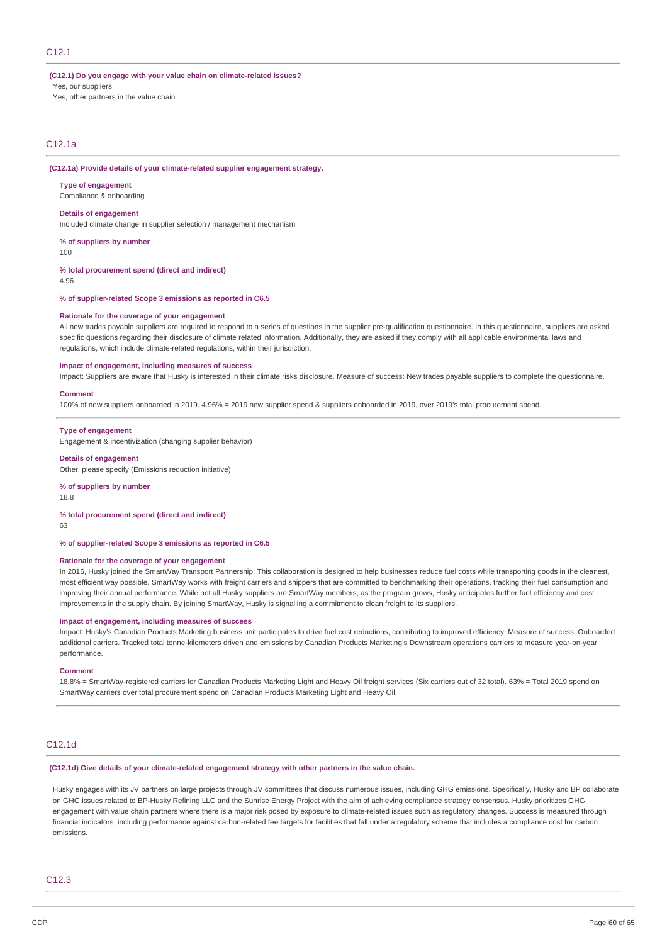### C12.1

#### **(C12.1) Do you engage with your value chain on climate-related issues?**

Yes, our suppliers

Yes, other partners in the value chain

# C12.1a

#### **(C12.1a) Provide details of your climate-related supplier engagement strategy.**

#### **Type of engagement**

Compliance & onboarding

### **Details of engagement**

Included climate change in supplier selection / management mechanism

#### **% of suppliers by number**

100

#### **% total procurement spend (direct and indirect)**

4.96

#### **% of supplier-related Scope 3 emissions as reported in C6.5**

#### **Rationale for the coverage of your engagement**

All new trades payable suppliers are required to respond to a series of questions in the supplier pre-qualification questionnaire. In this questionnaire, suppliers are asked specific questions regarding their disclosure of climate related information. Additionally, they are asked if they comply with all applicable environmental laws and regulations, which include climate-related regulations, within their jurisdiction.

#### **Impact of engagement, including measures of success**

Impact: Suppliers are aware that Husky is interested in their climate risks disclosure. Measure of success: New trades payable suppliers to complete the questionnaire.

#### **Comment**

100% of new suppliers onboarded in 2019. 4.96% = 2019 new supplier spend & suppliers onboarded in 2019, over 2019's total procurement spend.

#### **Type of engagement**

Engagement & incentivization (changing supplier behavior)

#### **Details of engagement**

Other, please specify (Emissions reduction initiative)

#### **% of suppliers by number**

18.8

#### **% total procurement spend (direct and indirect)**

63

# **% of supplier-related Scope 3 emissions as reported in C6.5**

#### **Rationale for the coverage of your engagement**

In 2016, Husky joined the SmartWay Transport Partnership. This collaboration is designed to help businesses reduce fuel costs while transporting goods in the cleanest, most efficient way possible. SmartWay works with freight carriers and shippers that are committed to benchmarking their operations, tracking their fuel consumption and improving their annual performance. While not all Husky suppliers are SmartWay members, as the program grows, Husky anticipates further fuel efficiency and cost improvements in the supply chain. By joining SmartWay, Husky is signalling a commitment to clean freight to its suppliers.

#### **Impact of engagement, including measures of success**

Impact: Husky's Canadian Products Marketing business unit participates to drive fuel cost reductions, contributing to improved efficiency. Measure of success: Onboarded additional carriers. Tracked total tonne-kilometers driven and emissions by Canadian Products Marketing's Downstream operations carriers to measure year-on-year performance.

#### **Comment**

18.8% = SmartWay-registered carriers for Canadian Products Marketing Light and Heavy Oil freight services (Six carriers out of 32 total). 63% = Total 2019 spend on SmartWay carriers over total procurement spend on Canadian Products Marketing Light and Heavy Oil.

# C12.1d

**(C12.1d) Give details of your climate-related engagement strategy with other partners in the value chain.**

Husky engages with its JV partners on large projects through JV committees that discuss numerous issues, including GHG emissions. Specifically, Husky and BP collaborate on GHG issues related to BP-Husky Refining LLC and the Sunrise Energy Project with the aim of achieving compliance strategy consensus. Husky prioritizes GHG engagement with value chain partners where there is a major risk posed by exposure to climate-related issues such as regulatory changes. Success is measured through financial indicators, including performance against carbon-related fee targets for facilities that fall under a regulatory scheme that includes a compliance cost for carbon emissions.

### C12.3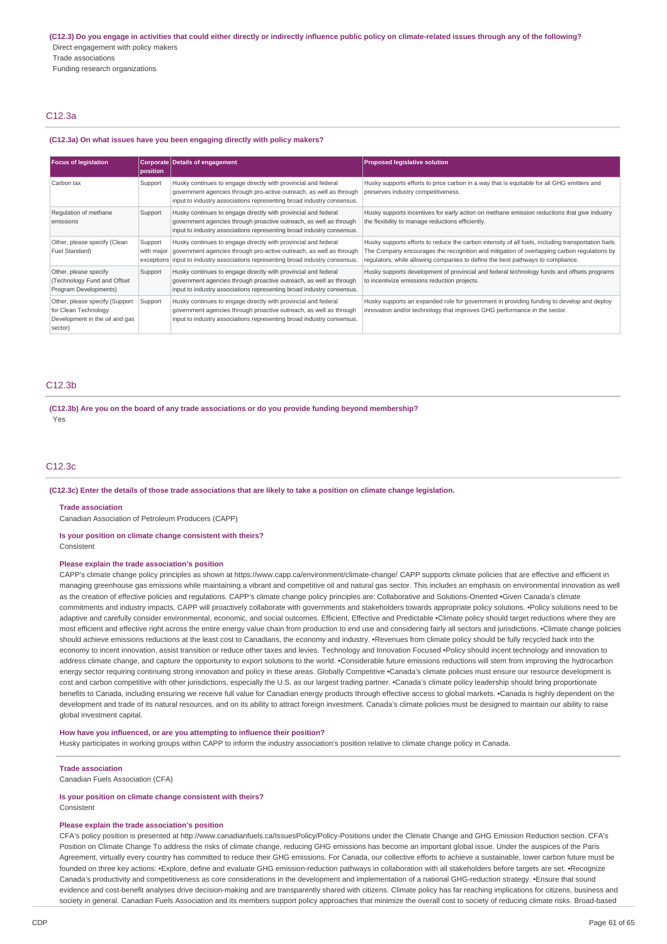(C12.3) Do you engage in activities that could either directly or indirectly influence public policy on climate-related issues through any of the following? Direct engagement with policy makers Trade associations Funding research organizations

### C12.3a

#### **(C12.3a) On what issues have you been engaging directly with policy makers?**

| <b>Focus of legislation</b>                                                                         | position | <b>Corporate Details of engagement</b>                                                                                                                                                                                               | <b>Proposed legislative solution</b>                                                                                                                                                                                                                                                 |
|-----------------------------------------------------------------------------------------------------|----------|--------------------------------------------------------------------------------------------------------------------------------------------------------------------------------------------------------------------------------------|--------------------------------------------------------------------------------------------------------------------------------------------------------------------------------------------------------------------------------------------------------------------------------------|
| Carbon tax                                                                                          | Support  | Husky continues to engage directly with provincial and federal<br>government agencies through pro-active outreach, as well as through<br>input to industry associations representing broad industry consensus.                       | Husky supports efforts to price carbon in a way that is equitable for all GHG emitters and<br>preserves industry competitiveness.                                                                                                                                                    |
| Regulation of methane<br>emissions                                                                  | Support  | Husky continues to engage directly with provincial and federal<br>government agencies through proactive outreach, as well as through<br>input to industry associations representing broad industry consensus.                        | Husky supports incentives for early action on methane emission reductions that give industry<br>the flexibility to manage reductions efficiently.                                                                                                                                    |
| Other, please specify (Clean<br>Fuel Standard)                                                      | Support  | Husky continues to engage directly with provincial and federal<br>with major government agencies through pro-active outreach, as well as through<br>exceptions input to industry associations representing broad industry consensus. | Husky supports efforts to reduce the carbon intensity of all fuels, including transportation fuels.<br>The Company encourages the recognition and mitigation of overlapping carbon regulations by<br>regulators, while allowing companies to define the best pathways to compliance. |
| Other, please specify<br>(Technology Fund and Offset<br>Program Developments)                       | Support  | Husky continues to engage directly with provincial and federal<br>government agencies through proactive outreach, as well as through<br>input to industry associations representing broad industry consensus.                        | Husky supports development of provincial and federal technology funds and offsets programs<br>to incentivize emissions reduction projects.                                                                                                                                           |
| Other, please specify (Support<br>for Clean Technology<br>Development in the oil and gas<br>sector) | Support  | Husky continues to engage directly with provincial and federal<br>government agencies through proactive outreach, as well as through<br>input to industry associations representing broad industry consensus.                        | Husky supports an expanded role for government in providing funding to develop and deploy<br>innovation and/or technology that improves GHG performance in the sector.                                                                                                               |

# C12.3b

**(C12.3b) Are you on the board of any trade associations or do you provide funding beyond membership?** Yes

#### C12.3c

#### (C12.3c) Enter the details of those trade associations that are likely to take a position on climate change legislation.

#### **Trade association**

Canadian Association of Petroleum Producers (CAPP)

# **Is your position on climate change consistent with theirs?**

**Consistent** 

### **Please explain the trade association's position**

CAPP's climate change policy principles as shown at https://www.capp.ca/environment/climate-change/ CAPP supports climate policies that are effective and efficient in managing greenhouse gas emissions while maintaining a vibrant and competitive oil and natural gas sector. This includes an emphasis on environmental innovation as well as the creation of effective policies and regulations. CAPP's climate change policy principles are: Collaborative and Solutions-Oriented •Given Canada's climate commitments and industry impacts, CAPP will proactively collaborate with governments and stakeholders towards appropriate policy solutions. •Policy solutions need to be adaptive and carefully consider environmental, economic, and social outcomes. Efficient, Effective and Predictable •Climate policy should target reductions where they are most efficient and effective right across the entire energy value chain from production to end use and considering fairly all sectors and jurisdictions. •Climate change policies should achieve emissions reductions at the least cost to Canadians, the economy and industry. •Revenues from climate policy should be fully recycled back into the economy to incent innovation, assist transition or reduce other taxes and levies. Technology and Innovation Focused •Policy should incent technology and innovation to address climate change, and capture the opportunity to export solutions to the world. •Considerable future emissions reductions will stem from improving the hydrocarbon energy sector requiring continuing strong innovation and policy in these areas. Globally Competitive •Canada's climate policies must ensure our resource development is cost and carbon competitive with other jurisdictions, especially the U.S. as our largest trading partner. •Canada's climate policy leadership should bring proportionate benefits to Canada, including ensuring we receive full value for Canadian energy products through effective access to global markets. •Canada is highly dependent on the development and trade of its natural resources, and on its ability to attract foreign investment. Canada's climate policies must be designed to maintain our ability to raise global investment capital.

#### **How have you influenced, or are you attempting to influence their position?**

Husky participates in working groups within CAPP to inform the industry association's position relative to climate change policy in Canada.

#### **Trade association**

Canadian Fuels Association (CFA)

### **Is your position on climate change consistent with theirs?**

Consistent

# **Please explain the trade association's position**

CFA's policy position is presented at http://www.canadianfuels.ca/IssuesPolicy/Policy-Positions under the Climate Change and GHG Emission Reduction section. CFA's Position on Climate Change To address the risks of climate change, reducing GHG emissions has become an important global issue. Under the auspices of the Paris Agreement, virtually every country has committed to reduce their GHG emissions. For Canada, our collective efforts to achieve a sustainable, lower carbon future must be founded on three key actions: •Explore, define and evaluate GHG emission-reduction pathways in collaboration with all stakeholders before targets are set. •Recognize Canada's productivity and competitiveness as core considerations in the development and implementation of a national GHG-reduction strategy. •Ensure that sound evidence and cost-benefit analyses drive decision-making and are transparently shared with citizens. Climate policy has far reaching implications for citizens, business and society in general. Canadian Fuels Association and its members support policy approaches that minimize the overall cost to society of reducing climate risks. Broad-based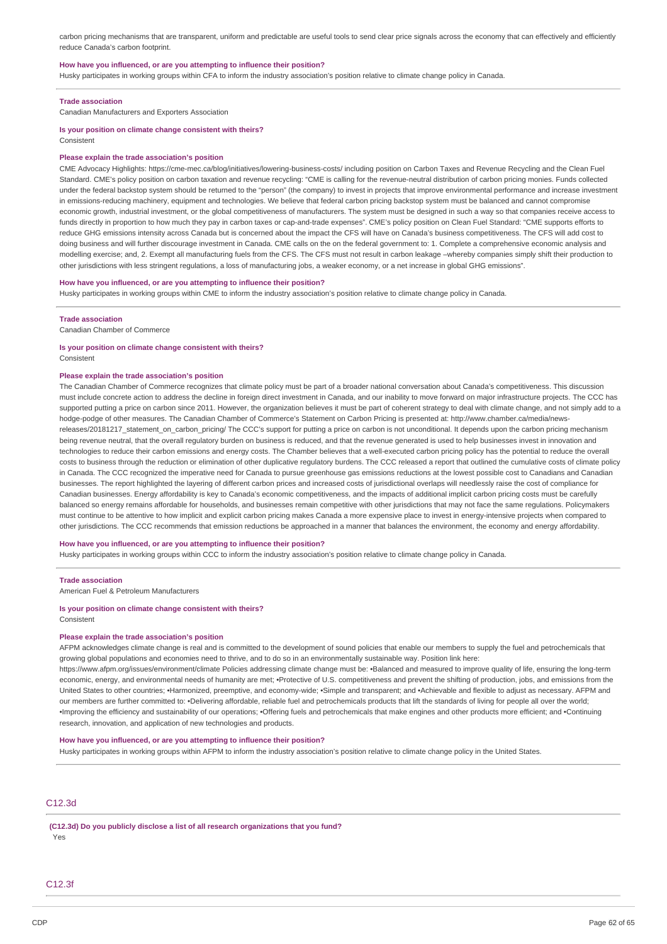carbon pricing mechanisms that are transparent, uniform and predictable are useful tools to send clear price signals across the economy that can effectively and efficiently reduce Canada's carbon footprint.

#### **How have you influenced, or are you attempting to influence their position?**

Husky participates in working groups within CFA to inform the industry association's position relative to climate change policy in Canada.

#### **Trade association**

Canadian Manufacturers and Exporters Association

#### **Is your position on climate change consistent with theirs?** Consistent

#### **Please explain the trade association's position**

CME Advocacy Highlights: https://cme-mec.ca/blog/initiatives/lowering-business-costs/ including position on Carbon Taxes and Revenue Recycling and the Clean Fuel Standard. CME's policy position on carbon taxation and revenue recycling: "CME is calling for the revenue-neutral distribution of carbon pricing monies. Funds collected under the federal backstop system should be returned to the "person" (the company) to invest in projects that improve environmental performance and increase investment in emissions-reducing machinery, equipment and technologies. We believe that federal carbon pricing backstop system must be balanced and cannot compromise economic growth, industrial investment, or the global competitiveness of manufacturers. The system must be designed in such a way so that companies receive access to funds directly in proportion to how much they pay in carbon taxes or cap-and-trade expenses". CME's policy position on Clean Fuel Standard: "CME supports efforts to reduce GHG emissions intensity across Canada but is concerned about the impact the CFS will have on Canada's business competitiveness. The CFS will add cost to doing business and will further discourage investment in Canada. CME calls on the on the federal government to: 1. Complete a comprehensive economic analysis and modelling exercise; and, 2. Exempt all manufacturing fuels from the CFS. The CFS must not result in carbon leakage –whereby companies simply shift their production to other jurisdictions with less stringent regulations, a loss of manufacturing jobs, a weaker economy, or a net increase in global GHG emissions".

#### **How have you influenced, or are you attempting to influence their position?**

Husky participates in working groups within CME to inform the industry association's position relative to climate change policy in Canada.

#### **Trade association**

Canadian Chamber of Commerce

### **Is your position on climate change consistent with theirs?**

Consistent

#### **Please explain the trade association's position**

The Canadian Chamber of Commerce recognizes that climate policy must be part of a broader national conversation about Canada's competitiveness. This discussion must include concrete action to address the decline in foreign direct investment in Canada, and our inability to move forward on major infrastructure projects. The CCC has supported putting a price on carbon since 2011. However, the organization believes it must be part of coherent strategy to deal with climate change, and not simply add to a hodge-podge of other measures. The Canadian Chamber of Commerce's Statement on Carbon Pricing is presented at: http://www.chamber.ca/media/newsreleases/20181217\_statement\_on\_carbon\_pricing/ The CCC's support for putting a price on carbon is not unconditional. It depends upon the carbon pricing mechanism being revenue neutral, that the overall regulatory burden on business is reduced, and that the revenue generated is used to help businesses invest in innovation and technologies to reduce their carbon emissions and energy costs. The Chamber believes that a well-executed carbon pricing policy has the potential to reduce the overall costs to business through the reduction or elimination of other duplicative regulatory burdens. The CCC released a report that outlined the cumulative costs of climate policy in Canada. The CCC recognized the imperative need for Canada to pursue greenhouse gas emissions reductions at the lowest possible cost to Canadians and Canadian businesses. The report highlighted the layering of different carbon prices and increased costs of jurisdictional overlaps will needlessly raise the cost of compliance for Canadian businesses. Energy affordability is key to Canada's economic competitiveness, and the impacts of additional implicit carbon pricing costs must be carefully balanced so energy remains affordable for households, and businesses remain competitive with other jurisdictions that may not face the same regulations. Policymakers must continue to be attentive to how implicit and explicit carbon pricing makes Canada a more expensive place to invest in energy-intensive projects when compared to other jurisdictions. The CCC recommends that emission reductions be approached in a manner that balances the environment, the economy and energy affordability.

# **How have you influenced, or are you attempting to influence their position?**

Husky participates in working groups within CCC to inform the industry association's position relative to climate change policy in Canada.

**Trade association**

American Fuel & Petroleum Manufacturers

# **Is your position on climate change consistent with theirs?**

# Consistent

#### **Please explain the trade association's position**

AFPM acknowledges climate change is real and is committed to the development of sound policies that enable our members to supply the fuel and petrochemicals that growing global populations and economies need to thrive, and to do so in an environmentally sustainable way. Position link here: https://www.afpm.org/issues/environment/climate Policies addressing climate change must be: •Balanced and measured to improve quality of life, ensuring the long-term

economic, energy, and environmental needs of humanity are met; ·Protective of U.S. competitiveness and prevent the shifting of production, jobs, and emissions from the United States to other countries; •Harmonized, preemptive, and economy-wide; •Simple and transparent; and •Achievable and flexible to adjust as necessary. AFPM and our members are further committed to: «Delivering affordable, reliable fuel and petrochemicals products that lift the standards of living for people all over the world; •Improving the efficiency and sustainability of our operations; •Offering fuels and petrochemicals that make engines and other products more efficient; and •Continuing research, innovation, and application of new technologies and products.

#### **How have you influenced, or are you attempting to influence their position?**

Husky participates in working groups within AFPM to inform the industry association's position relative to climate change policy in the United States.

# C12.3d

**(C12.3d) Do you publicly disclose a list of all research organizations that you fund?** Yes

C12.3f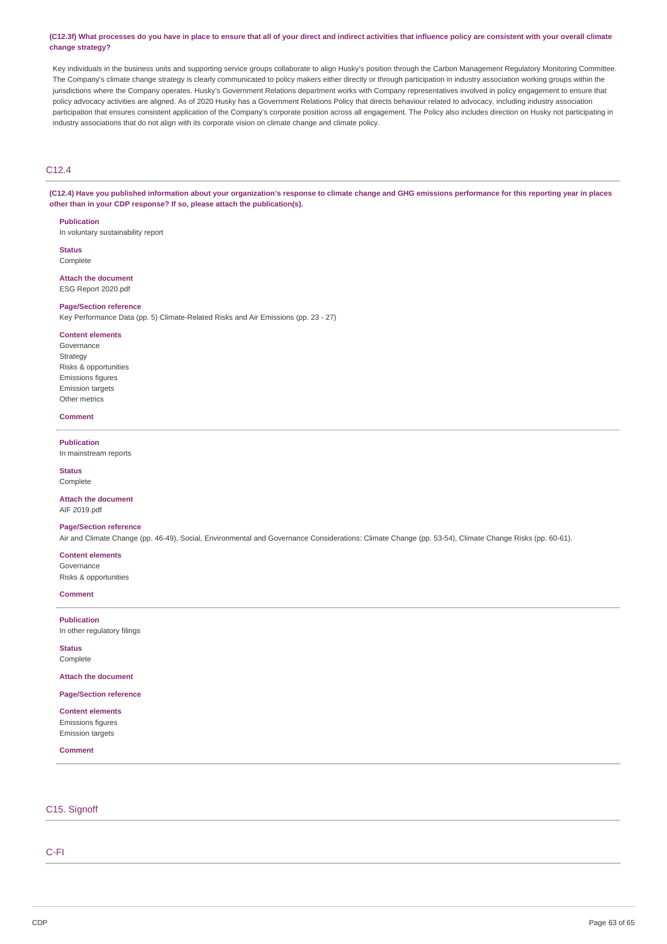#### (C12.3f) What processes do you have in place to ensure that all of your direct and indirect activities that influence policy are consistent with your overall climate **change strategy?**

Key individuals in the business units and supporting service groups collaborate to align Husky's position through the Carbon Management Regulatory Monitoring Committee. The Company's climate change strategy is clearly communicated to policy makers either directly or through participation in industry association working groups within the jurisdictions where the Company operates. Husky's Government Relations department works with Company representatives involved in policy engagement to ensure that policy advocacy activities are aligned. As of 2020 Husky has a Government Relations Policy that directs behaviour related to advocacy, including industry association participation that ensures consistent application of the Company's corporate position across all engagement. The Policy also includes direction on Husky not participating in industry associations that do not align with its corporate vision on climate change and climate policy.

# C12.4

(C12.4) Have you published information about your organization's response to climate change and GHG emissions performance for this reporting year in places **other than in your CDP response? If so, please attach the publication(s).**

#### **Publication**

In voluntary sustainability report

**Status** Complete

**Attach the document** ESG Report 2020.pdf

#### **Page/Section reference**

Key Performance Data (pp. 5) Climate-Related Risks and Air Emissions (pp. 23 - 27)

#### **Content elements**

Governance Strategy Risks & opportunities Emissions figures Emission targets Other metrics

#### **Comment**

#### **Publication**

In mainstream reports

**Status** Complete

**Attach the document** AIF 2019.pdf

#### **Page/Section reference**

Air and Climate Change (pp. 46-49), Social, Environmental and Governance Considerations: Climate Change (pp. 53-54), Climate Change Risks (pp. 60-61).

**Content elements** Governance

Risks & opportunities

**Comment**

**Publication** In other regulatory filings

**Status** Complete

**Attach the document**

**Page/Section reference**

**Content elements** Emissions figures Emission targets

**Comment**

### C15. Signoff

C-FI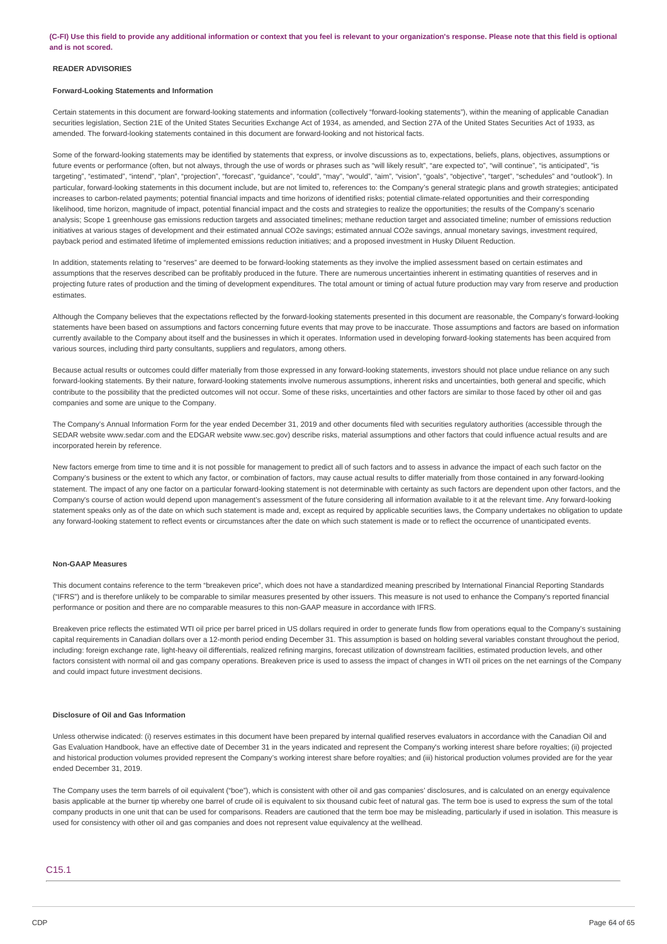#### **READER ADVISORIES**

#### **Forward-Looking Statements and Information**

Certain statements in this document are forward-looking statements and information (collectively "forward-looking statements"), within the meaning of applicable Canadian securities legislation, Section 21E of the United States Securities Exchange Act of 1934, as amended, and Section 27A of the United States Securities Act of 1933, as amended. The forward-looking statements contained in this document are forward-looking and not historical facts.

Some of the forward-looking statements may be identified by statements that express, or involve discussions as to, expectations, beliefs, plans, objectives, assumptions or future events or performance (often, but not always, through the use of words or phrases such as "will likely result", "are expected to", "will continue", "is anticipated", "is targeting", "estimated", "intend", "plan", "projection", "forecast", "guidance", "could", "may", "would", "aim", "vision", "goals", "objective", "target", "schedules" and "outlook"). In particular, forward-looking statements in this document include, but are not limited to, references to: the Company's general strategic plans and growth strategies; anticipated increases to carbon-related payments; potential financial impacts and time horizons of identified risks; potential climate-related opportunities and their corresponding likelihood, time horizon, magnitude of impact, potential financial impact and the costs and strategies to realize the opportunities; the results of the Company's scenario analysis; Scope 1 greenhouse gas emissions reduction targets and associated timelines; methane reduction target and associated timeline; number of emissions reduction initiatives at various stages of development and their estimated annual CO2e savings; estimated annual CO2e savings, annual monetary savings, investment required, payback period and estimated lifetime of implemented emissions reduction initiatives; and a proposed investment in Husky Diluent Reduction.

In addition, statements relating to "reserves" are deemed to be forward-looking statements as they involve the implied assessment based on certain estimates and assumptions that the reserves described can be profitably produced in the future. There are numerous uncertainties inherent in estimating quantities of reserves and in projecting future rates of production and the timing of development expenditures. The total amount or timing of actual future production may vary from reserve and production estimates.

Although the Company believes that the expectations reflected by the forward-looking statements presented in this document are reasonable, the Company's forward-looking statements have been based on assumptions and factors concerning future events that may prove to be inaccurate. Those assumptions and factors are based on information currently available to the Company about itself and the businesses in which it operates. Information used in developing forward-looking statements has been acquired from various sources, including third party consultants, suppliers and regulators, among others.

Because actual results or outcomes could differ materially from those expressed in any forward-looking statements, investors should not place undue reliance on any such forward-looking statements. By their nature, forward-looking statements involve numerous assumptions, inherent risks and uncertainties, both general and specific, which contribute to the possibility that the predicted outcomes will not occur. Some of these risks, uncertainties and other factors are similar to those faced by other oil and gas companies and some are unique to the Company.

The Company's Annual Information Form for the year ended December 31, 2019 and other documents filed with securities regulatory authorities (accessible through the SEDAR website www.sedar.com and the EDGAR website www.sec.gov) describe risks, material assumptions and other factors that could influence actual results and are incorporated herein by reference.

New factors emerge from time to time and it is not possible for management to predict all of such factors and to assess in advance the impact of each such factor on the Company's business or the extent to which any factor, or combination of factors, may cause actual results to differ materially from those contained in any forward-looking statement. The impact of any one factor on a particular forward-looking statement is not determinable with certainty as such factors are dependent upon other factors, and the Company's course of action would depend upon management's assessment of the future considering all information available to it at the relevant time. Any forward-looking statement speaks only as of the date on which such statement is made and, except as required by applicable securities laws, the Company undertakes no obligation to update any forward-looking statement to reflect events or circumstances after the date on which such statement is made or to reflect the occurrence of unanticipated events.

#### **Non-GAAP Measures**

This document contains reference to the term "breakeven price", which does not have a standardized meaning prescribed by International Financial Reporting Standards ("IFRS") and is therefore unlikely to be comparable to similar measures presented by other issuers. This measure is not used to enhance the Company's reported financial performance or position and there are no comparable measures to this non-GAAP measure in accordance with IFRS.

Breakeven price reflects the estimated WTI oil price per barrel priced in US dollars required in order to generate funds flow from operations equal to the Company's sustaining capital requirements in Canadian dollars over a 12-month period ending December 31. This assumption is based on holding several variables constant throughout the period, including: foreign exchange rate, light-heavy oil differentials, realized refining margins, forecast utilization of downstream facilities, estimated production levels, and other factors consistent with normal oil and gas company operations. Breakeven price is used to assess the impact of changes in WTI oil prices on the net earnings of the Company and could impact future investment decisions.

#### **Disclosure of Oil and Gas Information**

Unless otherwise indicated: (i) reserves estimates in this document have been prepared by internal qualified reserves evaluators in accordance with the Canadian Oil and Gas Evaluation Handbook, have an effective date of December 31 in the years indicated and represent the Company's working interest share before royalties; (ii) projected and historical production volumes provided represent the Company's working interest share before royalties; and (iii) historical production volumes provided are for the year ended December 31, 2019.

The Company uses the term barrels of oil equivalent ("boe"), which is consistent with other oil and gas companies' disclosures, and is calculated on an energy equivalence basis applicable at the burner tip whereby one barrel of crude oil is equivalent to six thousand cubic feet of natural gas. The term boe is used to express the sum of the total company products in one unit that can be used for comparisons. Readers are cautioned that the term boe may be misleading, particularly if used in isolation. This measure is used for consistency with other oil and gas companies and does not represent value equivalency at the wellhead.

#### C15.1